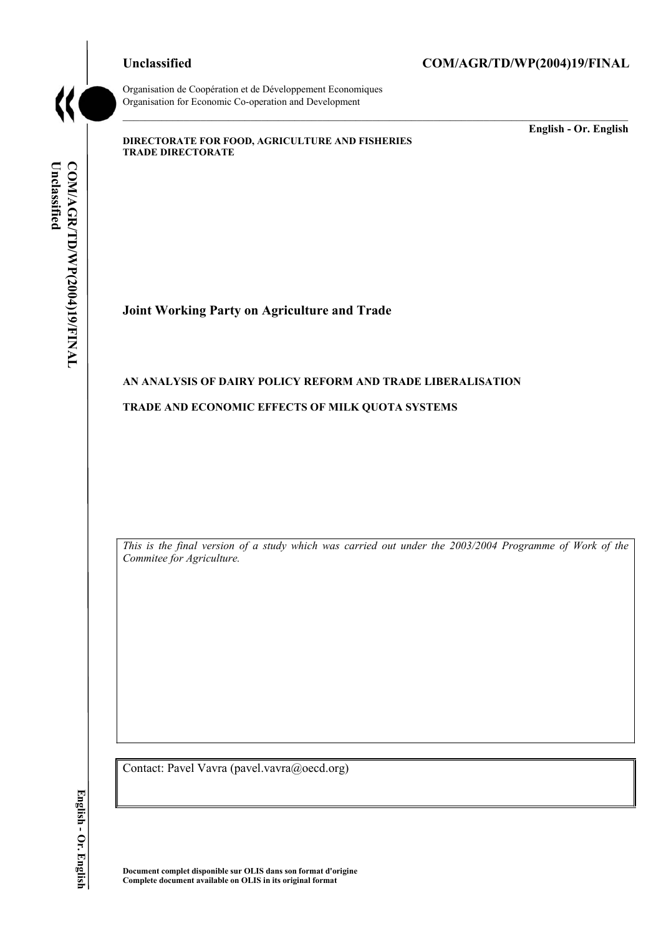

Organisation de Coopération et de Développement Economiques Organisation for Economic Co-operation and Development

#### **DIRECTORATE FOR FOOD, AGRICULTURE AND FISHERIES TRADE DIRECTORATE**

**English - Or. English** 

Unclassified **Unclassified** COM/AGR/TD/WP(2004)19/FINAL **OM/AGR/TD/WP(2004)19/FINAL** 

**Joint Working Party on Agriculture and Trade** 

#### **AN ANALYSIS OF DAIRY POLICY REFORM AND TRADE LIBERALISATION**

**TRADE AND ECONOMIC EFFECTS OF MILK QUOTA SYSTEMS** 

*This is the final version of a study which was carried out under the 2003/2004 Programme of Work of the Commitee for Agriculture.* 

Contact: Pavel Vavra (pavel.vavra@oecd.org)

**Document complet disponible sur OLIS dans son format d'origine Complete document available on OLIS in its original format**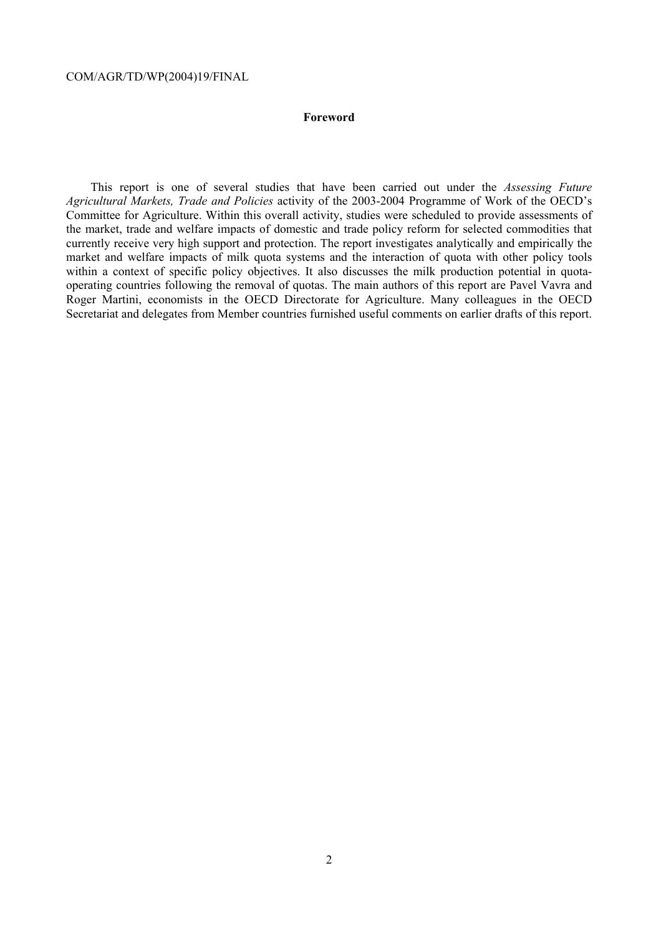#### **Foreword**

This report is one of several studies that have been carried out under the *Assessing Future Agricultural Markets, Trade and Policies* activity of the 2003-2004 Programme of Work of the OECD's Committee for Agriculture. Within this overall activity, studies were scheduled to provide assessments of the market, trade and welfare impacts of domestic and trade policy reform for selected commodities that currently receive very high support and protection. The report investigates analytically and empirically the market and welfare impacts of milk quota systems and the interaction of quota with other policy tools within a context of specific policy objectives. It also discusses the milk production potential in quotaoperating countries following the removal of quotas. The main authors of this report are Pavel Vavra and Roger Martini, economists in the OECD Directorate for Agriculture. Many colleagues in the OECD Secretariat and delegates from Member countries furnished useful comments on earlier drafts of this report.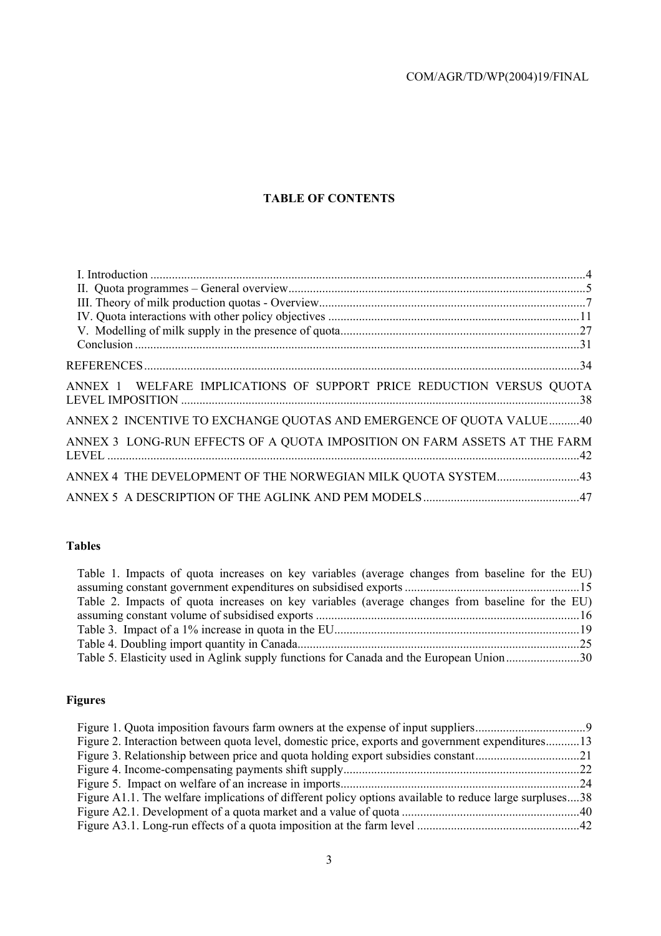### **TABLE OF CONTENTS**

| ANNEX 1 WELFARE IMPLICATIONS OF SUPPORT PRICE REDUCTION VERSUS QUOTA      |  |
|---------------------------------------------------------------------------|--|
| ANNEX 2 INCENTIVE TO EXCHANGE QUOTAS AND EMERGENCE OF QUOTA VALUE40       |  |
| ANNEX 3 LONG-RUN EFFECTS OF A QUOTA IMPOSITION ON FARM ASSETS AT THE FARM |  |
| ANNEX 4 THE DEVELOPMENT OF THE NORWEGIAN MILK QUOTA SYSTEM43              |  |
|                                                                           |  |

### **Tables**

| Table 1. Impacts of quota increases on key variables (average changes from baseline for the EU) |  |
|-------------------------------------------------------------------------------------------------|--|
|                                                                                                 |  |
| Table 2. Impacts of quota increases on key variables (average changes from baseline for the EU) |  |
|                                                                                                 |  |
|                                                                                                 |  |
|                                                                                                 |  |
| Table 5. Elasticity used in Aglink supply functions for Canada and the European Union30         |  |

## **Figures**

| Figure 2. Interaction between quota level, domestic price, exports and government expenditures13        |  |
|---------------------------------------------------------------------------------------------------------|--|
|                                                                                                         |  |
|                                                                                                         |  |
|                                                                                                         |  |
| Figure A1.1. The welfare implications of different policy options available to reduce large surpluses38 |  |
|                                                                                                         |  |
|                                                                                                         |  |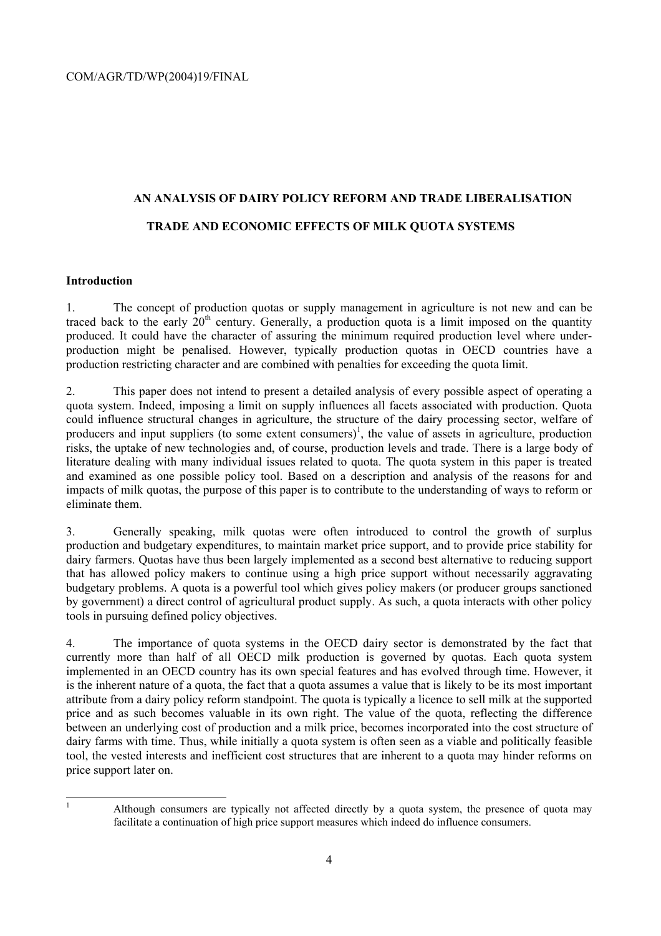# <span id="page-3-0"></span>**AN ANALYSIS OF DAIRY POLICY REFORM AND TRADE LIBERALISATION TRADE AND ECONOMIC EFFECTS OF MILK QUOTA SYSTEMS**

#### **Introduction**

1. The concept of production quotas or supply management in agriculture is not new and can be traced back to the early  $20<sup>th</sup>$  century. Generally, a production quota is a limit imposed on the quantity produced. It could have the character of assuring the minimum required production level where underproduction might be penalised. However, typically production quotas in OECD countries have a production restricting character and are combined with penalties for exceeding the quota limit.

2. This paper does not intend to present a detailed analysis of every possible aspect of operating a quota system. Indeed, imposing a limit on supply influences all facets associated with production. Quota could influence structural changes in agriculture, the structure of the dairy processing sector, welfare of producers and input suppliers (to some extent consumers)<sup>[1](#page-3-1)</sup>, the value of assets in agriculture, production risks, the uptake of new technologies and, of course, production levels and trade. There is a large body of literature dealing with many individual issues related to quota. The quota system in this paper is treated and examined as one possible policy tool. Based on a description and analysis of the reasons for and impacts of milk quotas, the purpose of this paper is to contribute to the understanding of ways to reform or eliminate them.

3. Generally speaking, milk quotas were often introduced to control the growth of surplus production and budgetary expenditures, to maintain market price support, and to provide price stability for dairy farmers. Quotas have thus been largely implemented as a second best alternative to reducing support that has allowed policy makers to continue using a high price support without necessarily aggravating budgetary problems. A quota is a powerful tool which gives policy makers (or producer groups sanctioned by government) a direct control of agricultural product supply. As such, a quota interacts with other policy tools in pursuing defined policy objectives.

4. The importance of quota systems in the OECD dairy sector is demonstrated by the fact that currently more than half of all OECD milk production is governed by quotas. Each quota system implemented in an OECD country has its own special features and has evolved through time. However, it is the inherent nature of a quota, the fact that a quota assumes a value that is likely to be its most important attribute from a dairy policy reform standpoint. The quota is typically a licence to sell milk at the supported price and as such becomes valuable in its own right. The value of the quota, reflecting the difference between an underlying cost of production and a milk price, becomes incorporated into the cost structure of dairy farms with time. Thus, while initially a quota system is often seen as a viable and politically feasible tool, the vested interests and inefficient cost structures that are inherent to a quota may hinder reforms on price support later on.

<span id="page-3-1"></span><sup>&</sup>lt;sup>1</sup> Although consumers are typically not affected directly by a quota system, the presence of quota may facilitate a continuation of high price support measures which indeed do influence consumers.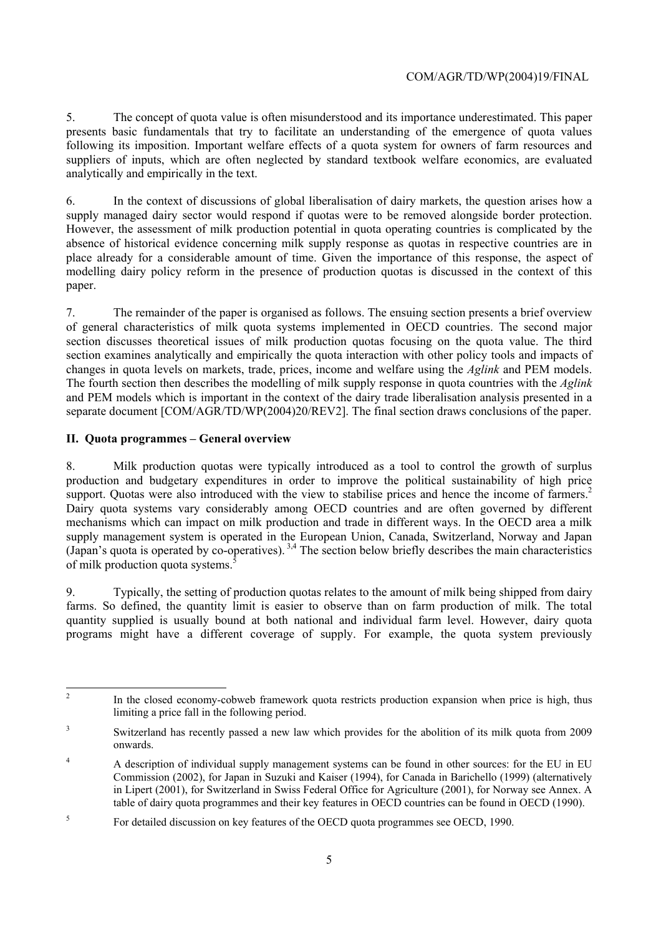<span id="page-4-0"></span>5. The concept of quota value is often misunderstood and its importance underestimated. This paper presents basic fundamentals that try to facilitate an understanding of the emergence of quota values following its imposition. Important welfare effects of a quota system for owners of farm resources and suppliers of inputs, which are often neglected by standard textbook welfare economics, are evaluated analytically and empirically in the text.

6. In the context of discussions of global liberalisation of dairy markets, the question arises how a supply managed dairy sector would respond if quotas were to be removed alongside border protection. However, the assessment of milk production potential in quota operating countries is complicated by the absence of historical evidence concerning milk supply response as quotas in respective countries are in place already for a considerable amount of time. Given the importance of this response, the aspect of modelling dairy policy reform in the presence of production quotas is discussed in the context of this paper.

7. The remainder of the paper is organised as follows. The ensuing section presents a brief overview of general characteristics of milk quota systems implemented in OECD countries. The second major section discusses theoretical issues of milk production quotas focusing on the quota value. The third section examines analytically and empirically the quota interaction with other policy tools and impacts of changes in quota levels on markets, trade, prices, income and welfare using the *Aglink* and PEM models. The fourth section then describes the modelling of milk supply response in quota countries with the *Aglink* and PEM models which is important in the context of the dairy trade liberalisation analysis presented in a separate document [COM/AGR/TD/WP(2004)20/REV2]. The final section draws conclusions of the paper.

#### **II. Quota programmes – General overview**

8. Milk production quotas were typically introduced as a tool to control the growth of surplus production and budgetary expenditures in order to improve the political sustainability of high price support. Quotas were also introduced with the view to stabilise prices and hence the income of farmers.<sup>2</sup> Dairy quota systems vary considerably among OECD countries and are often governed by different mechanisms which can impact on milk production and trade in different ways. In the OECD area a milk supply management system is operated in the European Union, Canada, Switzerland, Norway and Japan (Japan's quota is operated by co-operatives).<sup>3,[4](#page-4-3)</sup> The section below briefly describes the main characteristics of milk production quota systems. $5$ 

9. Typically, the setting of production quotas relates to the amount of milk being shipped from dairy farms. So defined, the quantity limit is easier to observe than on farm production of milk. The total quantity supplied is usually bound at both national and individual farm level. However, dairy quota programs might have a different coverage of supply. For example, the quota system previously

<span id="page-4-1"></span><sup>&</sup>lt;sup>2</sup> In the closed economy-cobweb framework quota restricts production expansion when price is high, thus limiting a price fall in the following period.

<span id="page-4-2"></span><sup>&</sup>lt;sup>3</sup> Switzerland has recently passed a new law which provides for the abolition of its milk quota from 2009 onwards.

<span id="page-4-3"></span><sup>&</sup>lt;sup>4</sup> A description of individual supply management systems can be found in other sources: for the EU in EU Commission (2002), for Japan in Suzuki and Kaiser (1994), for Canada in Barichello (1999) (alternatively in Lipert (2001), for Switzerland in Swiss Federal Office for Agriculture (2001), for Norway see Annex. A table of dairy quota programmes and their key features in OECD countries can be found in OECD (1990).

<span id="page-4-4"></span><sup>5</sup> For detailed discussion on key features of the OECD quota programmes see OECD, 1990.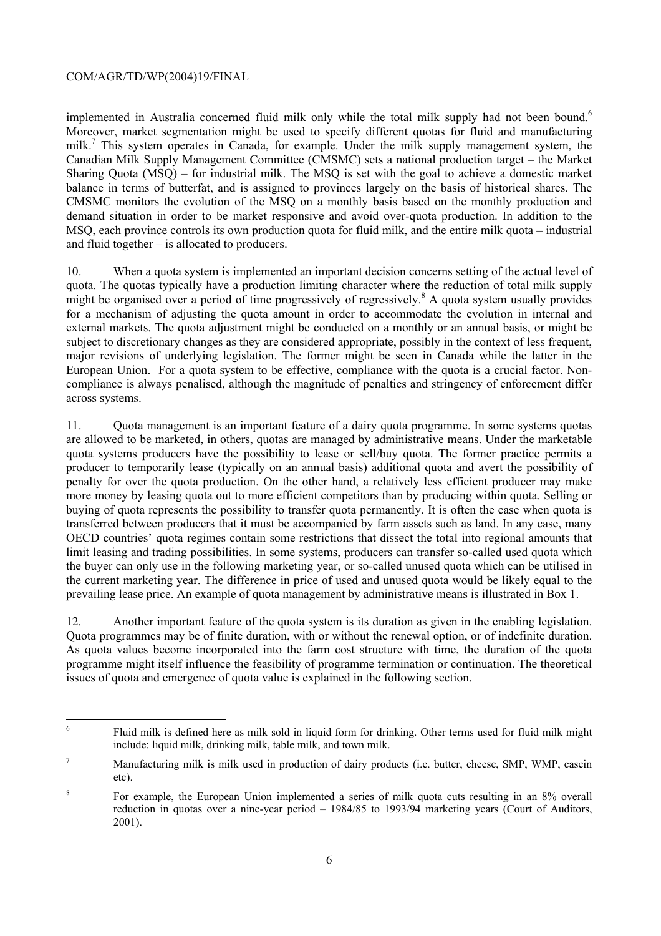implemented in Australia concerned fluid milk only while the total milk supply had not been bound.<sup>6</sup> Moreover, market segmentation might be used to specify different quotas for fluid and manufacturing milk.<sup>[7](#page-5-1)</sup> This system operates in Canada, for example. Under the milk supply management system, the Canadian Milk Supply Management Committee (CMSMC) sets a national production target – the Market Sharing Quota (MSQ) – for industrial milk. The MSQ is set with the goal to achieve a domestic market balance in terms of butterfat, and is assigned to provinces largely on the basis of historical shares. The CMSMC monitors the evolution of the MSQ on a monthly basis based on the monthly production and demand situation in order to be market responsive and avoid over-quota production. In addition to the MSQ, each province controls its own production quota for fluid milk, and the entire milk quota – industrial and fluid together – is allocated to producers.

10. When a quota system is implemented an important decision concerns setting of the actual level of quota. The quotas typically have a production limiting character where the reduction of total milk supply might be organised over a period of time progressively of regressively.<sup>[8](#page-5-2)</sup> A quota system usually provides for a mechanism of adjusting the quota amount in order to accommodate the evolution in internal and external markets. The quota adjustment might be conducted on a monthly or an annual basis, or might be subject to discretionary changes as they are considered appropriate, possibly in the context of less frequent, major revisions of underlying legislation. The former might be seen in Canada while the latter in the European Union. For a quota system to be effective, compliance with the quota is a crucial factor. Noncompliance is always penalised, although the magnitude of penalties and stringency of enforcement differ across systems.

11. Quota management is an important feature of a dairy quota programme. In some systems quotas are allowed to be marketed, in others, quotas are managed by administrative means. Under the marketable quota systems producers have the possibility to lease or sell/buy quota. The former practice permits a producer to temporarily lease (typically on an annual basis) additional quota and avert the possibility of penalty for over the quota production. On the other hand, a relatively less efficient producer may make more money by leasing quota out to more efficient competitors than by producing within quota. Selling or buying of quota represents the possibility to transfer quota permanently. It is often the case when quota is transferred between producers that it must be accompanied by farm assets such as land. In any case, many OECD countries' quota regimes contain some restrictions that dissect the total into regional amounts that limit leasing and trading possibilities. In some systems, producers can transfer so-called used quota which the buyer can only use in the following marketing year, or so-called unused quota which can be utilised in the current marketing year. The difference in price of used and unused quota would be likely equal to the prevailing lease price. An example of quota management by administrative means is illustrated in Box 1.

12. Another important feature of the quota system is its duration as given in the enabling legislation. Quota programmes may be of finite duration, with or without the renewal option, or of indefinite duration. As quota values become incorporated into the farm cost structure with time, the duration of the quota programme might itself influence the feasibility of programme termination or continuation. The theoretical issues of quota and emergence of quota value is explained in the following section.

<span id="page-5-0"></span> <sup>6</sup> Fluid milk is defined here as milk sold in liquid form for drinking. Other terms used for fluid milk might include: liquid milk, drinking milk, table milk, and town milk.

<span id="page-5-1"></span> $7 \text{ Mannifacturing milk is milk used in production of dairy products (i.e. butter, cheese, SMP, WMP, casein)$ etc).

<span id="page-5-2"></span><sup>&</sup>lt;sup>8</sup> For example, the European Union implemented a series of milk quota cuts resulting in an 8% overall reduction in quotas over a nine-year period – 1984/85 to 1993/94 marketing years (Court of Auditors, 2001).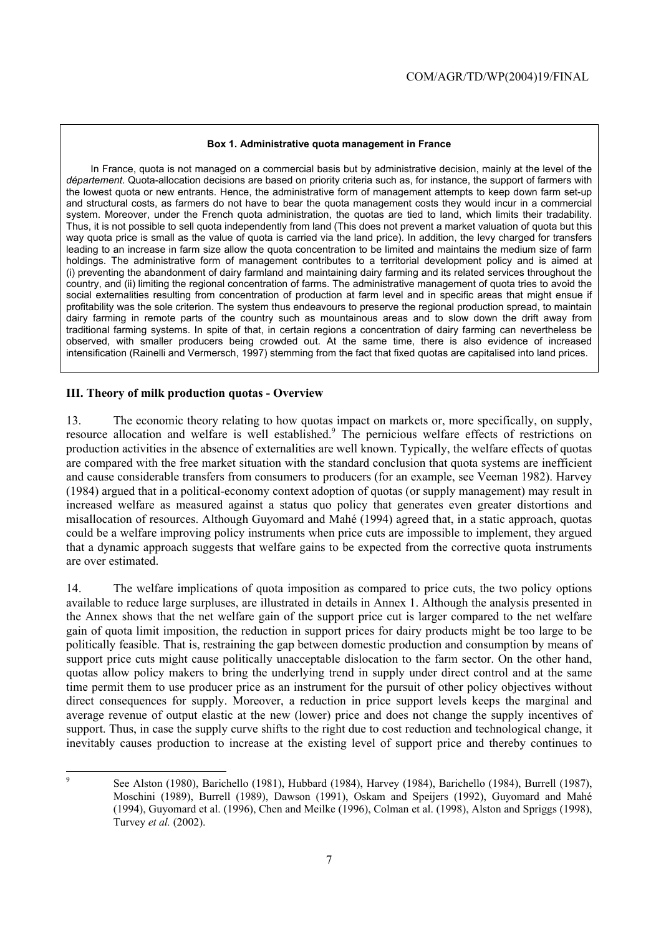#### **Box 1. Administrative quota management in France**

<span id="page-6-0"></span>In France, quota is not managed on a commercial basis but by administrative decision, mainly at the level of the *département*. Quota-allocation decisions are based on priority criteria such as, for instance, the support of farmers with the lowest quota or new entrants. Hence, the administrative form of management attempts to keep down farm set-up and structural costs, as farmers do not have to bear the quota management costs they would incur in a commercial system. Moreover, under the French quota administration, the quotas are tied to land, which limits their tradability. Thus, it is not possible to sell quota independently from land (This does not prevent a market valuation of quota but this way quota price is small as the value of quota is carried via the land price). In addition, the levy charged for transfers leading to an increase in farm size allow the quota concentration to be limited and maintains the medium size of farm holdings. The administrative form of management contributes to a territorial development policy and is aimed at (i) preventing the abandonment of dairy farmland and maintaining dairy farming and its related services throughout the country, and (ii) limiting the regional concentration of farms. The administrative management of quota tries to avoid the social externalities resulting from concentration of production at farm level and in specific areas that might ensue if profitability was the sole criterion. The system thus endeavours to preserve the regional production spread, to maintain dairy farming in remote parts of the country such as mountainous areas and to slow down the drift away from traditional farming systems. In spite of that, in certain regions a concentration of dairy farming can nevertheless be observed, with smaller producers being crowded out. At the same time, there is also evidence of increased intensification (Rainelli and Vermersch, 1997) stemming from the fact that fixed quotas are capitalised into land prices.

#### **III. Theory of milk production quotas - Overview**

13. The economic theory relating to how quotas impact on markets or, more specifically, on supply, resource allocation and welfare is well established.<sup>[9](#page-6-1)</sup> The pernicious welfare effects of restrictions on production activities in the absence of externalities are well known. Typically, the welfare effects of quotas are compared with the free market situation with the standard conclusion that quota systems are inefficient and cause considerable transfers from consumers to producers (for an example, see Veeman 1982). Harvey (1984) argued that in a political-economy context adoption of quotas (or supply management) may result in increased welfare as measured against a status quo policy that generates even greater distortions and misallocation of resources. Although Guyomard and Mahé (1994) agreed that, in a static approach, quotas could be a welfare improving policy instruments when price cuts are impossible to implement, they argued that a dynamic approach suggests that welfare gains to be expected from the corrective quota instruments are over estimated.

14. The welfare implications of quota imposition as compared to price cuts, the two policy options available to reduce large surpluses, are illustrated in details in Annex 1. Although the analysis presented in the Annex shows that the net welfare gain of the support price cut is larger compared to the net welfare gain of quota limit imposition, the reduction in support prices for dairy products might be too large to be politically feasible. That is, restraining the gap between domestic production and consumption by means of support price cuts might cause politically unacceptable dislocation to the farm sector. On the other hand, quotas allow policy makers to bring the underlying trend in supply under direct control and at the same time permit them to use producer price as an instrument for the pursuit of other policy objectives without direct consequences for supply. Moreover, a reduction in price support levels keeps the marginal and average revenue of output elastic at the new (lower) price and does not change the supply incentives of support. Thus, in case the supply curve shifts to the right due to cost reduction and technological change, it inevitably causes production to increase at the existing level of support price and thereby continues to

<span id="page-6-1"></span> <sup>9</sup> See Alston (1980), Barichello (1981), Hubbard (1984), Harvey (1984), Barichello (1984), Burrell (1987), Moschini (1989), Burrell (1989), Dawson (1991), Oskam and Speijers (1992), Guyomard and Mahé (1994), Guyomard et al. (1996), Chen and Meilke (1996), Colman et al. (1998), Alston and Spriggs (1998), Turvey *et al.* (2002).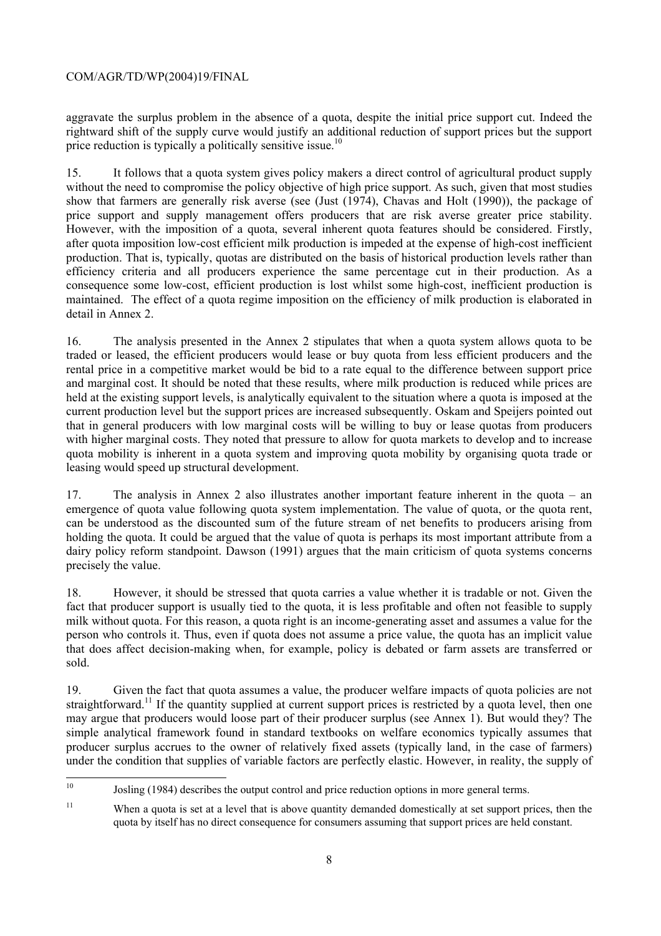aggravate the surplus problem in the absence of a quota, despite the initial price support cut. Indeed the rightward shift of the supply curve would justify an additional reduction of support prices but the support price reduction is typically a politically sensitive issue.<sup>[10](#page-7-0)</sup>

15. It follows that a quota system gives policy makers a direct control of agricultural product supply without the need to compromise the policy objective of high price support. As such, given that most studies show that farmers are generally risk averse (see (Just (1974), Chavas and Holt (1990)), the package of price support and supply management offers producers that are risk averse greater price stability. However, with the imposition of a quota, several inherent quota features should be considered. Firstly, after quota imposition low-cost efficient milk production is impeded at the expense of high-cost inefficient production. That is, typically, quotas are distributed on the basis of historical production levels rather than efficiency criteria and all producers experience the same percentage cut in their production. As a consequence some low-cost, efficient production is lost whilst some high-cost, inefficient production is maintained. The effect of a quota regime imposition on the efficiency of milk production is elaborated in detail in Annex 2.

16. The analysis presented in the Annex 2 stipulates that when a quota system allows quota to be traded or leased, the efficient producers would lease or buy quota from less efficient producers and the rental price in a competitive market would be bid to a rate equal to the difference between support price and marginal cost. It should be noted that these results, where milk production is reduced while prices are held at the existing support levels, is analytically equivalent to the situation where a quota is imposed at the current production level but the support prices are increased subsequently. Oskam and Speijers pointed out that in general producers with low marginal costs will be willing to buy or lease quotas from producers with higher marginal costs. They noted that pressure to allow for quota markets to develop and to increase quota mobility is inherent in a quota system and improving quota mobility by organising quota trade or leasing would speed up structural development.

17. The analysis in Annex 2 also illustrates another important feature inherent in the quota – an emergence of quota value following quota system implementation. The value of quota, or the quota rent, can be understood as the discounted sum of the future stream of net benefits to producers arising from holding the quota. It could be argued that the value of quota is perhaps its most important attribute from a dairy policy reform standpoint. Dawson (1991) argues that the main criticism of quota systems concerns precisely the value.

18. However, it should be stressed that quota carries a value whether it is tradable or not. Given the fact that producer support is usually tied to the quota, it is less profitable and often not feasible to supply milk without quota. For this reason, a quota right is an income-generating asset and assumes a value for the person who controls it. Thus, even if quota does not assume a price value, the quota has an implicit value that does affect decision-making when, for example, policy is debated or farm assets are transferred or sold.

19. Given the fact that quota assumes a value, the producer welfare impacts of quota policies are not straightforward.<sup>11</sup> If the quantity supplied at current support prices is restricted by a quota level, then one may argue that producers would loose part of their producer surplus (see Annex 1). But would they? The simple analytical framework found in standard textbooks on welfare economics typically assumes that producer surplus accrues to the owner of relatively fixed assets (typically land, in the case of farmers) under the condition that supplies of variable factors are perfectly elastic. However, in reality, the supply of

<span id="page-7-0"></span> <sup>10</sup> Josling (1984) describes the output control and price reduction options in more general terms.

<span id="page-7-1"></span><sup>&</sup>lt;sup>11</sup> When a quota is set at a level that is above quantity demanded domestically at set support prices, then the quota by itself has no direct consequence for consumers assuming that support prices are held constant.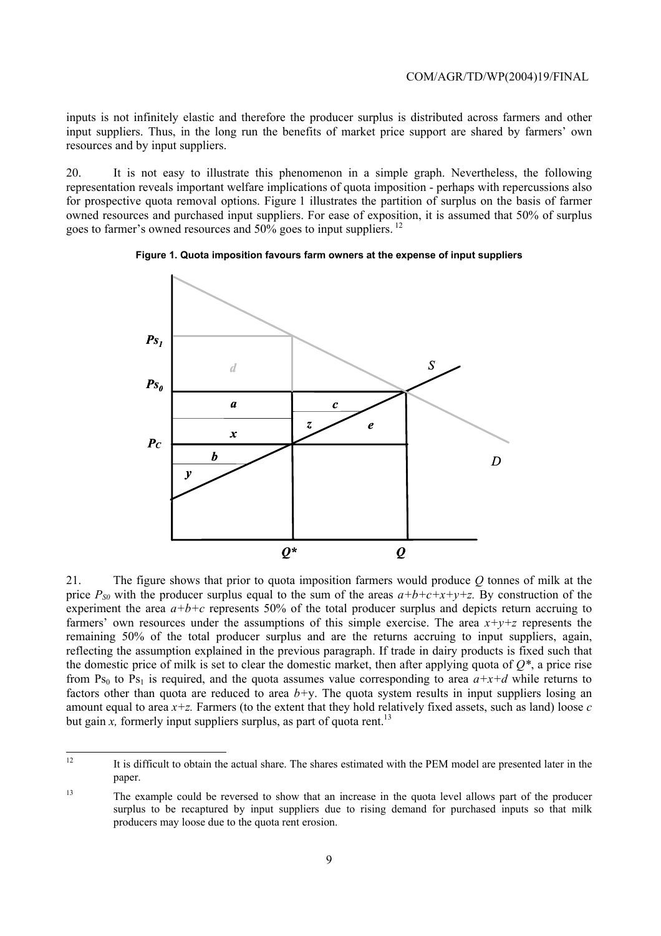<span id="page-8-0"></span>inputs is not infinitely elastic and therefore the producer surplus is distributed across farmers and other input suppliers. Thus, in the long run the benefits of market price support are shared by farmers' own resources and by input suppliers.

20. It is not easy to illustrate this phenomenon in a simple graph. Nevertheless, the following representation reveals important welfare implications of quota imposition - perhaps with repercussions also for prospective quota removal options. Figure 1 illustrates the partition of surplus on the basis of farmer owned resources and purchased input suppliers. For ease of exposition, it is assumed that 50% of surplus goes to farmer's owned resources and 50% goes to input suppliers. [12](#page-8-1) 

#### **Figure 1. Quota imposition favours farm owners at the expense of input suppliers**



21. The figure shows that prior to quota imposition farmers would produce *Q* tonnes of milk at the price  $P_{S0}$  with the producer surplus equal to the sum of the areas  $a+b+c+x+y+z$ . By construction of the experiment the area  $a+b+c$  represents 50% of the total producer surplus and depicts return accruing to farmers' own resources under the assumptions of this simple exercise. The area *x+y+z* represents the remaining 50% of the total producer surplus and are the returns accruing to input suppliers, again, reflecting the assumption explained in the previous paragraph. If trade in dairy products is fixed such that the domestic price of milk is set to clear the domestic market, then after applying quota of  $O^*$ , a price rise from Ps<sub>0</sub> to P<sub>S1</sub> is required, and the quota assumes value corresponding to area  $a+x+d$  while returns to factors other than quota are reduced to area *b+*y. The quota system results in input suppliers losing an amount equal to area *x+z.* Farmers (to the extent that they hold relatively fixed assets, such as land) loose *c* but gain *x*, formerly input suppliers surplus, as part of quota rent.<sup>13</sup>

<span id="page-8-1"></span><sup>&</sup>lt;sup>12</sup> It is difficult to obtain the actual share. The shares estimated with the PEM model are presented later in the paper.

<span id="page-8-2"></span><sup>&</sup>lt;sup>13</sup> The example could be reversed to show that an increase in the quota level allows part of the producer surplus to be recaptured by input suppliers due to rising demand for purchased inputs so that milk producers may loose due to the quota rent erosion.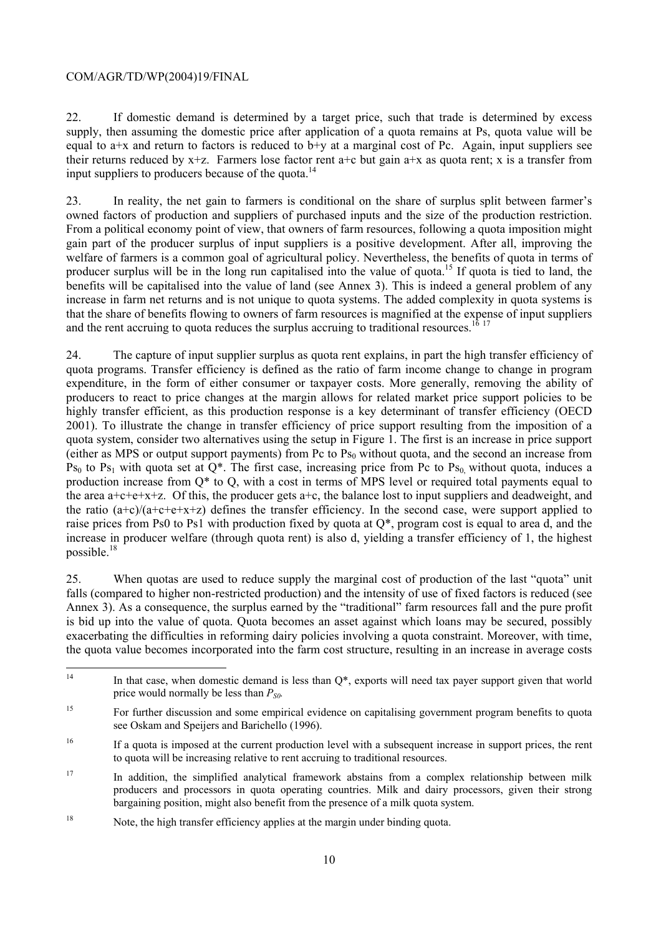22. If domestic demand is determined by a target price, such that trade is determined by excess supply, then assuming the domestic price after application of a quota remains at Ps, quota value will be equal to  $a+x$  and return to factors is reduced to  $b+y$  at a marginal cost of Pc. Again, input suppliers see their returns reduced by  $x+z$ . Farmers lose factor rent a<sup>+</sup>c but gain a+x as quota rent; x is a transfer from input suppliers to producers because of the quota. $^{14}$ 

23. In reality, the net gain to farmers is conditional on the share of surplus split between farmer's owned factors of production and suppliers of purchased inputs and the size of the production restriction. From a political economy point of view, that owners of farm resources, following a quota imposition might gain part of the producer surplus of input suppliers is a positive development. After all, improving the welfare of farmers is a common goal of agricultural policy. Nevertheless, the benefits of quota in terms of producer surplus will be in the long run capitalised into the value of quota.[15](#page-9-1) If quota is tied to land, the benefits will be capitalised into the value of land (see Annex 3). This is indeed a general problem of any increase in farm net returns and is not unique to quota systems. The added complexity in quota systems is that the share of benefits flowing to owners of farm resources is magnified at the expense of input suppliers and the rent accruing to quota reduces the surplus accruing to traditional resources.<sup>[16](#page-9-2) 17</sup>

24. The capture of input supplier surplus as quota rent explains, in part the high transfer efficiency of quota programs. Transfer efficiency is defined as the ratio of farm income change to change in program expenditure, in the form of either consumer or taxpayer costs. More generally, removing the ability of producers to react to price changes at the margin allows for related market price support policies to be highly transfer efficient, as this production response is a key determinant of transfer efficiency (OECD 2001). To illustrate the change in transfer efficiency of price support resulting from the imposition of a quota system, consider two alternatives using the setup in Figure 1. The first is an increase in price support (either as MPS or output support payments) from Pc to  $Ps_0$  without quota, and the second an increase from  $P_{S_0}$  to  $P_{S_1}$  with quota set at  $Q^*$ . The first case, increasing price from Pc to  $P_{S_0}$  without quota, induces a production increase from Q\* to Q, with a cost in terms of MPS level or required total payments equal to the area  $a+c+e+x+z$ . Of this, the producer gets  $a+c$ , the balance lost to input suppliers and deadweight, and the ratio  $(a+c)/(a+c+c+x+z)$  defines the transfer efficiency. In the second case, were support applied to raise prices from Ps0 to Ps1 with production fixed by quota at Q\*, program cost is equal to area d, and the increase in producer welfare (through quota rent) is also d, yielding a transfer efficiency of 1, the highest possible.<sup>[18](#page-9-4)</sup>

25. When quotas are used to reduce supply the marginal cost of production of the last "quota" unit falls (compared to higher non-restricted production) and the intensity of use of fixed factors is reduced (see Annex 3). As a consequence, the surplus earned by the "traditional" farm resources fall and the pure profit is bid up into the value of quota. Quota becomes an asset against which loans may be secured, possibly exacerbating the difficulties in reforming dairy policies involving a quota constraint. Moreover, with time, the quota value becomes incorporated into the farm cost structure, resulting in an increase in average costs

<span id="page-9-0"></span><sup>&</sup>lt;sup>14</sup> In that case, when domestic demand is less than  $Q^*$ , exports will need tax payer support given that world price would normally be less than  $P_{\text{S0}}$ .

<span id="page-9-1"></span><sup>&</sup>lt;sup>15</sup> For further discussion and some empirical evidence on capitalising government program benefits to quota see Oskam and Speijers and Barichello (1996).

<span id="page-9-2"></span><sup>&</sup>lt;sup>16</sup> If a quota is imposed at the current production level with a subsequent increase in support prices, the rent to quota will be increasing relative to rent accruing to traditional resources.

<span id="page-9-3"></span><sup>&</sup>lt;sup>17</sup> In addition, the simplified analytical framework abstains from a complex relationship between milk producers and processors in quota operating countries. Milk and dairy processors, given their strong bargaining position, might also benefit from the presence of a milk quota system.

<span id="page-9-4"></span><sup>&</sup>lt;sup>18</sup> Note, the high transfer efficiency applies at the margin under binding quota.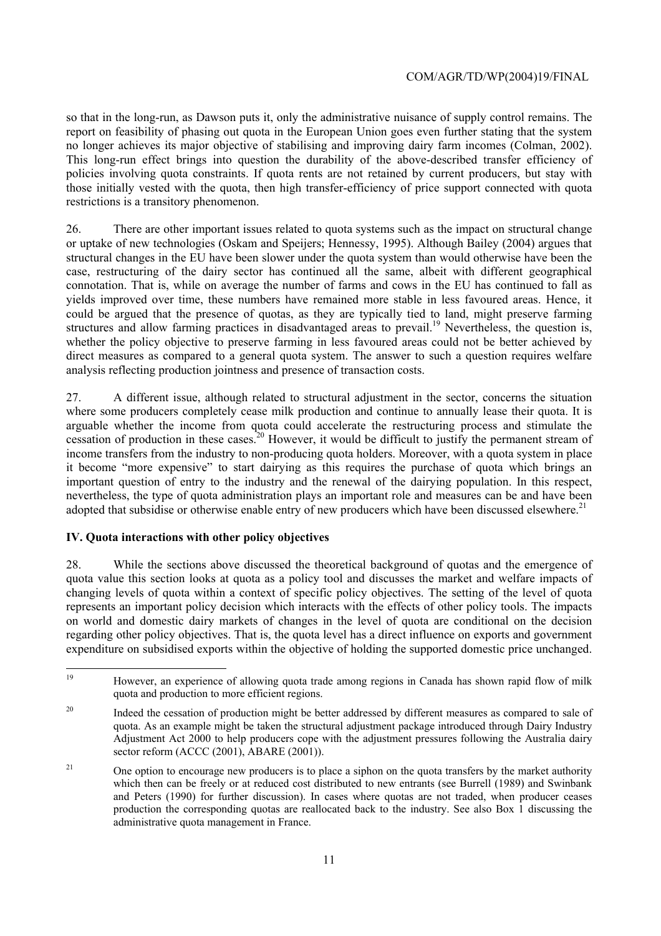so that in the long-run, as Dawson puts it, only the administrative nuisance of supply control remains. The report on feasibility of phasing out quota in the European Union goes even further stating that the system no longer achieves its major objective of stabilising and improving dairy farm incomes (Colman, 2002). This long-run effect brings into question the durability of the above-described transfer efficiency of policies involving quota constraints. If quota rents are not retained by current producers, but stay with those initially vested with the quota, then high transfer-efficiency of price support connected with quota restrictions is a transitory phenomenon.

26. There are other important issues related to quota systems such as the impact on structural change or uptake of new technologies (Oskam and Speijers; Hennessy, 1995). Although Bailey (2004) argues that structural changes in the EU have been slower under the quota system than would otherwise have been the case, restructuring of the dairy sector has continued all the same, albeit with different geographical connotation. That is, while on average the number of farms and cows in the EU has continued to fall as yields improved over time, these numbers have remained more stable in less favoured areas. Hence, it could be argued that the presence of quotas, as they are typically tied to land, might preserve farming structures and allow farming practices in disadvantaged areas to prevail.<sup>19</sup> Nevertheless, the question is, whether the policy objective to preserve farming in less favoured areas could not be better achieved by direct measures as compared to a general quota system. The answer to such a question requires welfare analysis reflecting production jointness and presence of transaction costs.

27. A different issue, although related to structural adjustment in the sector, concerns the situation where some producers completely cease milk production and continue to annually lease their quota. It is arguable whether the income from quota could accelerate the restructuring process and stimulate the cessation of production in these cases.<sup>20</sup> However, it would be difficult to justify the permanent stream of income transfers from the industry to non-producing quota holders. Moreover, with a quota system in place it become "more expensive" to start dairying as this requires the purchase of quota which brings an important question of entry to the industry and the renewal of the dairying population. In this respect, nevertheless, the type of quota administration plays an important role and measures can be and have been adopted that subsidise or otherwise enable entry of new producers which have been discussed elsewhere.<sup>[21](#page-10-2)</sup>

#### **IV. Quota interactions with other policy objectives**

28. While the sections above discussed the theoretical background of quotas and the emergence of quota value this section looks at quota as a policy tool and discusses the market and welfare impacts of changing levels of quota within a context of specific policy objectives. The setting of the level of quota represents an important policy decision which interacts with the effects of other policy tools. The impacts on world and domestic dairy markets of changes in the level of quota are conditional on the decision regarding other policy objectives. That is, the quota level has a direct influence on exports and government expenditure on subsidised exports within the objective of holding the supported domestic price unchanged.

<span id="page-10-0"></span> <sup>19</sup> However, an experience of allowing quota trade among regions in Canada has shown rapid flow of milk quota and production to more efficient regions.

<span id="page-10-1"></span><sup>&</sup>lt;sup>20</sup> Indeed the cessation of production might be better addressed by different measures as compared to sale of quota. As an example might be taken the structural adjustment package introduced through Dairy Industry Adjustment Act 2000 to help producers cope with the adjustment pressures following the Australia dairy sector reform (ACCC (2001), ABARE (2001)).

<span id="page-10-2"></span><sup>&</sup>lt;sup>21</sup> One option to encourage new producers is to place a siphon on the quota transfers by the market authority which then can be freely or at reduced cost distributed to new entrants (see Burrell (1989) and Swinbank and Peters (1990) for further discussion). In cases where quotas are not traded, when producer ceases production the corresponding quotas are reallocated back to the industry. See also Box 1 discussing the administrative quota management in France.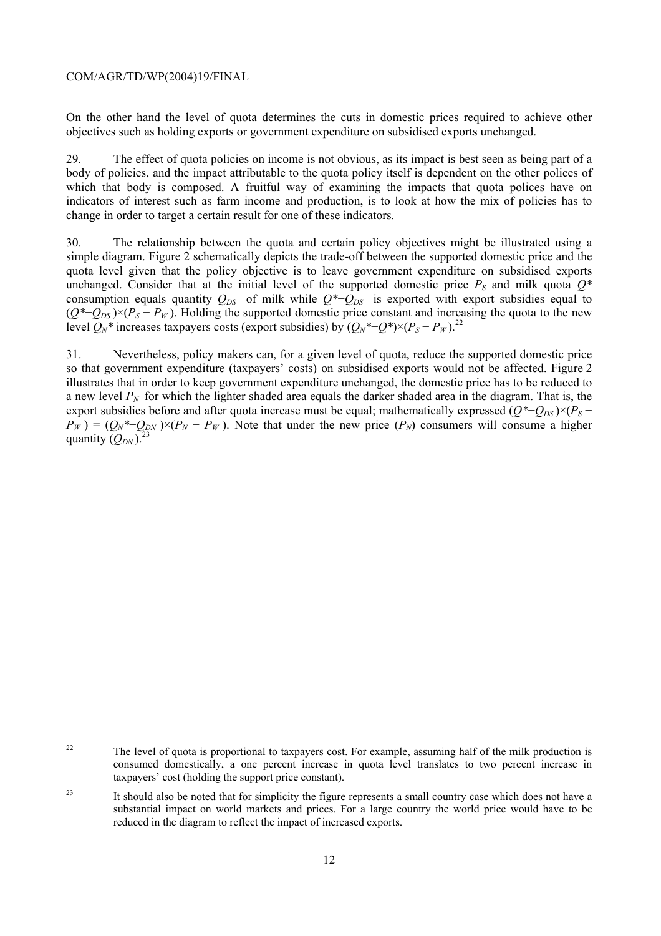<span id="page-11-0"></span>On the other hand the level of quota determines the cuts in domestic prices required to achieve other objectives such as holding exports or government expenditure on subsidised exports unchanged.

29. The effect of quota policies on income is not obvious, as its impact is best seen as being part of a body of policies, and the impact attributable to the quota policy itself is dependent on the other polices of which that body is composed. A fruitful way of examining the impacts that quota polices have on indicators of interest such as farm income and production, is to look at how the mix of policies has to change in order to target a certain result for one of these indicators.

30. The relationship between the quota and certain policy objectives might be illustrated using a simple diagram. Figure 2 schematically depicts the trade-off between the supported domestic price and the quota level given that the policy objective is to leave government expenditure on subsidised exports unchanged. Consider that at the initial level of the supported domestic price  $P<sub>S</sub>$  and milk quota  $Q<sup>*</sup>$ consumption equals quantity  $Q_{DS}$  of milk while  $Q^*$ − $\overline{Q_{DS}}$  is exported with export subsidies equal to  $(Q^*$ − $Q_{DS}$ )×( $P_S$ − $P_W$ ). Holding the supported domestic price constant and increasing the quota to the new level  $Q_N^*$  increases taxpayers costs (export subsidies) by  $(Q_N^*$ − $Q^*)$ × $(P_S - P_W)$ .<sup>[22](#page-11-1)</sup>

31. Nevertheless, policy makers can, for a given level of quota, reduce the supported domestic price so that government expenditure (taxpayers' costs) on subsidised exports would not be affected. Figure 2 illustrates that in order to keep government expenditure unchanged, the domestic price has to be reduced to a new level  $P_N$  for which the lighter shaded area equals the darker shaded area in the diagram. That is, the export subsidies before and after quota increase must be equal; mathematically expressed  $(O^*–O_{DS})\times (P_S P_W$ ) =  $(Q_N^*$ − $Q_{DN}$   $)\times (P_N - P_W)$ . Note that under the new price  $(P_N)$  consumers will consume a higher quantity  $(O_{DN})$ .<sup>[23](#page-11-2)</sup>

<span id="page-11-1"></span><sup>&</sup>lt;sup>22</sup> The level of quota is proportional to taxpayers cost. For example, assuming half of the milk production is consumed domestically, a one percent increase in quota level translates to two percent increase in taxpayers' cost (holding the support price constant).

<span id="page-11-2"></span><sup>&</sup>lt;sup>23</sup> It should also be noted that for simplicity the figure represents a small country case which does not have a substantial impact on world markets and prices. For a large country the world price would have to be reduced in the diagram to reflect the impact of increased exports.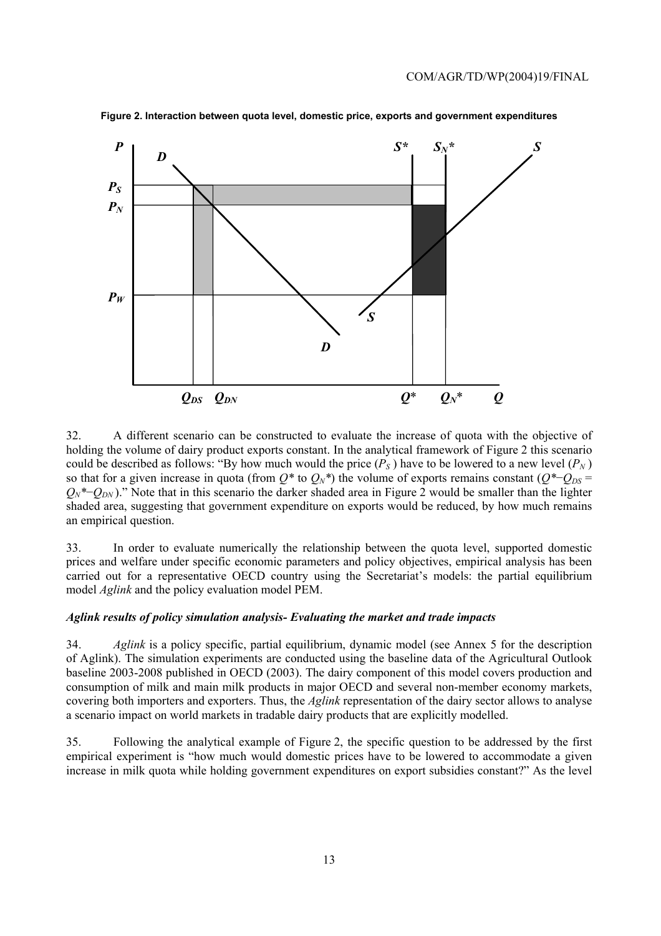

<span id="page-12-0"></span>**Figure 2. Interaction between quota level, domestic price, exports and government expenditures**

32. A different scenario can be constructed to evaluate the increase of quota with the objective of holding the volume of dairy product exports constant. In the analytical framework of Figure 2 this scenario could be described as follows: "By how much would the price  $(P_s)$  have to be lowered to a new level  $(P_N)$ so that for a given increase in quota (from  $Q^*$  to  $Q_N^*$ ) the volume of exports remains constant ( $Q^*$ − $Q_{DS}$  = *Q<sub>N</sub>\*−Q<sub>DN</sub>*)." Note that in this scenario the darker shaded area in Figure 2 would be smaller than the lighter shaded area, suggesting that government expenditure on exports would be reduced, by how much remains an empirical question.

33. In order to evaluate numerically the relationship between the quota level, supported domestic prices and welfare under specific economic parameters and policy objectives, empirical analysis has been carried out for a representative OECD country using the Secretariat's models: the partial equilibrium model *Aglink* and the policy evaluation model PEM.

#### *Aglink results of policy simulation analysis- Evaluating the market and trade impacts*

34. *Aglink* is a policy specific, partial equilibrium, dynamic model (see Annex 5 for the description of Aglink). The simulation experiments are conducted using the baseline data of the Agricultural Outlook baseline 2003-2008 published in OECD (2003). The dairy component of this model covers production and consumption of milk and main milk products in major OECD and several non-member economy markets, covering both importers and exporters. Thus, the *Aglink* representation of the dairy sector allows to analyse a scenario impact on world markets in tradable dairy products that are explicitly modelled.

35. Following the analytical example of Figure 2, the specific question to be addressed by the first empirical experiment is "how much would domestic prices have to be lowered to accommodate a given increase in milk quota while holding government expenditures on export subsidies constant?" As the level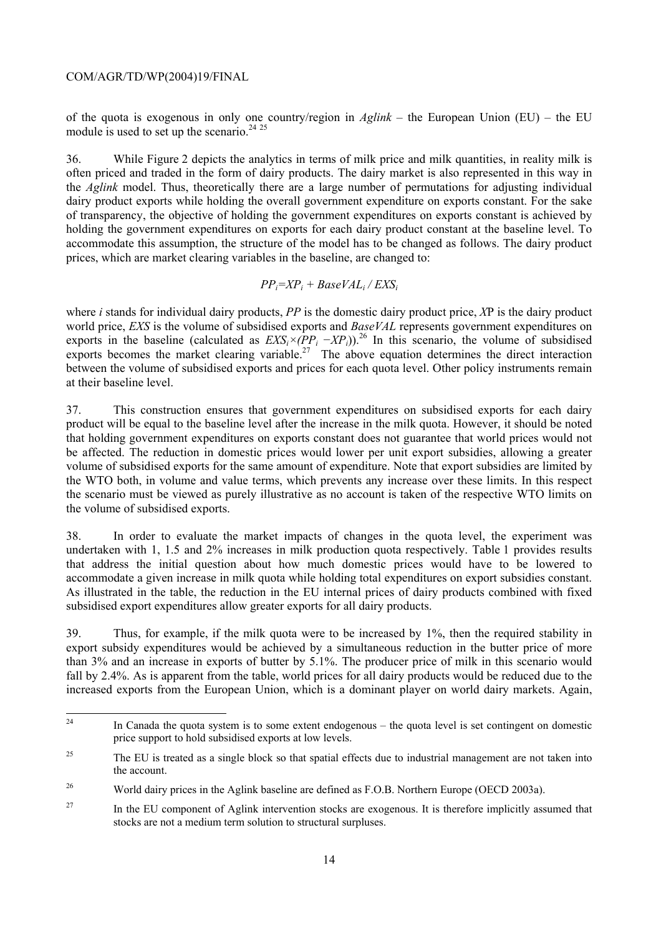of the quota is exogenous in only one country/region in *Aglink* – the European Union (EU) – the EU module is used to set up the scenario.<sup>[24](#page-13-0) [25](#page-13-1)</sup>

36. While Figure 2 depicts the analytics in terms of milk price and milk quantities, in reality milk is often priced and traded in the form of dairy products. The dairy market is also represented in this way in the *Aglink* model. Thus, theoretically there are a large number of permutations for adjusting individual dairy product exports while holding the overall government expenditure on exports constant. For the sake of transparency, the objective of holding the government expenditures on exports constant is achieved by holding the government expenditures on exports for each dairy product constant at the baseline level. To accommodate this assumption, the structure of the model has to be changed as follows. The dairy product prices, which are market clearing variables in the baseline, are changed to:

$$
PP_i = XP_i + BaseVAL_i / EXS_i
$$

where *i* stands for individual dairy products, *PP* is the domestic dairy product price, *X*P is the dairy product world price, *EXS* is the volume of subsidised exports and *BaseVAL* represents government expenditures on exports in the baseline (calculated as *EXSi×(PPi −XPi*))[.26](#page-13-2) In this scenario, the volume of subsidised exports becomes the market clearing variable.<sup>27</sup> The above equation determines the direct interaction between the volume of subsidised exports and prices for each quota level. Other policy instruments remain at their baseline level.

37. This construction ensures that government expenditures on subsidised exports for each dairy product will be equal to the baseline level after the increase in the milk quota. However, it should be noted that holding government expenditures on exports constant does not guarantee that world prices would not be affected. The reduction in domestic prices would lower per unit export subsidies, allowing a greater volume of subsidised exports for the same amount of expenditure. Note that export subsidies are limited by the WTO both, in volume and value terms, which prevents any increase over these limits. In this respect the scenario must be viewed as purely illustrative as no account is taken of the respective WTO limits on the volume of subsidised exports.

38. In order to evaluate the market impacts of changes in the quota level, the experiment was undertaken with 1, 1.5 and 2% increases in milk production quota respectively. Table 1 provides results that address the initial question about how much domestic prices would have to be lowered to accommodate a given increase in milk quota while holding total expenditures on export subsidies constant. As illustrated in the table, the reduction in the EU internal prices of dairy products combined with fixed subsidised export expenditures allow greater exports for all dairy products.

39. Thus, for example, if the milk quota were to be increased by 1%, then the required stability in export subsidy expenditures would be achieved by a simultaneous reduction in the butter price of more than 3% and an increase in exports of butter by 5.1%. The producer price of milk in this scenario would fall by 2.4%. As is apparent from the table, world prices for all dairy products would be reduced due to the increased exports from the European Union, which is a dominant player on world dairy markets. Again,

<span id="page-13-0"></span><sup>&</sup>lt;sup>24</sup> In Canada the quota system is to some extent endogenous – the quota level is set contingent on domestic price support to hold subsidised exports at low levels.

<span id="page-13-1"></span><sup>&</sup>lt;sup>25</sup> The EU is treated as a single block so that spatial effects due to industrial management are not taken into the account.

<span id="page-13-2"></span><sup>&</sup>lt;sup>26</sup> World dairy prices in the Aglink baseline are defined as F.O.B. Northern Europe (OECD 2003a).

<span id="page-13-3"></span><sup>&</sup>lt;sup>27</sup> In the EU component of Aglink intervention stocks are exogenous. It is therefore implicitly assumed that stocks are not a medium term solution to structural surpluses.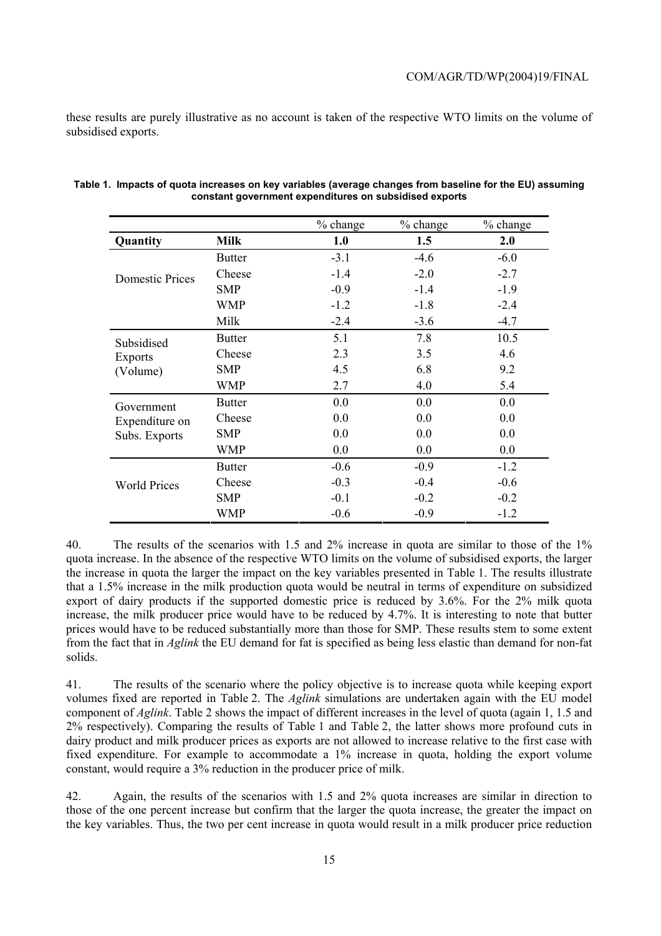<span id="page-14-0"></span>these results are purely illustrative as no account is taken of the respective WTO limits on the volume of subsidised exports.

|                                 |               | % change | % change | % change |
|---------------------------------|---------------|----------|----------|----------|
| Quantity                        | <b>Milk</b>   | 1.0      | 1.5      | 2.0      |
|                                 | <b>Butter</b> | $-3.1$   | $-4.6$   | $-6.0$   |
| Domestic Prices                 | Cheese        | $-1.4$   | $-2.0$   | $-2.7$   |
|                                 | <b>SMP</b>    | $-0.9$   | $-1.4$   | $-1.9$   |
|                                 | <b>WMP</b>    | $-1.2$   | $-1.8$   | $-2.4$   |
|                                 | Milk          | $-2.4$   | $-3.6$   | $-4.7$   |
| Subsidised                      | <b>Butter</b> | 5.1      | 7.8      | 10.5     |
| <b>Exports</b>                  | Cheese        | 2.3      | 3.5      | 4.6      |
| (Volume)                        | <b>SMP</b>    | 4.5      | 6.8      | 9.2      |
|                                 | <b>WMP</b>    | 2.7      | 4.0      | 5.4      |
| Government                      | <b>Butter</b> | 0.0      | 0.0      | 0.0      |
| Expenditure on<br>Subs. Exports | Cheese        | 0.0      | 0.0      | 0.0      |
|                                 | <b>SMP</b>    | 0.0      | 0.0      | 0.0      |
|                                 | <b>WMP</b>    | 0.0      | $0.0\,$  | 0.0      |
| <b>World Prices</b>             | <b>Butter</b> | $-0.6$   | $-0.9$   | $-1.2$   |
|                                 | Cheese        | $-0.3$   | $-0.4$   | $-0.6$   |
|                                 | <b>SMP</b>    | $-0.1$   | $-0.2$   | $-0.2$   |
|                                 | <b>WMP</b>    | $-0.6$   | $-0.9$   | $-1.2$   |

| Table 1. Impacts of quota increases on key variables (average changes from baseline for the EU) assuming |
|----------------------------------------------------------------------------------------------------------|
| constant government expenditures on subsidised exports                                                   |

40. The results of the scenarios with 1.5 and 2% increase in quota are similar to those of the 1% quota increase. In the absence of the respective WTO limits on the volume of subsidised exports, the larger the increase in quota the larger the impact on the key variables presented in Table 1. The results illustrate that a 1.5% increase in the milk production quota would be neutral in terms of expenditure on subsidized export of dairy products if the supported domestic price is reduced by 3.6%. For the 2% milk quota increase, the milk producer price would have to be reduced by 4.7%. It is interesting to note that butter prices would have to be reduced substantially more than those for SMP. These results stem to some extent from the fact that in *Aglink* the EU demand for fat is specified as being less elastic than demand for non-fat solids.

41. The results of the scenario where the policy objective is to increase quota while keeping export volumes fixed are reported in Table 2. The *Aglink* simulations are undertaken again with the EU model component of *Aglink*. Table 2 shows the impact of different increases in the level of quota (again 1, 1.5 and 2% respectively). Comparing the results of Table 1 and Table 2, the latter shows more profound cuts in dairy product and milk producer prices as exports are not allowed to increase relative to the first case with fixed expenditure. For example to accommodate a 1% increase in quota, holding the export volume constant, would require a 3% reduction in the producer price of milk.

42. Again, the results of the scenarios with 1.5 and 2% quota increases are similar in direction to those of the one percent increase but confirm that the larger the quota increase, the greater the impact on the key variables. Thus, the two per cent increase in quota would result in a milk producer price reduction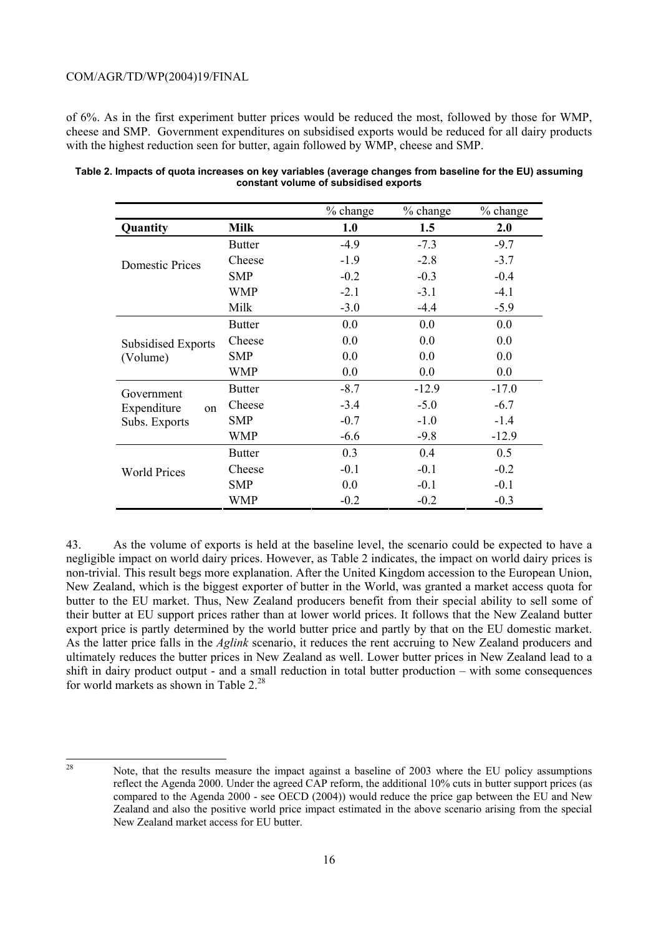<span id="page-15-0"></span>of 6%. As in the first experiment butter prices would be reduced the most, followed by those for WMP, cheese and SMP. Government expenditures on subsidised exports would be reduced for all dairy products with the highest reduction seen for butter, again followed by WMP, cheese and SMP.

|                                                  |               | % change | % change | % change |
|--------------------------------------------------|---------------|----------|----------|----------|
| Quantity                                         | <b>Milk</b>   | 1.0      | 1.5      | 2.0      |
|                                                  | <b>Butter</b> | $-4.9$   | $-7.3$   | $-9.7$   |
| Domestic Prices                                  | Cheese        | $-1.9$   | $-2.8$   | $-3.7$   |
|                                                  | <b>SMP</b>    | $-0.2$   | $-0.3$   | $-0.4$   |
|                                                  | <b>WMP</b>    | $-2.1$   | $-3.1$   | $-4.1$   |
|                                                  | Milk          | $-3.0$   | $-4.4$   | $-5.9$   |
|                                                  | <b>Butter</b> | 0.0      | 0.0      | 0.0      |
| <b>Subsidised Exports</b>                        | Cheese        | 0.0      | 0.0      | 0.0      |
| (Volume)                                         | <b>SMP</b>    | 0.0      | 0.0      | 0.0      |
|                                                  | <b>WMP</b>    | 0.0      | 0.0      | 0.0      |
| Government<br>Expenditure<br>on<br>Subs. Exports | <b>Butter</b> | $-8.7$   | $-12.9$  | $-17.0$  |
|                                                  | Cheese        | $-3.4$   | $-5.0$   | $-6.7$   |
|                                                  | <b>SMP</b>    | $-0.7$   | $-1.0$   | $-1.4$   |
|                                                  | <b>WMP</b>    | $-6.6$   | $-9.8$   | $-12.9$  |
| <b>World Prices</b>                              | <b>Butter</b> | 0.3      | 0.4      | 0.5      |
|                                                  | Cheese        | $-0.1$   | $-0.1$   | $-0.2$   |
|                                                  | <b>SMP</b>    | 0.0      | $-0.1$   | $-0.1$   |
|                                                  | WMP           | $-0.2$   | $-0.2$   | $-0.3$   |

| Table 2. Impacts of quota increases on key variables (average changes from baseline for the EU) assuming |  |
|----------------------------------------------------------------------------------------------------------|--|
| constant volume of subsidised exports                                                                    |  |

43. As the volume of exports is held at the baseline level, the scenario could be expected to have a negligible impact on world dairy prices. However, as Table 2 indicates, the impact on world dairy prices is non-trivial. This result begs more explanation. After the United Kingdom accession to the European Union, New Zealand, which is the biggest exporter of butter in the World, was granted a market access quota for butter to the EU market. Thus, New Zealand producers benefit from their special ability to sell some of their butter at EU support prices rather than at lower world prices. It follows that the New Zealand butter export price is partly determined by the world butter price and partly by that on the EU domestic market. As the latter price falls in the *Aglink* scenario, it reduces the rent accruing to New Zealand producers and ultimately reduces the butter prices in New Zealand as well. Lower butter prices in New Zealand lead to a shift in dairy product output - and a small reduction in total butter production – with some consequences for world markets as shown in Table  $2.^{28}$ 

<span id="page-15-1"></span><sup>&</sup>lt;sup>28</sup> Note, that the results measure the impact against a baseline of 2003 where the EU policy assumptions reflect the Agenda 2000. Under the agreed CAP reform, the additional 10% cuts in butter support prices (as compared to the Agenda 2000 - see OECD (2004)) would reduce the price gap between the EU and New Zealand and also the positive world price impact estimated in the above scenario arising from the special New Zealand market access for EU butter.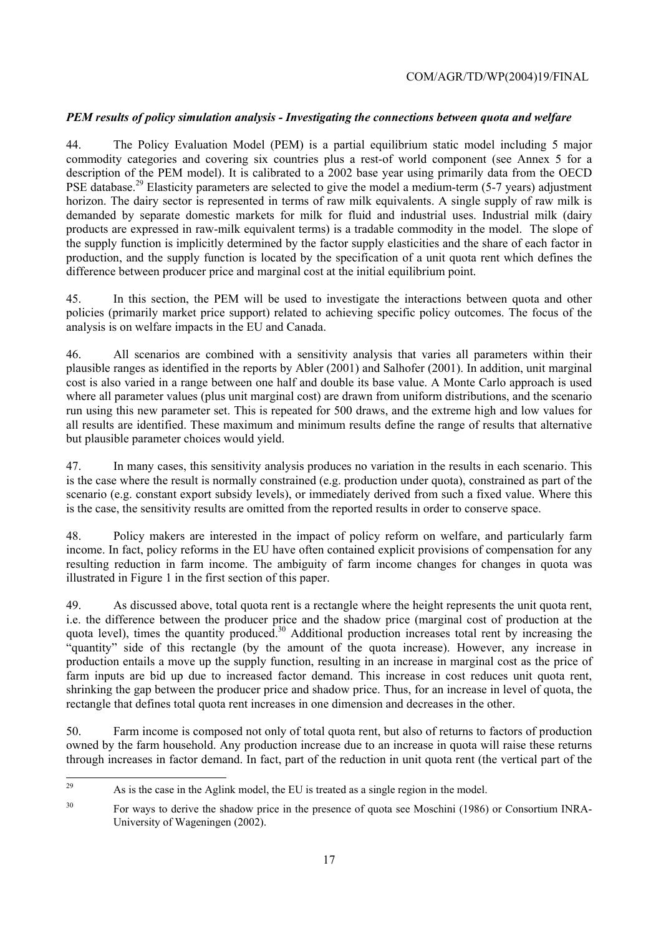#### *PEM results of policy simulation analysis - Investigating the connections between quota and welfare*

44. The Policy Evaluation Model (PEM) is a partial equilibrium static model including 5 major commodity categories and covering six countries plus a rest-of world component (see Annex 5 for a description of the PEM model). It is calibrated to a 2002 base year using primarily data from the OECD PSE database.<sup>29</sup> Elasticity parameters are selected to give the model a medium-term (5-7 years) adjustment horizon. The dairy sector is represented in terms of raw milk equivalents. A single supply of raw milk is demanded by separate domestic markets for milk for fluid and industrial uses. Industrial milk (dairy products are expressed in raw-milk equivalent terms) is a tradable commodity in the model. The slope of the supply function is implicitly determined by the factor supply elasticities and the share of each factor in production, and the supply function is located by the specification of a unit quota rent which defines the difference between producer price and marginal cost at the initial equilibrium point.

45. In this section, the PEM will be used to investigate the interactions between quota and other policies (primarily market price support) related to achieving specific policy outcomes. The focus of the analysis is on welfare impacts in the EU and Canada.

46. All scenarios are combined with a sensitivity analysis that varies all parameters within their plausible ranges as identified in the reports by Abler (2001) and Salhofer (2001). In addition, unit marginal cost is also varied in a range between one half and double its base value. A Monte Carlo approach is used where all parameter values (plus unit marginal cost) are drawn from uniform distributions, and the scenario run using this new parameter set. This is repeated for 500 draws, and the extreme high and low values for all results are identified. These maximum and minimum results define the range of results that alternative but plausible parameter choices would yield.

47. In many cases, this sensitivity analysis produces no variation in the results in each scenario. This is the case where the result is normally constrained (e.g. production under quota), constrained as part of the scenario (e.g. constant export subsidy levels), or immediately derived from such a fixed value. Where this is the case, the sensitivity results are omitted from the reported results in order to conserve space.

48. Policy makers are interested in the impact of policy reform on welfare, and particularly farm income. In fact, policy reforms in the EU have often contained explicit provisions of compensation for any resulting reduction in farm income. The ambiguity of farm income changes for changes in quota was illustrated in Figure 1 in the first section of this paper.

49. As discussed above, total quota rent is a rectangle where the height represents the unit quota rent, i.e. the difference between the producer price and the shadow price (marginal cost of production at the quota level), times the quantity produced.<sup>30</sup> Additional production increases total rent by increasing the "quantity" side of this rectangle (by the amount of the quota increase). However, any increase in production entails a move up the supply function, resulting in an increase in marginal cost as the price of farm inputs are bid up due to increased factor demand. This increase in cost reduces unit quota rent, shrinking the gap between the producer price and shadow price. Thus, for an increase in level of quota, the rectangle that defines total quota rent increases in one dimension and decreases in the other.

50. Farm income is composed not only of total quota rent, but also of returns to factors of production owned by the farm household. Any production increase due to an increase in quota will raise these returns through increases in factor demand. In fact, part of the reduction in unit quota rent (the vertical part of the

<span id="page-16-0"></span> <sup>29</sup> As is the case in the Aglink model, the EU is treated as a single region in the model.

<span id="page-16-1"></span><sup>&</sup>lt;sup>30</sup> For ways to derive the shadow price in the presence of quota see Moschini (1986) or Consortium INRA-University of Wageningen (2002).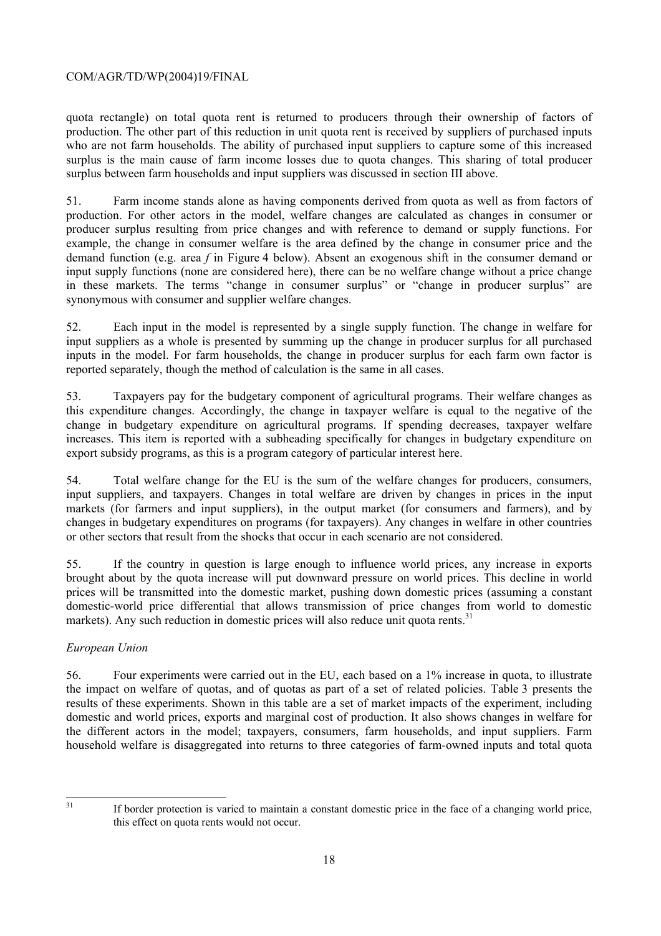quota rectangle) on total quota rent is returned to producers through their ownership of factors of production. The other part of this reduction in unit quota rent is received by suppliers of purchased inputs who are not farm households. The ability of purchased input suppliers to capture some of this increased surplus is the main cause of farm income losses due to quota changes. This sharing of total producer surplus between farm households and input suppliers was discussed in section III above.

51. Farm income stands alone as having components derived from quota as well as from factors of production. For other actors in the model, welfare changes are calculated as changes in consumer or producer surplus resulting from price changes and with reference to demand or supply functions. For example, the change in consumer welfare is the area defined by the change in consumer price and the demand function (e.g. area *f* in Figure 4 below). Absent an exogenous shift in the consumer demand or input supply functions (none are considered here), there can be no welfare change without a price change in these markets. The terms "change in consumer surplus" or "change in producer surplus" are synonymous with consumer and supplier welfare changes.

52. Each input in the model is represented by a single supply function. The change in welfare for input suppliers as a whole is presented by summing up the change in producer surplus for all purchased inputs in the model. For farm households, the change in producer surplus for each farm own factor is reported separately, though the method of calculation is the same in all cases.

53. Taxpayers pay for the budgetary component of agricultural programs. Their welfare changes as this expenditure changes. Accordingly, the change in taxpayer welfare is equal to the negative of the change in budgetary expenditure on agricultural programs. If spending decreases, taxpayer welfare increases. This item is reported with a subheading specifically for changes in budgetary expenditure on export subsidy programs, as this is a program category of particular interest here.

54. Total welfare change for the EU is the sum of the welfare changes for producers, consumers, input suppliers, and taxpayers. Changes in total welfare are driven by changes in prices in the input markets (for farmers and input suppliers), in the output market (for consumers and farmers), and by changes in budgetary expenditures on programs (for taxpayers). Any changes in welfare in other countries or other sectors that result from the shocks that occur in each scenario are not considered.

55. If the country in question is large enough to influence world prices, any increase in exports brought about by the quota increase will put downward pressure on world prices. This decline in world prices will be transmitted into the domestic market, pushing down domestic prices (assuming a constant domestic-world price differential that allows transmission of price changes from world to domestic markets). Any such reduction in domestic prices will also reduce unit quota rents.<sup>[31](#page-17-0)</sup>

### *European Union*

56. Four experiments were carried out in the EU, each based on a 1% increase in quota, to illustrate the impact on welfare of quotas, and of quotas as part of a set of related policies. Table 3 presents the results of these experiments. Shown in this table are a set of market impacts of the experiment, including domestic and world prices, exports and marginal cost of production. It also shows changes in welfare for the different actors in the model; taxpayers, consumers, farm households, and input suppliers. Farm household welfare is disaggregated into returns to three categories of farm-owned inputs and total quota

<span id="page-17-0"></span><sup>&</sup>lt;sup>31</sup> If border protection is varied to maintain a constant domestic price in the face of a changing world price, this effect on quota rents would not occur.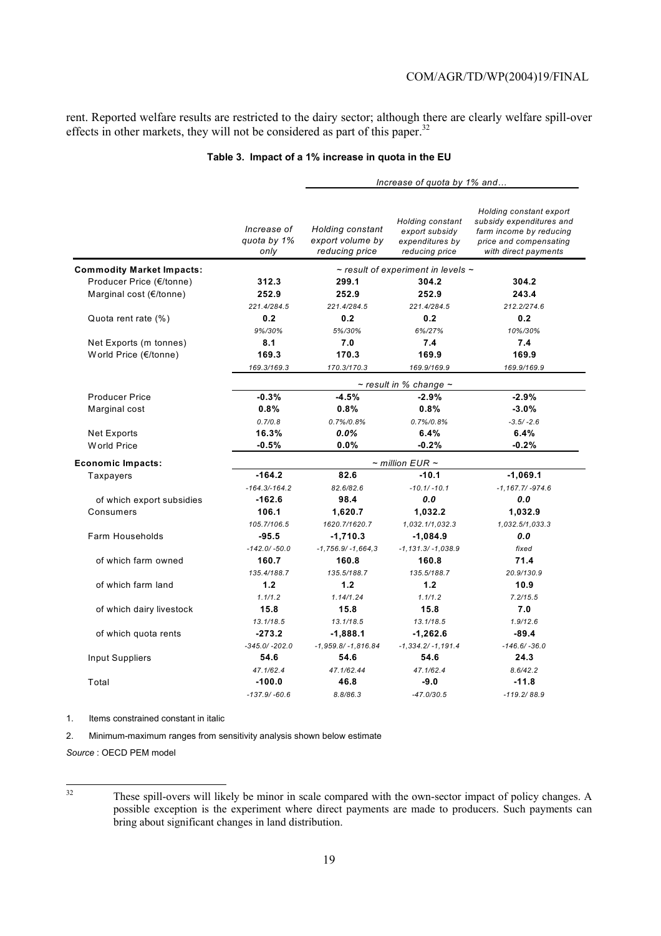<span id="page-18-0"></span>rent. Reported welfare results are restricted to the dairy sector; although there are clearly welfare spill-over effects in other markets, they will not be considered as part of this paper.<sup>32</sup>

|                                  |                                    | Increase of quota by 1% and                                   |                                                                         |                                                                                                                                  |  |
|----------------------------------|------------------------------------|---------------------------------------------------------------|-------------------------------------------------------------------------|----------------------------------------------------------------------------------------------------------------------------------|--|
|                                  | Increase of<br>quota by 1%<br>only | <b>Holding constant</b><br>export volume by<br>reducing price | Holding constant<br>export subsidy<br>expenditures by<br>reducing price | Holding constant export<br>subsidy expenditures and<br>farm income by reducing<br>price and compensating<br>with direct payments |  |
| <b>Commodity Market Impacts:</b> |                                    |                                                               | $\sim$ result of experiment in levels $\sim$                            |                                                                                                                                  |  |
| Producer Price (€/tonne)         | 312.3                              | 299.1                                                         | 304.2                                                                   | 304.2                                                                                                                            |  |
| Marginal cost (€/tonne)          | 252.9                              | 252.9                                                         | 252.9                                                                   | 243.4                                                                                                                            |  |
|                                  | 221.4/284.5                        | 221.4/284.5                                                   | 221.4/284.5                                                             | 212.2/274.6                                                                                                                      |  |
| Quota rent rate (%)              | 0.2                                | 0.2                                                           | 0.2                                                                     | 0.2                                                                                                                              |  |
|                                  | 9%/30%                             | 5%/30%                                                        | 6%/27%                                                                  | 10%/30%                                                                                                                          |  |
| Net Exports (m tonnes)           | 8.1                                | 7.0                                                           | 7.4                                                                     | 7.4                                                                                                                              |  |
| World Price (€/tonne)            | 169.3                              | 170.3                                                         | 169.9                                                                   | 169.9                                                                                                                            |  |
|                                  | 169.3/169.3                        | 170.3/170.3                                                   | 169.9/169.9                                                             | 169.9/169.9                                                                                                                      |  |
|                                  |                                    |                                                               | $\sim$ result in % change $\sim$                                        |                                                                                                                                  |  |
| <b>Producer Price</b>            | $-0.3%$                            | $-4.5%$                                                       | $-2.9%$                                                                 | $-2.9%$                                                                                                                          |  |
| Marginal cost                    | 0.8%                               | 0.8%                                                          | 0.8%                                                                    | $-3.0%$                                                                                                                          |  |
|                                  | 0.7/0.8                            | $0.7\%/0.8\%$                                                 | $0.7\%/0.8\%$                                                           | $-3.5/-2.6$                                                                                                                      |  |
| <b>Net Exports</b>               | 16.3%                              | 0.0%                                                          | 6.4%                                                                    | 6.4%                                                                                                                             |  |
| <b>World Price</b>               | $-0.5%$                            | 0.0%                                                          | $-0.2%$                                                                 | $-0.2%$                                                                                                                          |  |
| <b>Economic Impacts:</b>         | $\sim$ million EUR $\sim$          |                                                               |                                                                         |                                                                                                                                  |  |
| Taxpayers                        | $-164.2$                           | 82.6                                                          | $-10.1$                                                                 | $-1,069.1$                                                                                                                       |  |
|                                  | $-164.3/-164.2$                    | 82.6/82.6                                                     | $-10.1/-10.1$                                                           | $-1.167.7/ -974.6$                                                                                                               |  |
| of which export subsidies        | $-162.6$                           | 98.4                                                          | 0.0                                                                     | 0.0                                                                                                                              |  |
| Consumers                        | 106.1                              | 1,620.7                                                       | 1,032.2                                                                 | 1,032.9                                                                                                                          |  |
|                                  | 105.7/106.5                        | 1620.7/1620.7                                                 | 1,032.1/1,032.3                                                         | 1,032.5/1,033.3                                                                                                                  |  |
| Farm Households                  | $-95.5$                            | $-1,710.3$                                                    | $-1,084.9$                                                              | 0.0                                                                                                                              |  |
|                                  | $-142.0/ -50.0$                    | $-1.756.9/ -1.664.3$                                          | $-1, 131.3/ -1, 038.9$                                                  | fixed                                                                                                                            |  |
| of which farm owned              | 160.7                              | 160.8                                                         | 160.8                                                                   | 71.4                                                                                                                             |  |
|                                  | 135.4/188.7                        | 135.5/188.7                                                   | 135.5/188.7                                                             | 20.9/130.9                                                                                                                       |  |
| of which farm land               | 1.2                                | 1.2                                                           | 1.2                                                                     | 10.9                                                                                                                             |  |
|                                  | 1.1/1.2                            | 1.14/1.24                                                     | 1.1/1.2                                                                 | 7.2/15.5                                                                                                                         |  |
| of which dairy livestock         | 15.8                               | 15.8                                                          | 15.8                                                                    | 7.0                                                                                                                              |  |
|                                  | 13.1/18.5                          | 13.1/18.5                                                     | 13.1/18.5                                                               | 1.9/12.6                                                                                                                         |  |
| of which quota rents             | $-273.2$                           | $-1,888.1$                                                    | $-1,262.6$                                                              | $-89.4$                                                                                                                          |  |
|                                  | $-345.0/-202.0$                    | $-1,959.8/ -1,816.84$                                         | $-1,334.2/-1,191.4$                                                     | $-146.6/ -36.0$                                                                                                                  |  |
| <b>Input Suppliers</b>           | 54.6                               | 54.6                                                          | 54.6                                                                    | 24.3                                                                                                                             |  |
|                                  | 47.1/62.4                          | 47.1/62.44                                                    | 47.1/62.4                                                               | 8.6/42.2                                                                                                                         |  |
| Total                            | $-100.0$                           | 46.8                                                          | $-9.0$                                                                  | $-11.8$                                                                                                                          |  |
|                                  | $-137.9/ -60.6$                    | 8.8/86.3                                                      | $-47.0/30.5$                                                            | $-119.2/88.9$                                                                                                                    |  |

#### **Table 3. Impact of a 1% increase in quota in the EU**

1. Items constrained constant in italic

2. Minimum-maximum ranges from sensitivity analysis shown below estimate

*Source* : OECD PEM model

<span id="page-18-1"></span><sup>&</sup>lt;sup>32</sup> These spill-overs will likely be minor in scale compared with the own-sector impact of policy changes. A possible exception is the experiment where direct payments are made to producers. Such payments can bring about significant changes in land distribution.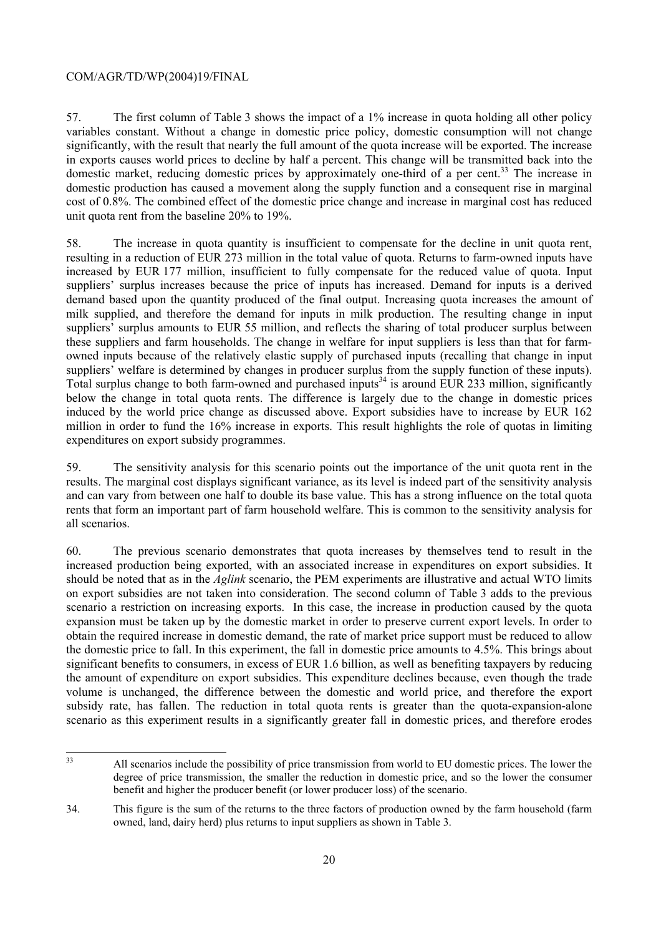57. The first column of Table 3 shows the impact of a 1% increase in quota holding all other policy variables constant. Without a change in domestic price policy, domestic consumption will not change significantly, with the result that nearly the full amount of the quota increase will be exported. The increase in exports causes world prices to decline by half a percent. This change will be transmitted back into the domestic market, reducing domestic prices by approximately one-third of a per cent.<sup>33</sup> The increase in domestic production has caused a movement along the supply function and a consequent rise in marginal cost of 0.8%. The combined effect of the domestic price change and increase in marginal cost has reduced unit quota rent from the baseline 20% to 19%.

58. The increase in quota quantity is insufficient to compensate for the decline in unit quota rent, resulting in a reduction of EUR 273 million in the total value of quota. Returns to farm-owned inputs have increased by EUR 177 million, insufficient to fully compensate for the reduced value of quota. Input suppliers' surplus increases because the price of inputs has increased. Demand for inputs is a derived demand based upon the quantity produced of the final output. Increasing quota increases the amount of milk supplied, and therefore the demand for inputs in milk production. The resulting change in input suppliers' surplus amounts to EUR 55 million, and reflects the sharing of total producer surplus between these suppliers and farm households. The change in welfare for input suppliers is less than that for farmowned inputs because of the relatively elastic supply of purchased inputs (recalling that change in input suppliers' welfare is determined by changes in producer surplus from the supply function of these inputs). Total surplus change to both farm-owned and purchased inputs<sup>34</sup> is around  $EUR$  233 million, significantly below the change in total quota rents. The difference is largely due to the change in domestic prices induced by the world price change as discussed above. Export subsidies have to increase by EUR 162 million in order to fund the 16% increase in exports. This result highlights the role of quotas in limiting expenditures on export subsidy programmes.

59. The sensitivity analysis for this scenario points out the importance of the unit quota rent in the results. The marginal cost displays significant variance, as its level is indeed part of the sensitivity analysis and can vary from between one half to double its base value. This has a strong influence on the total quota rents that form an important part of farm household welfare. This is common to the sensitivity analysis for all scenarios.

60. The previous scenario demonstrates that quota increases by themselves tend to result in the increased production being exported, with an associated increase in expenditures on export subsidies. It should be noted that as in the *Aglink* scenario, the PEM experiments are illustrative and actual WTO limits on export subsidies are not taken into consideration. The second column of Table 3 adds to the previous scenario a restriction on increasing exports. In this case, the increase in production caused by the quota expansion must be taken up by the domestic market in order to preserve current export levels. In order to obtain the required increase in domestic demand, the rate of market price support must be reduced to allow the domestic price to fall. In this experiment, the fall in domestic price amounts to 4.5%. This brings about significant benefits to consumers, in excess of EUR 1.6 billion, as well as benefiting taxpayers by reducing the amount of expenditure on export subsidies. This expenditure declines because, even though the trade volume is unchanged, the difference between the domestic and world price, and therefore the export subsidy rate, has fallen. The reduction in total quota rents is greater than the quota-expansion-alone scenario as this experiment results in a significantly greater fall in domestic prices, and therefore erodes

<span id="page-19-0"></span><sup>&</sup>lt;sup>33</sup> All scenarios include the possibility of price transmission from world to EU domestic prices. The lower the degree of price transmission, the smaller the reduction in domestic price, and so the lower the consumer benefit and higher the producer benefit (or lower producer loss) of the scenario.

<span id="page-19-1"></span><sup>34.</sup> This figure is the sum of the returns to the three factors of production owned by the farm household (farm owned, land, dairy herd) plus returns to input suppliers as shown in Table 3.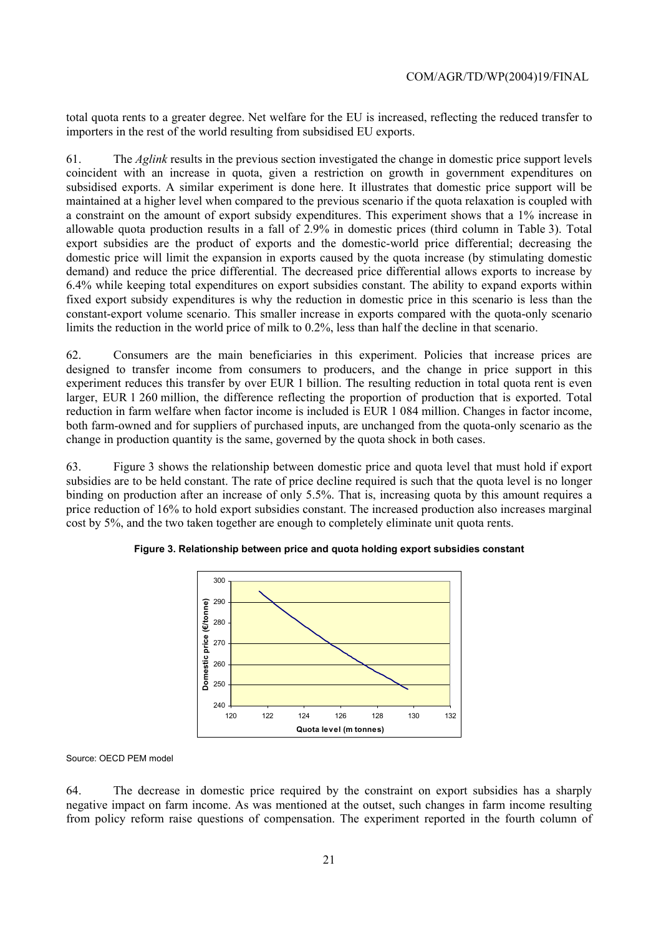<span id="page-20-0"></span>total quota rents to a greater degree. Net welfare for the EU is increased, reflecting the reduced transfer to importers in the rest of the world resulting from subsidised EU exports.

61. The *Aglink* results in the previous section investigated the change in domestic price support levels coincident with an increase in quota, given a restriction on growth in government expenditures on subsidised exports. A similar experiment is done here. It illustrates that domestic price support will be maintained at a higher level when compared to the previous scenario if the quota relaxation is coupled with a constraint on the amount of export subsidy expenditures. This experiment shows that a 1% increase in allowable quota production results in a fall of 2.9% in domestic prices (third column in Table 3). Total export subsidies are the product of exports and the domestic-world price differential; decreasing the domestic price will limit the expansion in exports caused by the quota increase (by stimulating domestic demand) and reduce the price differential. The decreased price differential allows exports to increase by 6.4% while keeping total expenditures on export subsidies constant. The ability to expand exports within fixed export subsidy expenditures is why the reduction in domestic price in this scenario is less than the constant-export volume scenario. This smaller increase in exports compared with the quota-only scenario limits the reduction in the world price of milk to 0.2%, less than half the decline in that scenario.

62. Consumers are the main beneficiaries in this experiment. Policies that increase prices are designed to transfer income from consumers to producers, and the change in price support in this experiment reduces this transfer by over EUR 1 billion. The resulting reduction in total quota rent is even larger, EUR 1 260 million, the difference reflecting the proportion of production that is exported. Total reduction in farm welfare when factor income is included is EUR 1 084 million. Changes in factor income, both farm-owned and for suppliers of purchased inputs, are unchanged from the quota-only scenario as the change in production quantity is the same, governed by the quota shock in both cases.

63. Figure 3 shows the relationship between domestic price and quota level that must hold if export subsidies are to be held constant. The rate of price decline required is such that the quota level is no longer binding on production after an increase of only 5.5%. That is, increasing quota by this amount requires a price reduction of 16% to hold export subsidies constant. The increased production also increases marginal cost by 5%, and the two taken together are enough to completely eliminate unit quota rents.



**Figure 3. Relationship between price and quota holding export subsidies constant** 

Source: OECD PEM model

64. The decrease in domestic price required by the constraint on export subsidies has a sharply negative impact on farm income. As was mentioned at the outset, such changes in farm income resulting from policy reform raise questions of compensation. The experiment reported in the fourth column of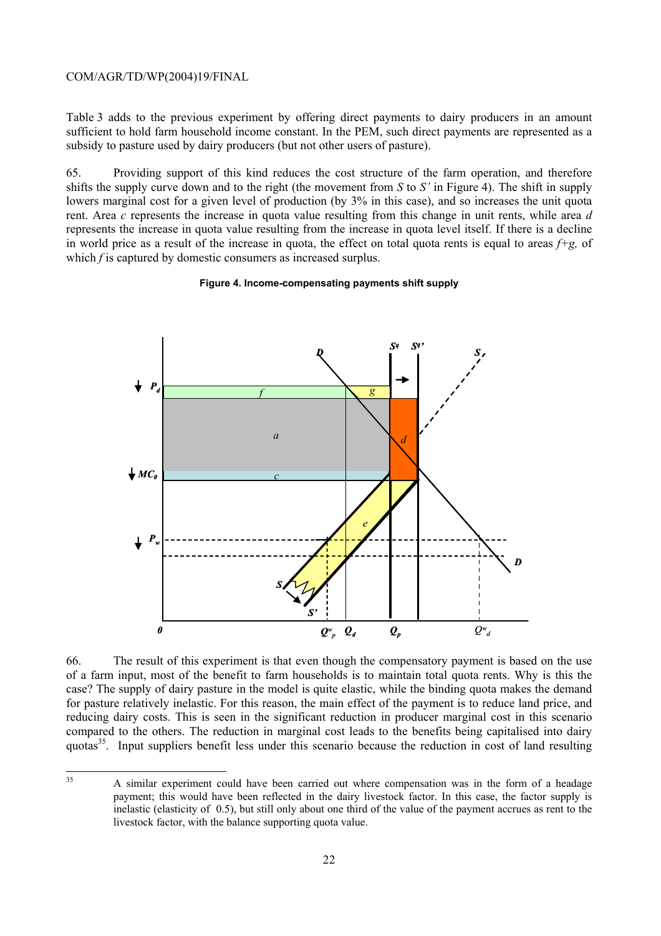<span id="page-21-0"></span>Table 3 adds to the previous experiment by offering direct payments to dairy producers in an amount sufficient to hold farm household income constant. In the PEM, such direct payments are represented as a subsidy to pasture used by dairy producers (but not other users of pasture).

65. Providing support of this kind reduces the cost structure of the farm operation, and therefore shifts the supply curve down and to the right (the movement from *S* to *S'* in Figure 4). The shift in supply lowers marginal cost for a given level of production (by 3% in this case), and so increases the unit quota rent. Area *c* represents the increase in quota value resulting from this change in unit rents, while area *d* represents the increase in quota value resulting from the increase in quota level itself. If there is a decline in world price as a result of the increase in quota, the effect on total quota rents is equal to areas *f+g,* of which *f* is captured by domestic consumers as increased surplus.

#### **Figure 4. Income-compensating payments shift supply**



66. The result of this experiment is that even though the compensatory payment is based on the use of a farm input, most of the benefit to farm households is to maintain total quota rents. Why is this the case? The supply of dairy pasture in the model is quite elastic, while the binding quota makes the demand for pasture relatively inelastic. For this reason, the main effect of the payment is to reduce land price, and reducing dairy costs. This is seen in the significant reduction in producer marginal cost in this scenario compared to the others. The reduction in marginal cost leads to the benefits being capitalised into dairy quotas<sup>35</sup>. Input suppliers benefit less under this scenario because the reduction in cost of land resulting

<span id="page-21-1"></span><sup>&</sup>lt;sup>35</sup> A similar experiment could have been carried out where compensation was in the form of a headage payment; this would have been reflected in the dairy livestock factor. In this case, the factor supply is inelastic (elasticity of 0.5), but still only about one third of the value of the payment accrues as rent to the livestock factor, with the balance supporting quota value.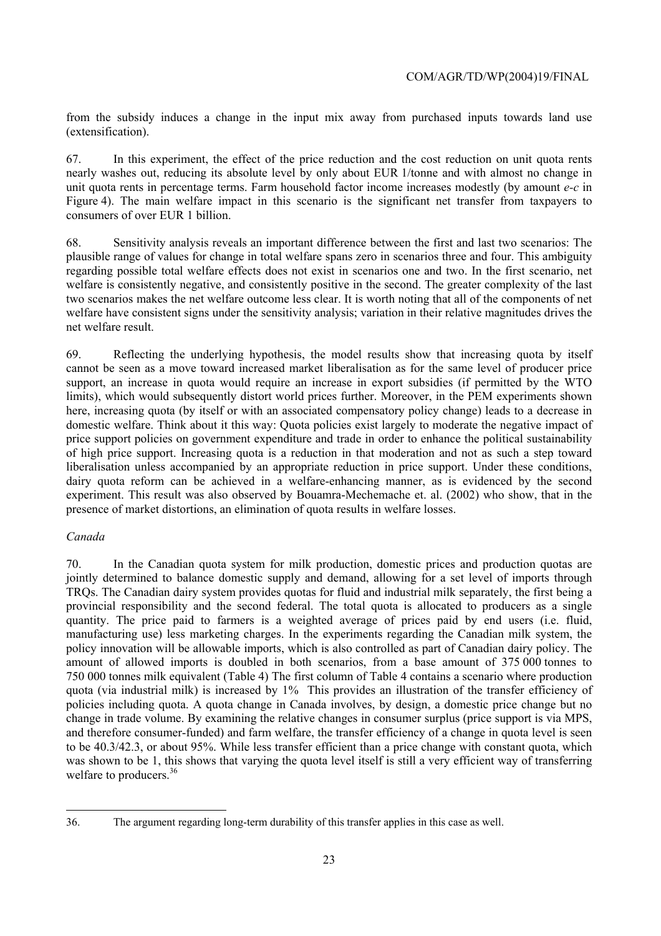from the subsidy induces a change in the input mix away from purchased inputs towards land use (extensification).

67. In this experiment, the effect of the price reduction and the cost reduction on unit quota rents nearly washes out, reducing its absolute level by only about EUR 1/tonne and with almost no change in unit quota rents in percentage terms. Farm household factor income increases modestly (by amount *e-c* in Figure 4). The main welfare impact in this scenario is the significant net transfer from taxpayers to consumers of over EUR 1 billion.

68. Sensitivity analysis reveals an important difference between the first and last two scenarios: The plausible range of values for change in total welfare spans zero in scenarios three and four. This ambiguity regarding possible total welfare effects does not exist in scenarios one and two. In the first scenario, net welfare is consistently negative, and consistently positive in the second. The greater complexity of the last two scenarios makes the net welfare outcome less clear. It is worth noting that all of the components of net welfare have consistent signs under the sensitivity analysis; variation in their relative magnitudes drives the net welfare result.

69. Reflecting the underlying hypothesis, the model results show that increasing quota by itself cannot be seen as a move toward increased market liberalisation as for the same level of producer price support, an increase in quota would require an increase in export subsidies (if permitted by the WTO limits), which would subsequently distort world prices further. Moreover, in the PEM experiments shown here, increasing quota (by itself or with an associated compensatory policy change) leads to a decrease in domestic welfare. Think about it this way: Quota policies exist largely to moderate the negative impact of price support policies on government expenditure and trade in order to enhance the political sustainability of high price support. Increasing quota is a reduction in that moderation and not as such a step toward liberalisation unless accompanied by an appropriate reduction in price support. Under these conditions, dairy quota reform can be achieved in a welfare-enhancing manner, as is evidenced by the second experiment. This result was also observed by Bouamra-Mechemache et. al. (2002) who show, that in the presence of market distortions, an elimination of quota results in welfare losses.

#### *Canada*

 $\overline{a}$ 

70. In the Canadian quota system for milk production, domestic prices and production quotas are jointly determined to balance domestic supply and demand, allowing for a set level of imports through TRQs. The Canadian dairy system provides quotas for fluid and industrial milk separately, the first being a provincial responsibility and the second federal. The total quota is allocated to producers as a single quantity. The price paid to farmers is a weighted average of prices paid by end users (i.e. fluid, manufacturing use) less marketing charges. In the experiments regarding the Canadian milk system, the policy innovation will be allowable imports, which is also controlled as part of Canadian dairy policy. The amount of allowed imports is doubled in both scenarios, from a base amount of 375 000 tonnes to 750 000 tonnes milk equivalent (Table 4) The first column of Table 4 contains a scenario where production quota (via industrial milk) is increased by 1% This provides an illustration of the transfer efficiency of policies including quota. A quota change in Canada involves, by design, a domestic price change but no change in trade volume. By examining the relative changes in consumer surplus (price support is via MPS, and therefore consumer-funded) and farm welfare, the transfer efficiency of a change in quota level is seen to be 40.3/42.3, or about 95%. While less transfer efficient than a price change with constant quota, which was shown to be 1, this shows that varying the quota level itself is still a very efficient way of transferring welfare to producers.<sup>[36](#page-22-0)</sup>

<span id="page-22-0"></span><sup>36.</sup> The argument regarding long-term durability of this transfer applies in this case as well.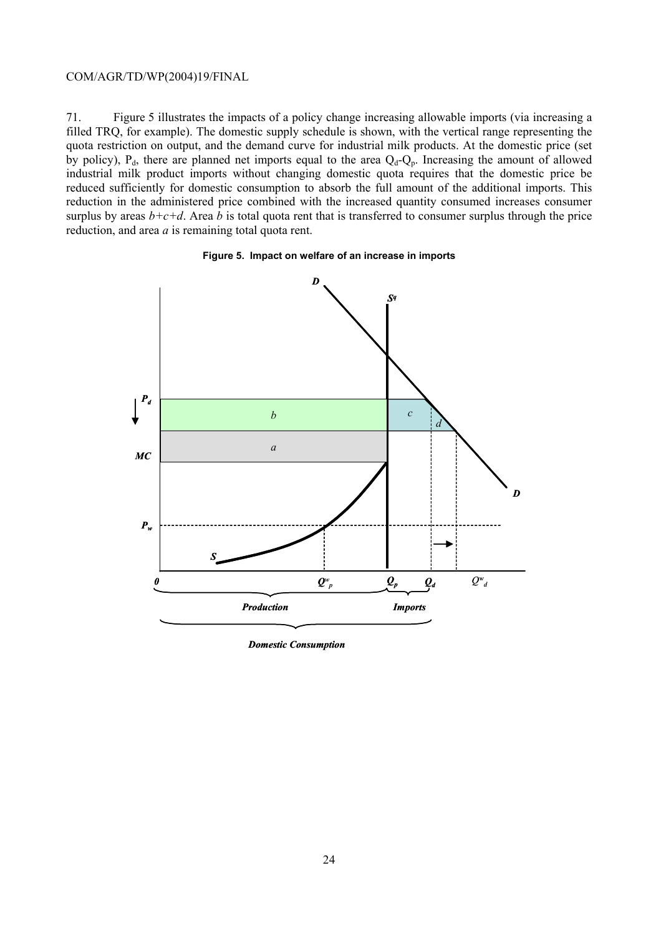<span id="page-23-0"></span>71. Figure 5 illustrates the impacts of a policy change increasing allowable imports (via increasing a filled TRQ, for example). The domestic supply schedule is shown, with the vertical range representing the quota restriction on output, and the demand curve for industrial milk products. At the domestic price (set by policy),  $P_d$ , there are planned net imports equal to the area  $Q_d-Q_p$ . Increasing the amount of allowed industrial milk product imports without changing domestic quota requires that the domestic price be reduced sufficiently for domestic consumption to absorb the full amount of the additional imports. This reduction in the administered price combined with the increased quantity consumed increases consumer surplus by areas  $b+c+d$ . Area *b* is total quota rent that is transferred to consumer surplus through the price reduction, and area *a* is remaining total quota rent.





*Domestic Consumption*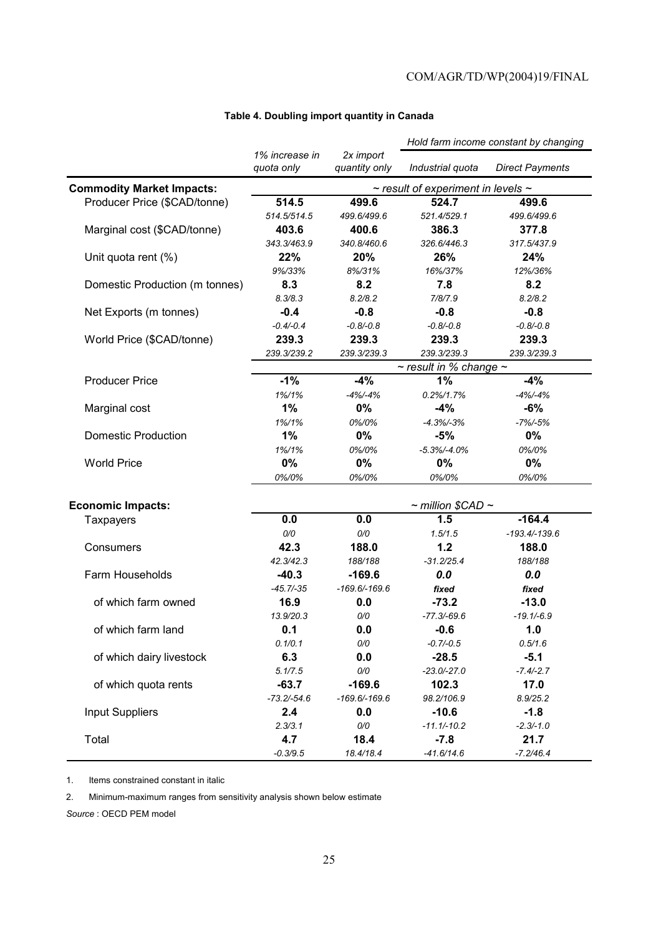<span id="page-24-0"></span>

|                                  |                              |                            | Hold farm income constant by changing        |                        |
|----------------------------------|------------------------------|----------------------------|----------------------------------------------|------------------------|
|                                  | 1% increase in<br>quota only | 2x import<br>quantity only | Industrial quota                             | <b>Direct Payments</b> |
| <b>Commodity Market Impacts:</b> |                              |                            | $\sim$ result of experiment in levels $\sim$ |                        |
| Producer Price (\$CAD/tonne)     | 514.5                        | 499.6                      | 524.7                                        | 499.6                  |
|                                  | 514.5/514.5                  | 499.6/499.6                | 521.4/529.1                                  | 499.6/499.6            |
| Marginal cost (\$CAD/tonne)      | 403.6                        | 400.6                      | 386.3                                        | 377.8                  |
|                                  | 343.3/463.9                  | 340.8/460.6                | 326.6/446.3                                  | 317.5/437.9            |
| Unit quota rent (%)              | 22%                          | 20%                        | 26%                                          | 24%                    |
|                                  | 9%/33%                       | 8%/31%                     | 16%/37%                                      | 12%/36%                |
| Domestic Production (m tonnes)   | 8.3                          | 8.2                        | 7.8                                          | 8.2                    |
|                                  | 8.3/8.3                      | 8.2/8.2                    | 7/8/7.9                                      | 8.2/8.2                |
| Net Exports (m tonnes)           | $-0.4$                       | $-0.8$                     | $-0.8$                                       | $-0.8$                 |
|                                  | $-0.4/-0.4$                  | $-0.8/-0.8$                | $-0.8/-0.8$                                  | $-0.8/-0.8$            |
| World Price (\$CAD/tonne)        | 239.3                        | 239.3                      | 239.3                                        | 239.3                  |
|                                  | 239.3/239.2                  | 239.3/239.3                | 239.3/239.3                                  | 239.3/239.3            |
|                                  |                              |                            | $\sim$ result in % change $\sim$             |                        |
| <b>Producer Price</b>            | $-1%$                        | $-4%$                      | 1%                                           | $-4%$                  |
|                                  | 1%/1%                        | $-4\%/ -4\%$               | $0.2\%/1.7\%$                                | $-4\%/ -4\%$           |
| Marginal cost                    | 1%                           | $0\%$                      | $-4%$                                        | $-6%$                  |
|                                  | 1%/1%                        | 0%/0%                      | $-4.3% - 3%$                                 | $-7\% - 5\%$           |
| <b>Domestic Production</b>       | 1%                           | 0%                         | $-5%$                                        | 0%                     |
|                                  | $1\%/1\%$                    | 0%/0%                      | $-5.3%/-4.0%$                                | 0%/0%                  |
| <b>World Price</b>               | 0%                           | $0\%$                      | 0%                                           | 0%                     |
|                                  | 0%/0%                        | 0%/0%                      | 0%/0%                                        | 0%/0%                  |
|                                  |                              |                            |                                              |                        |
| <b>Economic Impacts:</b>         |                              |                            | $\sim$ million \$CAD $\sim$                  |                        |
| <b>Taxpayers</b>                 | 0.0                          | 0.0                        | 1.5                                          | $-164.4$               |
|                                  | O/O                          | O/O                        | 1.5/1.5                                      | $-193.4/-139.6$        |
| Consumers                        | 42.3                         | 188.0                      | 1.2                                          | 188.0                  |
|                                  | 42.3/42.3                    | 188/188                    | $-31.2/25.4$                                 | 188/188                |
| Farm Households                  | $-40.3$                      | $-169.6$                   | 0.0                                          | 0.0                    |
|                                  | $-45.7/-35$                  | $-169.6/-169.6$            | fixed                                        | fixed                  |
| of which farm owned              | 16.9                         | 0.0                        | $-73.2$                                      | $-13.0$                |
|                                  | 13.9/20.3                    | O/O                        | $-77.3/-69.6$                                | $-19.1/-6.9$           |
| of which farm land               | 0.1                          | 0.0                        | $-0.6$                                       | 1.0                    |
|                                  | 0.1/0.1                      | O/O                        | $-0.7/-0.5$                                  | 0.5/1.6                |
| of which dairy livestock         | 6.3                          | 0.0                        | $-28.5$                                      | $-5.1$                 |
|                                  | 5.1/7.5                      | $O/O$                      | $-23.0/-27.0$                                | $-7.4/-2.7$            |
| of which quota rents             | $-63.7$                      | $-169.6$                   | 102.3                                        | 17.0                   |
|                                  | $-73.2/-54.6$                | $-169.6/-169.6$            | 98.2/106.9                                   | 8.9/25.2               |
| <b>Input Suppliers</b>           | 2.4                          | 0.0                        | $-10.6$                                      | $-1.8$                 |
|                                  | 2.3/3.1                      | $0/0$                      | $-11.1/-10.2$                                | $-2.3/-1.0$            |
| Total                            | 4.7                          | 18.4                       | $-7.8$                                       | 21.7                   |
|                                  | $-0.3/9.5$                   | 18.4/18.4                  | $-41.6/14.6$                                 | $-7.2/46.4$            |

### **Table 4. Doubling import quantity in Canada**

1. Items constrained constant in italic

2. Minimum-maximum ranges from sensitivity analysis shown below estimate

*Source* : OECD PEM model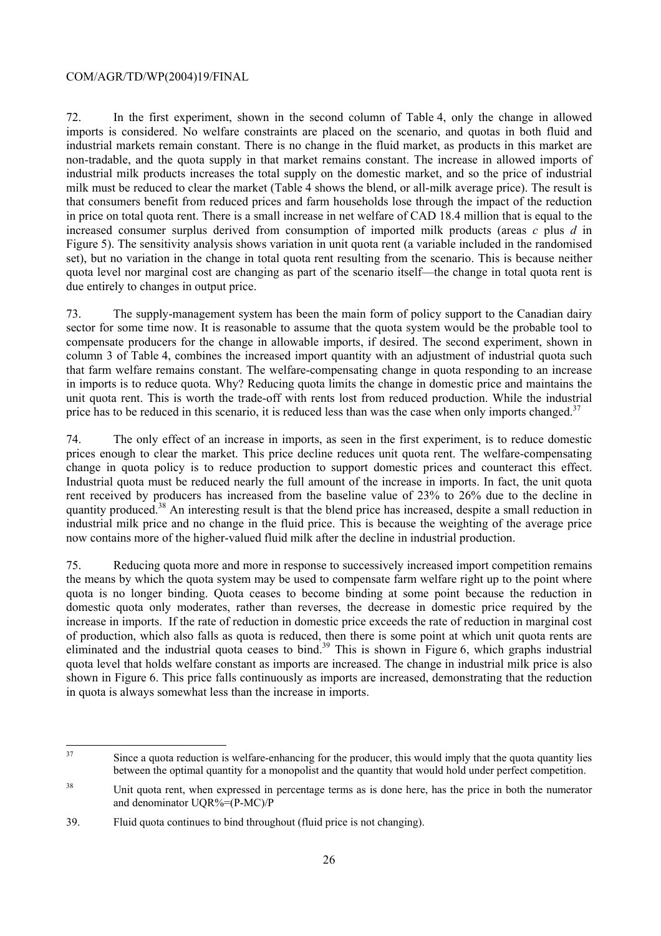72. In the first experiment, shown in the second column of Table 4, only the change in allowed imports is considered. No welfare constraints are placed on the scenario, and quotas in both fluid and industrial markets remain constant. There is no change in the fluid market, as products in this market are non-tradable, and the quota supply in that market remains constant. The increase in allowed imports of industrial milk products increases the total supply on the domestic market, and so the price of industrial milk must be reduced to clear the market (Table 4 shows the blend, or all-milk average price). The result is that consumers benefit from reduced prices and farm households lose through the impact of the reduction in price on total quota rent. There is a small increase in net welfare of CAD 18.4 million that is equal to the increased consumer surplus derived from consumption of imported milk products (areas *c* plus *d* in Figure 5). The sensitivity analysis shows variation in unit quota rent (a variable included in the randomised set), but no variation in the change in total quota rent resulting from the scenario. This is because neither quota level nor marginal cost are changing as part of the scenario itself—the change in total quota rent is due entirely to changes in output price.

73. The supply-management system has been the main form of policy support to the Canadian dairy sector for some time now. It is reasonable to assume that the quota system would be the probable tool to compensate producers for the change in allowable imports, if desired. The second experiment, shown in column 3 of Table 4, combines the increased import quantity with an adjustment of industrial quota such that farm welfare remains constant. The welfare-compensating change in quota responding to an increase in imports is to reduce quota. Why? Reducing quota limits the change in domestic price and maintains the unit quota rent. This is worth the trade-off with rents lost from reduced production. While the industrial price has to be reduced in this scenario, it is reduced less than was the case when only imports changed.<sup>37</sup>

74. The only effect of an increase in imports, as seen in the first experiment, is to reduce domestic prices enough to clear the market. This price decline reduces unit quota rent. The welfare-compensating change in quota policy is to reduce production to support domestic prices and counteract this effect. Industrial quota must be reduced nearly the full amount of the increase in imports. In fact, the unit quota rent received by producers has increased from the baseline value of 23% to 26% due to the decline in quantity produced.[38](#page-25-1) An interesting result is that the blend price has increased, despite a small reduction in industrial milk price and no change in the fluid price. This is because the weighting of the average price now contains more of the higher-valued fluid milk after the decline in industrial production.

75. Reducing quota more and more in response to successively increased import competition remains the means by which the quota system may be used to compensate farm welfare right up to the point where quota is no longer binding. Quota ceases to become binding at some point because the reduction in domestic quota only moderates, rather than reverses, the decrease in domestic price required by the increase in imports. If the rate of reduction in domestic price exceeds the rate of reduction in marginal cost of production, which also falls as quota is reduced, then there is some point at which unit quota rents are eliminated and the industrial quota ceases to bind.<sup>39</sup> This is shown in Figure 6, which graphs industrial quota level that holds welfare constant as imports are increased. The change in industrial milk price is also shown in Figure 6. This price falls continuously as imports are increased, demonstrating that the reduction in quota is always somewhat less than the increase in imports.

<span id="page-25-0"></span><sup>&</sup>lt;sup>37</sup> Since a quota reduction is welfare-enhancing for the producer, this would imply that the quota quantity lies between the optimal quantity for a monopolist and the quantity that would hold under perfect competition.

<span id="page-25-1"></span><sup>&</sup>lt;sup>38</sup> Unit quota rent, when expressed in percentage terms as is done here, has the price in both the numerator and denominator UQR%=(P-MC)/P

<span id="page-25-2"></span><sup>39.</sup> Fluid quota continues to bind throughout (fluid price is not changing).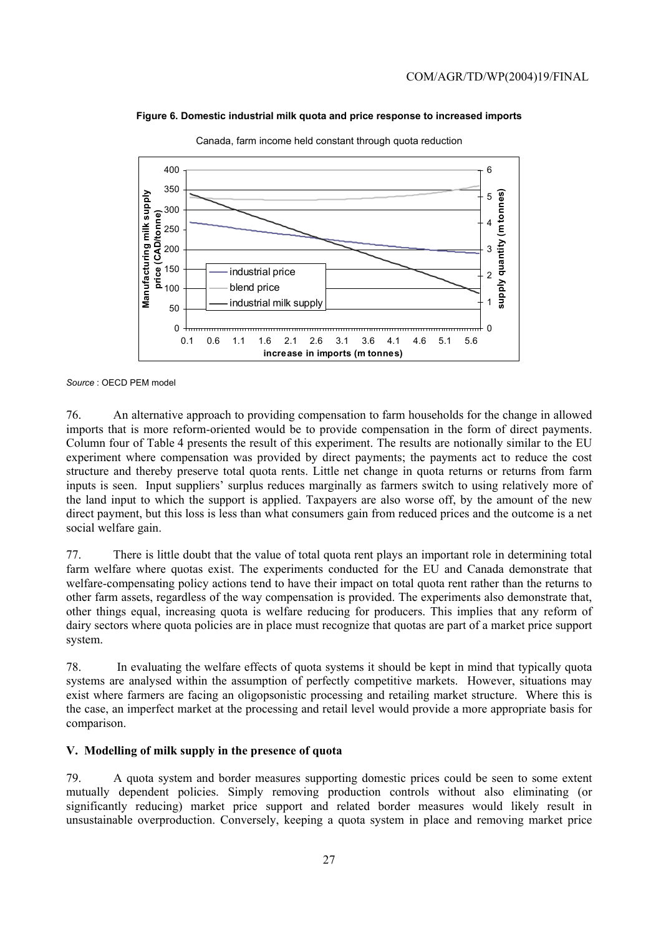

#### <span id="page-26-0"></span>**Figure 6. Domestic industrial milk quota and price response to increased imports**

Canada, farm income held constant through quota reduction

76. An alternative approach to providing compensation to farm households for the change in allowed imports that is more reform-oriented would be to provide compensation in the form of direct payments. Column four of Table 4 presents the result of this experiment. The results are notionally similar to the EU experiment where compensation was provided by direct payments; the payments act to reduce the cost structure and thereby preserve total quota rents. Little net change in quota returns or returns from farm inputs is seen. Input suppliers' surplus reduces marginally as farmers switch to using relatively more of the land input to which the support is applied. Taxpayers are also worse off, by the amount of the new direct payment, but this loss is less than what consumers gain from reduced prices and the outcome is a net social welfare gain.

77. There is little doubt that the value of total quota rent plays an important role in determining total farm welfare where quotas exist. The experiments conducted for the EU and Canada demonstrate that welfare-compensating policy actions tend to have their impact on total quota rent rather than the returns to other farm assets, regardless of the way compensation is provided. The experiments also demonstrate that, other things equal, increasing quota is welfare reducing for producers. This implies that any reform of dairy sectors where quota policies are in place must recognize that quotas are part of a market price support system.

78. In evaluating the welfare effects of quota systems it should be kept in mind that typically quota systems are analysed within the assumption of perfectly competitive markets. However, situations may exist where farmers are facing an oligopsonistic processing and retailing market structure. Where this is the case, an imperfect market at the processing and retail level would provide a more appropriate basis for comparison.

#### **V. Modelling of milk supply in the presence of quota**

79. A quota system and border measures supporting domestic prices could be seen to some extent mutually dependent policies. Simply removing production controls without also eliminating (or significantly reducing) market price support and related border measures would likely result in unsustainable overproduction. Conversely, keeping a quota system in place and removing market price

*Source* : OECD PEM model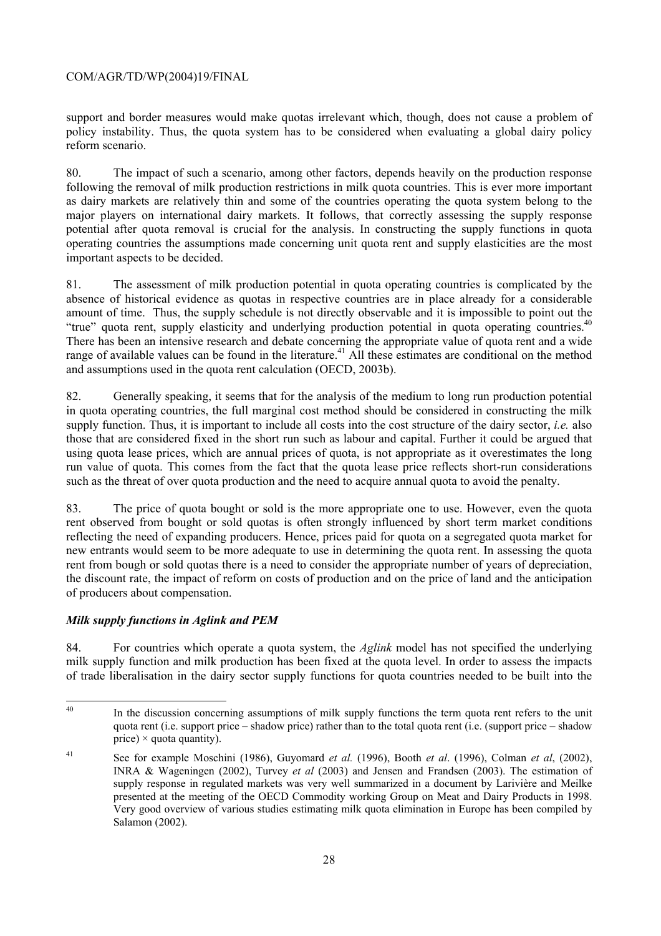support and border measures would make quotas irrelevant which, though, does not cause a problem of policy instability. Thus, the quota system has to be considered when evaluating a global dairy policy reform scenario.

80. The impact of such a scenario, among other factors, depends heavily on the production response following the removal of milk production restrictions in milk quota countries. This is ever more important as dairy markets are relatively thin and some of the countries operating the quota system belong to the major players on international dairy markets. It follows, that correctly assessing the supply response potential after quota removal is crucial for the analysis. In constructing the supply functions in quota operating countries the assumptions made concerning unit quota rent and supply elasticities are the most important aspects to be decided.

81. The assessment of milk production potential in quota operating countries is complicated by the absence of historical evidence as quotas in respective countries are in place already for a considerable amount of time. Thus, the supply schedule is not directly observable and it is impossible to point out the "true" quota rent, supply elasticity and underlying production potential in quota operating countries[.40](#page-27-0) There has been an intensive research and debate concerning the appropriate value of quota rent and a wide range of available values can be found in the literature.<sup>41</sup> All these estimates are conditional on the method and assumptions used in the quota rent calculation (OECD, 2003b).

82. Generally speaking, it seems that for the analysis of the medium to long run production potential in quota operating countries, the full marginal cost method should be considered in constructing the milk supply function. Thus, it is important to include all costs into the cost structure of the dairy sector, *i.e.* also those that are considered fixed in the short run such as labour and capital. Further it could be argued that using quota lease prices, which are annual prices of quota, is not appropriate as it overestimates the long run value of quota. This comes from the fact that the quota lease price reflects short-run considerations such as the threat of over quota production and the need to acquire annual quota to avoid the penalty.

83. The price of quota bought or sold is the more appropriate one to use. However, even the quota rent observed from bought or sold quotas is often strongly influenced by short term market conditions reflecting the need of expanding producers. Hence, prices paid for quota on a segregated quota market for new entrants would seem to be more adequate to use in determining the quota rent. In assessing the quota rent from bough or sold quotas there is a need to consider the appropriate number of years of depreciation, the discount rate, the impact of reform on costs of production and on the price of land and the anticipation of producers about compensation.

### *Milk supply functions in Aglink and PEM*

84. For countries which operate a quota system, the *Aglink* model has not specified the underlying milk supply function and milk production has been fixed at the quota level. In order to assess the impacts of trade liberalisation in the dairy sector supply functions for quota countries needed to be built into the

<span id="page-27-0"></span><sup>&</sup>lt;sup>40</sup> In the discussion concerning assumptions of milk supply functions the term quota rent refers to the unit quota rent (i.e. support price – shadow price) rather than to the total quota rent (i.e. (support price – shadow price)  $\times$  quota quantity).

<span id="page-27-1"></span><sup>41</sup> See for example Moschini (1986), Guyomard *et al.* (1996), Booth *et al*. (1996), Colman *et al*, (2002), INRA & Wageningen (2002), Turvey *et al* (2003) and Jensen and Frandsen (2003). The estimation of supply response in regulated markets was very well summarized in a document by Larivière and Meilke presented at the meeting of the OECD Commodity working Group on Meat and Dairy Products in 1998. Very good overview of various studies estimating milk quota elimination in Europe has been compiled by Salamon (2002).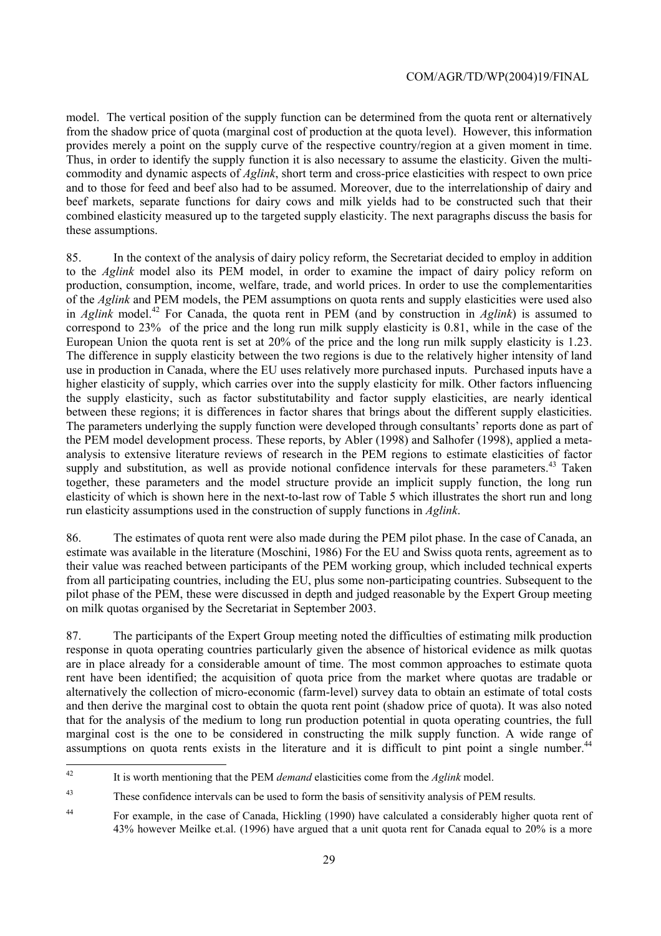model. The vertical position of the supply function can be determined from the quota rent or alternatively from the shadow price of quota (marginal cost of production at the quota level). However, this information provides merely a point on the supply curve of the respective country/region at a given moment in time. Thus, in order to identify the supply function it is also necessary to assume the elasticity. Given the multicommodity and dynamic aspects of *Aglink*, short term and cross-price elasticities with respect to own price and to those for feed and beef also had to be assumed. Moreover, due to the interrelationship of dairy and beef markets, separate functions for dairy cows and milk yields had to be constructed such that their combined elasticity measured up to the targeted supply elasticity. The next paragraphs discuss the basis for these assumptions.

85. In the context of the analysis of dairy policy reform, the Secretariat decided to employ in addition to the *Aglink* model also its PEM model, in order to examine the impact of dairy policy reform on production, consumption, income, welfare, trade, and world prices. In order to use the complementarities of the *Aglink* and PEM models, the PEM assumptions on quota rents and supply elasticities were used also in *Aglink* model.[42](#page-28-0) For Canada, the quota rent in PEM (and by construction in *Aglink*) is assumed to correspond to 23% of the price and the long run milk supply elasticity is 0.81, while in the case of the European Union the quota rent is set at 20% of the price and the long run milk supply elasticity is 1.23. The difference in supply elasticity between the two regions is due to the relatively higher intensity of land use in production in Canada, where the EU uses relatively more purchased inputs. Purchased inputs have a higher elasticity of supply, which carries over into the supply elasticity for milk. Other factors influencing the supply elasticity, such as factor substitutability and factor supply elasticities, are nearly identical between these regions; it is differences in factor shares that brings about the different supply elasticities. The parameters underlying the supply function were developed through consultants' reports done as part of the PEM model development process. These reports, by Abler (1998) and Salhofer (1998), applied a metaanalysis to extensive literature reviews of research in the PEM regions to estimate elasticities of factor supply and substitution, as well as provide notional confidence intervals for these parameters.<sup>43</sup> Taken together, these parameters and the model structure provide an implicit supply function, the long run elasticity of which is shown here in the next-to-last row of Table 5 which illustrates the short run and long run elasticity assumptions used in the construction of supply functions in *Aglink*.

86. The estimates of quota rent were also made during the PEM pilot phase. In the case of Canada, an estimate was available in the literature (Moschini, 1986) For the EU and Swiss quota rents, agreement as to their value was reached between participants of the PEM working group, which included technical experts from all participating countries, including the EU, plus some non-participating countries. Subsequent to the pilot phase of the PEM, these were discussed in depth and judged reasonable by the Expert Group meeting on milk quotas organised by the Secretariat in September 2003.

87. The participants of the Expert Group meeting noted the difficulties of estimating milk production response in quota operating countries particularly given the absence of historical evidence as milk quotas are in place already for a considerable amount of time. The most common approaches to estimate quota rent have been identified; the acquisition of quota price from the market where quotas are tradable or alternatively the collection of micro-economic (farm-level) survey data to obtain an estimate of total costs and then derive the marginal cost to obtain the quota rent point (shadow price of quota). It was also noted that for the analysis of the medium to long run production potential in quota operating countries, the full marginal cost is the one to be considered in constructing the milk supply function. A wide range of assumptions on quota rents exists in the literature and it is difficult to pint point a single number.<sup>44</sup>

<span id="page-28-0"></span> <sup>42</sup> It is worth mentioning that the PEM *demand* elasticities come from the *Aglink* model.

<span id="page-28-1"></span><sup>&</sup>lt;sup>43</sup> These confidence intervals can be used to form the basis of sensitivity analysis of PEM results.

<span id="page-28-2"></span><sup>44</sup> For example, in the case of Canada, Hickling (1990) have calculated a considerably higher quota rent of 43% however Meilke et.al. (1996) have argued that a unit quota rent for Canada equal to 20% is a more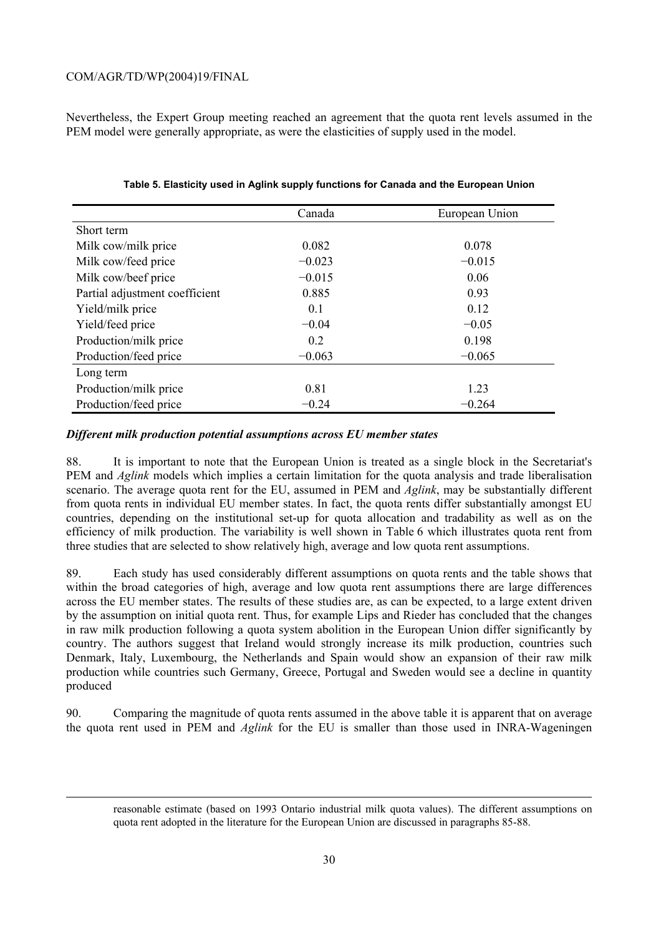1

<span id="page-29-0"></span>Nevertheless, the Expert Group meeting reached an agreement that the quota rent levels assumed in the PEM model were generally appropriate, as were the elasticities of supply used in the model.

|                                | Canada   | European Union |
|--------------------------------|----------|----------------|
| Short term                     |          |                |
| Milk cow/milk price            | 0.082    | 0.078          |
| Milk cow/feed price            | $-0.023$ | $-0.015$       |
| Milk cow/beef price            | $-0.015$ | 0.06           |
| Partial adjustment coefficient | 0.885    | 0.93           |
| Yield/milk price               | 0.1      | 0.12           |
| Yield/feed price               | $-0.04$  | $-0.05$        |
| Production/milk price          | 0.2      | 0.198          |
| Production/feed price          | $-0.063$ | $-0.065$       |
| Long term                      |          |                |
| Production/milk price          | 0.81     | 1.23           |
| Production/feed price          | $-0.24$  | $-0.264$       |

#### **Table 5. Elasticity used in Aglink supply functions for Canada and the European Union**

#### *Different milk production potential assumptions across EU member states*

88. It is important to note that the European Union is treated as a single block in the Secretariat's PEM and *Aglink* models which implies a certain limitation for the quota analysis and trade liberalisation scenario. The average quota rent for the EU, assumed in PEM and *Aglink*, may be substantially different from quota rents in individual EU member states. In fact, the quota rents differ substantially amongst EU countries, depending on the institutional set-up for quota allocation and tradability as well as on the efficiency of milk production. The variability is well shown in Table 6 which illustrates quota rent from three studies that are selected to show relatively high, average and low quota rent assumptions.

89. Each study has used considerably different assumptions on quota rents and the table shows that within the broad categories of high, average and low quota rent assumptions there are large differences across the EU member states. The results of these studies are, as can be expected, to a large extent driven by the assumption on initial quota rent. Thus, for example Lips and Rieder has concluded that the changes in raw milk production following a quota system abolition in the European Union differ significantly by country. The authors suggest that Ireland would strongly increase its milk production, countries such Denmark, Italy, Luxembourg, the Netherlands and Spain would show an expansion of their raw milk production while countries such Germany, Greece, Portugal and Sweden would see a decline in quantity produced

90. Comparing the magnitude of quota rents assumed in the above table it is apparent that on average the quota rent used in PEM and *Aglink* for the EU is smaller than those used in INRA-Wageningen

reasonable estimate (based on 1993 Ontario industrial milk quota values). The different assumptions on quota rent adopted in the literature for the European Union are discussed in paragraphs 85-88.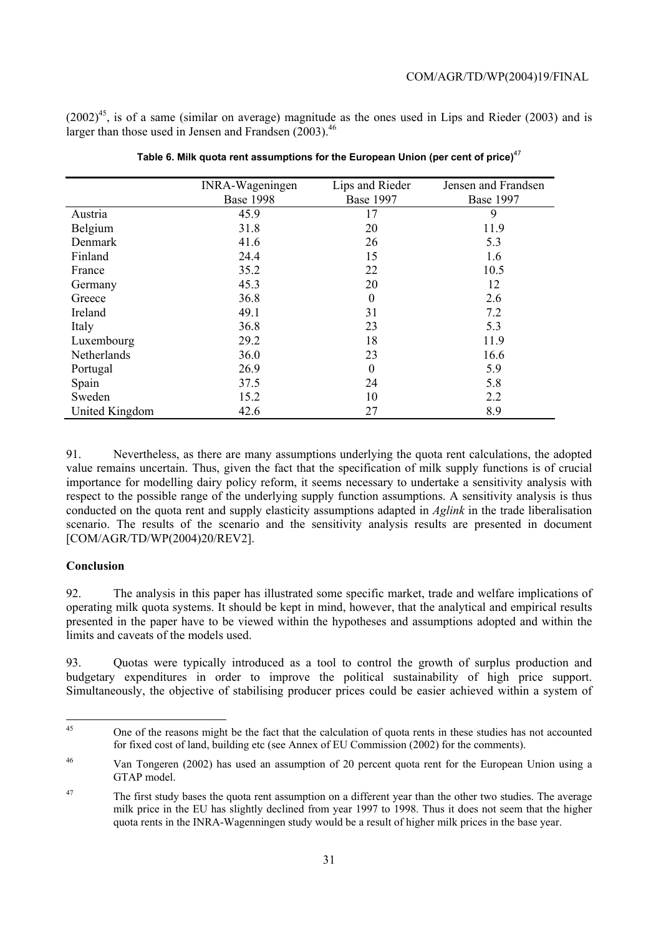<span id="page-30-0"></span> $(2002)^{45}$ , is of a same (similar on average) magnitude as the ones used in Lips and Rieder (2003) and is larger than those used in Jensen and Frandsen  $(2003)$ .<sup>[46](#page-30-2)</sup>

|                | <b>INRA-Wageningen</b> | Lips and Rieder  | Jensen and Frandsen |
|----------------|------------------------|------------------|---------------------|
|                | <b>Base 1998</b>       | <b>Base 1997</b> | <b>Base 1997</b>    |
| Austria        | 45.9                   | 17               | 9                   |
| Belgium        | 31.8                   | 20               | 11.9                |
| Denmark        | 41.6                   | 26               | 5.3                 |
| Finland        | 24.4                   | 15               | 1.6                 |
| France         | 35.2                   | 22               | 10.5                |
| Germany        | 45.3                   | 20               | 12                  |
| Greece         | 36.8                   | $\boldsymbol{0}$ | 2.6                 |
| Ireland        | 49.1                   | 31               | 7.2                 |
| Italy          | 36.8                   | 23               | 5.3                 |
| Luxembourg     | 29.2                   | 18               | 11.9                |
| Netherlands    | 36.0                   | 23               | 16.6                |
| Portugal       | 26.9                   | $\boldsymbol{0}$ | 5.9                 |
| Spain          | 37.5                   | 24               | 5.8                 |
| Sweden         | 15.2                   | 10               | 2.2                 |
| United Kingdom | 42.6                   | 27               | 8.9                 |

**Table 6. Milk quota rent assumptions for the European Union (per cent of price)**[47](#page-30-3)

91. Nevertheless, as there are many assumptions underlying the quota rent calculations, the adopted value remains uncertain. Thus, given the fact that the specification of milk supply functions is of crucial importance for modelling dairy policy reform, it seems necessary to undertake a sensitivity analysis with respect to the possible range of the underlying supply function assumptions. A sensitivity analysis is thus conducted on the quota rent and supply elasticity assumptions adapted in *Aglink* in the trade liberalisation scenario. The results of the scenario and the sensitivity analysis results are presented in document [COM/AGR/TD/WP(2004)20/REV2].

#### **Conclusion**

92. The analysis in this paper has illustrated some specific market, trade and welfare implications of operating milk quota systems. It should be kept in mind, however, that the analytical and empirical results presented in the paper have to be viewed within the hypotheses and assumptions adopted and within the limits and caveats of the models used.

93. Quotas were typically introduced as a tool to control the growth of surplus production and budgetary expenditures in order to improve the political sustainability of high price support. Simultaneously, the objective of stabilising producer prices could be easier achieved within a system of

<span id="page-30-1"></span><sup>&</sup>lt;sup>45</sup> One of the reasons might be the fact that the calculation of quota rents in these studies has not accounted for fixed cost of land, building etc (see Annex of EU Commission (2002) for the comments).

<span id="page-30-2"></span><sup>46</sup> Van Tongeren (2002) has used an assumption of 20 percent quota rent for the European Union using a GTAP model.

<span id="page-30-3"></span><sup>&</sup>lt;sup>47</sup> The first study bases the quota rent assumption on a different year than the other two studies. The average milk price in the EU has slightly declined from year 1997 to 1998. Thus it does not seem that the higher quota rents in the INRA-Wagenningen study would be a result of higher milk prices in the base year.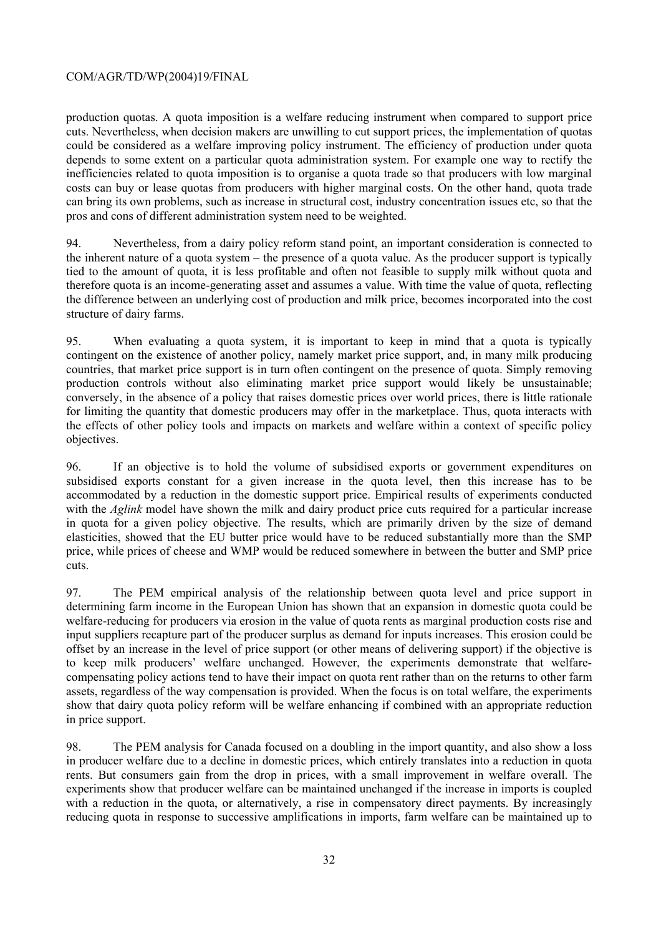production quotas. A quota imposition is a welfare reducing instrument when compared to support price cuts. Nevertheless, when decision makers are unwilling to cut support prices, the implementation of quotas could be considered as a welfare improving policy instrument. The efficiency of production under quota depends to some extent on a particular quota administration system. For example one way to rectify the inefficiencies related to quota imposition is to organise a quota trade so that producers with low marginal costs can buy or lease quotas from producers with higher marginal costs. On the other hand, quota trade can bring its own problems, such as increase in structural cost, industry concentration issues etc, so that the pros and cons of different administration system need to be weighted.

94. Nevertheless, from a dairy policy reform stand point, an important consideration is connected to the inherent nature of a quota system – the presence of a quota value. As the producer support is typically tied to the amount of quota, it is less profitable and often not feasible to supply milk without quota and therefore quota is an income-generating asset and assumes a value. With time the value of quota, reflecting the difference between an underlying cost of production and milk price, becomes incorporated into the cost structure of dairy farms.

95. When evaluating a quota system, it is important to keep in mind that a quota is typically contingent on the existence of another policy, namely market price support, and, in many milk producing countries, that market price support is in turn often contingent on the presence of quota. Simply removing production controls without also eliminating market price support would likely be unsustainable; conversely, in the absence of a policy that raises domestic prices over world prices, there is little rationale for limiting the quantity that domestic producers may offer in the marketplace. Thus, quota interacts with the effects of other policy tools and impacts on markets and welfare within a context of specific policy objectives.

96. If an objective is to hold the volume of subsidised exports or government expenditures on subsidised exports constant for a given increase in the quota level, then this increase has to be accommodated by a reduction in the domestic support price. Empirical results of experiments conducted with the *Aglink* model have shown the milk and dairy product price cuts required for a particular increase in quota for a given policy objective. The results, which are primarily driven by the size of demand elasticities, showed that the EU butter price would have to be reduced substantially more than the SMP price, while prices of cheese and WMP would be reduced somewhere in between the butter and SMP price cuts.

97. The PEM empirical analysis of the relationship between quota level and price support in determining farm income in the European Union has shown that an expansion in domestic quota could be welfare-reducing for producers via erosion in the value of quota rents as marginal production costs rise and input suppliers recapture part of the producer surplus as demand for inputs increases. This erosion could be offset by an increase in the level of price support (or other means of delivering support) if the objective is to keep milk producers' welfare unchanged. However, the experiments demonstrate that welfarecompensating policy actions tend to have their impact on quota rent rather than on the returns to other farm assets, regardless of the way compensation is provided. When the focus is on total welfare, the experiments show that dairy quota policy reform will be welfare enhancing if combined with an appropriate reduction in price support.

98. The PEM analysis for Canada focused on a doubling in the import quantity, and also show a loss in producer welfare due to a decline in domestic prices, which entirely translates into a reduction in quota rents. But consumers gain from the drop in prices, with a small improvement in welfare overall. The experiments show that producer welfare can be maintained unchanged if the increase in imports is coupled with a reduction in the quota, or alternatively, a rise in compensatory direct payments. By increasingly reducing quota in response to successive amplifications in imports, farm welfare can be maintained up to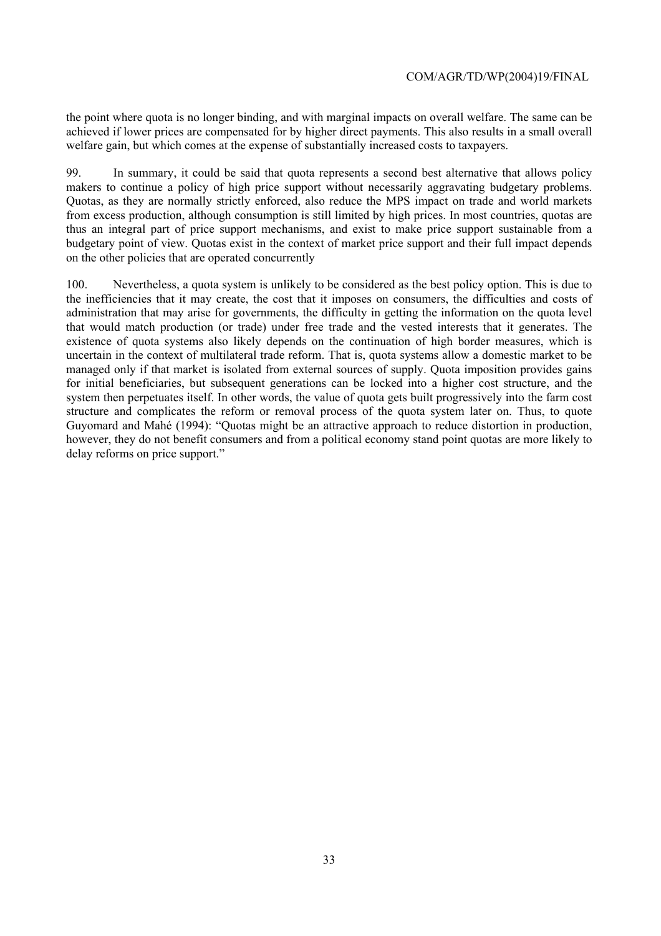the point where quota is no longer binding, and with marginal impacts on overall welfare. The same can be achieved if lower prices are compensated for by higher direct payments. This also results in a small overall welfare gain, but which comes at the expense of substantially increased costs to taxpayers.

99. In summary, it could be said that quota represents a second best alternative that allows policy makers to continue a policy of high price support without necessarily aggravating budgetary problems. Quotas, as they are normally strictly enforced, also reduce the MPS impact on trade and world markets from excess production, although consumption is still limited by high prices. In most countries, quotas are thus an integral part of price support mechanisms, and exist to make price support sustainable from a budgetary point of view. Quotas exist in the context of market price support and their full impact depends on the other policies that are operated concurrently

100. Nevertheless, a quota system is unlikely to be considered as the best policy option. This is due to the inefficiencies that it may create, the cost that it imposes on consumers, the difficulties and costs of administration that may arise for governments, the difficulty in getting the information on the quota level that would match production (or trade) under free trade and the vested interests that it generates. The existence of quota systems also likely depends on the continuation of high border measures, which is uncertain in the context of multilateral trade reform. That is, quota systems allow a domestic market to be managed only if that market is isolated from external sources of supply. Quota imposition provides gains for initial beneficiaries, but subsequent generations can be locked into a higher cost structure, and the system then perpetuates itself. In other words, the value of quota gets built progressively into the farm cost structure and complicates the reform or removal process of the quota system later on. Thus, to quote Guyomard and Mahé (1994): "Quotas might be an attractive approach to reduce distortion in production, however, they do not benefit consumers and from a political economy stand point quotas are more likely to delay reforms on price support."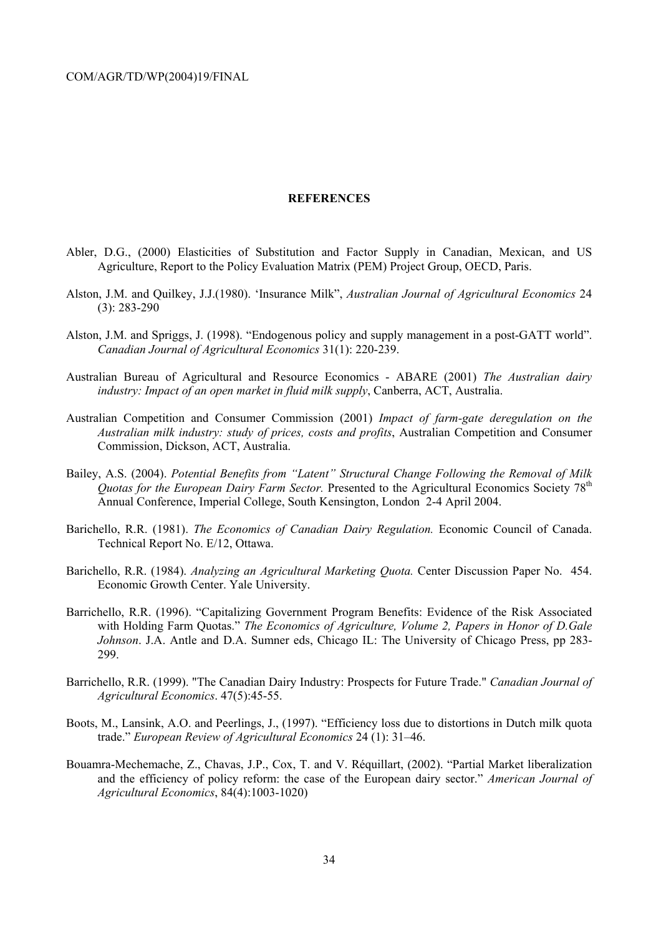#### **REFERENCES**

- <span id="page-33-0"></span>Abler, D.G., (2000) Elasticities of Substitution and Factor Supply in Canadian, Mexican, and US Agriculture, Report to the Policy Evaluation Matrix (PEM) Project Group, OECD, Paris.
- Alston, J.M. and Quilkey, J.J.(1980). 'Insurance Milk", *Australian Journal of Agricultural Economics* 24 (3): 283-290
- Alston, J.M. and Spriggs, J. (1998). "Endogenous policy and supply management in a post-GATT world". *Canadian Journal of Agricultural Economics* 31(1): 220-239.
- Australian Bureau of Agricultural and Resource Economics ABARE (2001) *The Australian dairy industry: Impact of an open market in fluid milk supply*, Canberra, ACT, Australia.
- Australian Competition and Consumer Commission (2001) *Impact of farm-gate deregulation on the Australian milk industry: study of prices, costs and profits*, Australian Competition and Consumer Commission, Dickson, ACT, Australia.
- Bailey, A.S. (2004). *Potential Benefits from "Latent" Structural Change Following the Removal of Milk Quotas for the European Dairy Farm Sector.* Presented to the Agricultural Economics Society 78th Annual Conference, Imperial College, South Kensington, London 2-4 April 2004.
- Barichello, R.R. (1981). *The Economics of Canadian Dairy Regulation.* Economic Council of Canada. Technical Report No. E/12, Ottawa.
- Barichello, R.R. (1984). *Analyzing an Agricultural Marketing Quota.* Center Discussion Paper No. 454. Economic Growth Center. Yale University.
- Barrichello, R.R. (1996). "Capitalizing Government Program Benefits: Evidence of the Risk Associated with Holding Farm Quotas." *The Economics of Agriculture, Volume 2, Papers in Honor of D.Gale Johnson*. J.A. Antle and D.A. Sumner eds, Chicago IL: The University of Chicago Press, pp 283- 299.
- Barrichello, R.R. (1999). "The Canadian Dairy Industry: Prospects for Future Trade." *Canadian Journal of Agricultural Economics*. 47(5):45-55.
- Boots, M., Lansink, A.O. and Peerlings, J., (1997). "Efficiency loss due to distortions in Dutch milk quota trade." *European Review of Agricultural Economics* 24 (1): 31–46.
- Bouamra-Mechemache, Z., Chavas, J.P., Cox, T. and V. Réquillart, (2002). "Partial Market liberalization and the efficiency of policy reform: the case of the European dairy sector." *American Journal of Agricultural Economics*, 84(4):1003-1020)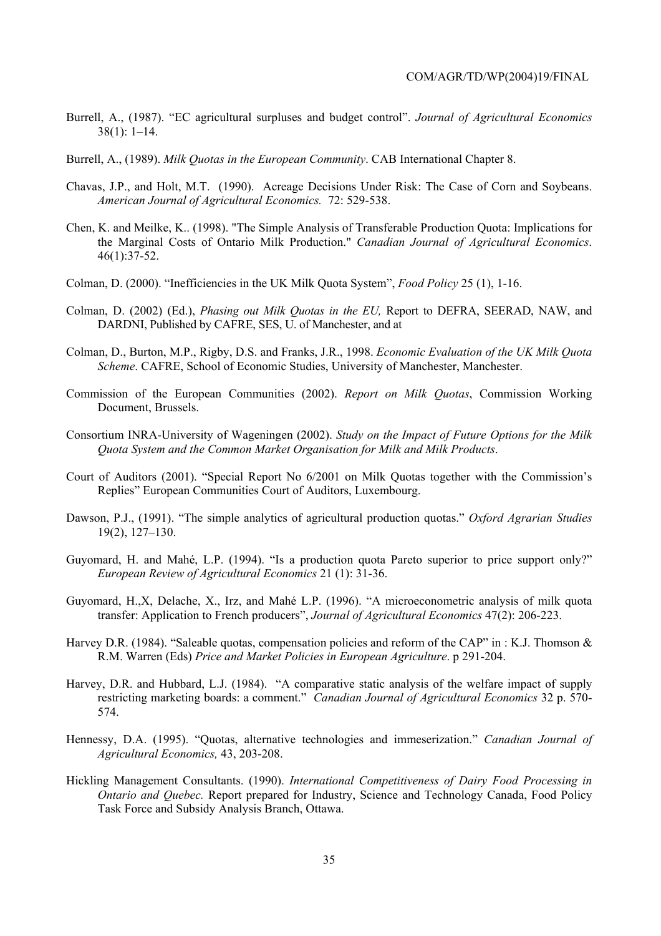- Burrell, A., (1987). "EC agricultural surpluses and budget control". *Journal of Agricultural Economics* 38(1): 1–14.
- Burrell, A., (1989). *Milk Quotas in the European Community*. CAB International Chapter 8.
- Chavas, J.P., and Holt, M.T. (1990). Acreage Decisions Under Risk: The Case of Corn and Soybeans. *American Journal of Agricultural Economics.* 72: 529-538.
- Chen, K. and Meilke, K.. (1998). "The Simple Analysis of Transferable Production Quota: Implications for the Marginal Costs of Ontario Milk Production." *Canadian Journal of Agricultural Economics*. 46(1):37-52.
- Colman, D. (2000). "Inefficiencies in the UK Milk Quota System", *Food Policy* 25 (1), 1-16.
- Colman, D. (2002) (Ed.), *Phasing out Milk Quotas in the EU,* Report to DEFRA, SEERAD, NAW, and DARDNI, Published by CAFRE, SES, U. of Manchester, and at
- Colman, D., Burton, M.P., Rigby, D.S. and Franks, J.R., 1998. *Economic Evaluation of the UK Milk Quota Scheme*. CAFRE, School of Economic Studies, University of Manchester, Manchester.
- Commission of the European Communities (2002). *Report on Milk Quotas*, Commission Working Document, Brussels.
- Consortium INRA-University of Wageningen (2002). *Study on the Impact of Future Options for the Milk Quota System and the Common Market Organisation for Milk and Milk Products*.
- Court of Auditors (2001). "Special Report No 6/2001 on Milk Quotas together with the Commission's Replies" European Communities Court of Auditors, Luxembourg.
- Dawson, P.J., (1991). "The simple analytics of agricultural production quotas." *Oxford Agrarian Studies* 19(2), 127–130.
- Guyomard, H. and Mahé, L.P. (1994). "Is a production quota Pareto superior to price support only?" *European Review of Agricultural Economics* 21 (1): 31-36.
- Guyomard, H.,X, Delache, X., Irz, and Mahé L.P. (1996). "A microeconometric analysis of milk quota transfer: Application to French producers", *Journal of Agricultural Economics* 47(2): 206-223.
- Harvey D.R. (1984). "Saleable quotas, compensation policies and reform of the CAP" in : K.J. Thomson & R.M. Warren (Eds) *Price and Market Policies in European Agriculture*. p 291-204.
- Harvey, D.R. and Hubbard, L.J. (1984). "A comparative static analysis of the welfare impact of supply restricting marketing boards: a comment." *Canadian Journal of Agricultural Economics* 32 p. 570- 574.
- Hennessy, D.A. (1995). "Quotas, alternative technologies and immeserization." *Canadian Journal of Agricultural Economics,* 43, 203-208.
- Hickling Management Consultants. (1990). *International Competitiveness of Dairy Food Processing in Ontario and Quebec.* Report prepared for Industry, Science and Technology Canada, Food Policy Task Force and Subsidy Analysis Branch, Ottawa.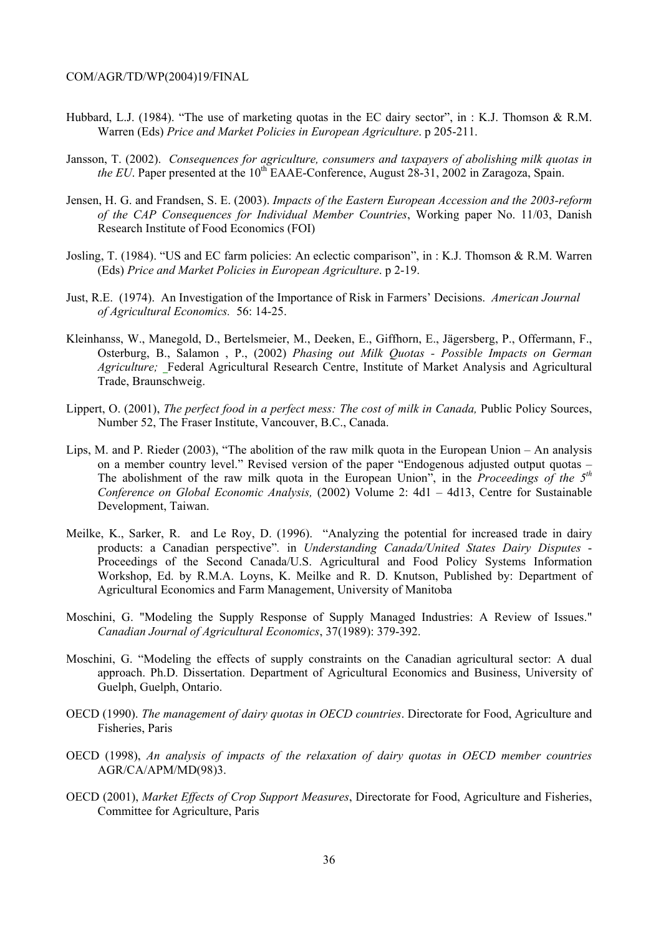- Hubbard, L.J. (1984). "The use of marketing quotas in the EC dairy sector", in : K.J. Thomson & R.M. Warren (Eds) *Price and Market Policies in European Agriculture*. p 205-211.
- Jansson, T. (2002). *Consequences for agriculture, consumers and taxpayers of abolishing milk quotas in the EU*. Paper presented at the  $10^{th}$  EAAE-Conference, August  $28-31$ ,  $2002$  in Zaragoza, Spain.
- Jensen, H. G. and Frandsen, S. E. (2003). *Impacts of the Eastern European Accession and the 2003-reform of the CAP Consequences for Individual Member Countries*, Working paper No. 11/03, Danish Research Institute of Food Economics (FOI)
- Josling, T. (1984). "US and EC farm policies: An eclectic comparison", in : K.J. Thomson & R.M. Warren (Eds) *Price and Market Policies in European Agriculture*. p 2-19.
- Just, R.E. (1974). An Investigation of the Importance of Risk in Farmers' Decisions. *American Journal of Agricultural Economics.* 56: 14-25.
- Kleinhanss, W., Manegold, D., Bertelsmeier, M., Deeken, E., Giffhorn, E., Jägersberg, P., Offermann, F., Osterburg, B., Salamon , P., (2002) *Phasing out Milk Quotas - Possible Impacts on German Agriculture;* Federal Agricultural Research Centre, Institute of Market Analysis and Agricultural Trade, Braunschweig.
- Lippert, O. (2001), *The perfect food in a perfect mess: The cost of milk in Canada*, Public Policy Sources, Number 52, The Fraser Institute, Vancouver, B.C., Canada.
- Lips, M. and P. Rieder (2003), "The abolition of the raw milk quota in the European Union An analysis on a member country level." Revised version of the paper "Endogenous adjusted output quotas – The abolishment of the raw milk quota in the European Union", in the *Proceedings of the 5th Conference on Global Economic Analysis,* (2002) Volume 2: 4d1 – 4d13, Centre for Sustainable Development, Taiwan.
- Meilke, K., Sarker, R. and Le Roy, D. (1996). "Analyzing the potential for increased trade in dairy products: a Canadian perspective"*.* in *Understanding Canada/United States Dairy Disputes* - Proceedings of the Second Canada/U.S. Agricultural and Food Policy Systems Information Workshop, Ed. by R.M.A. Loyns, K. Meilke and R. D. Knutson, Published by: Department of Agricultural Economics and Farm Management, University of Manitoba
- Moschini, G. "Modeling the Supply Response of Supply Managed Industries: A Review of Issues." *Canadian Journal of Agricultural Economics*, 37(1989): 379-392.
- Moschini, G. "Modeling the effects of supply constraints on the Canadian agricultural sector: A dual approach. Ph.D. Dissertation. Department of Agricultural Economics and Business, University of Guelph, Guelph, Ontario.
- OECD (1990). *The management of dairy quotas in OECD countries*. Directorate for Food, Agriculture and Fisheries, Paris
- OECD (1998), *An analysis of impacts of the relaxation of dairy quotas in OECD member countries* AGR/CA/APM/MD(98)3.
- OECD (2001), *Market Effects of Crop Support Measures*, Directorate for Food, Agriculture and Fisheries, Committee for Agriculture, Paris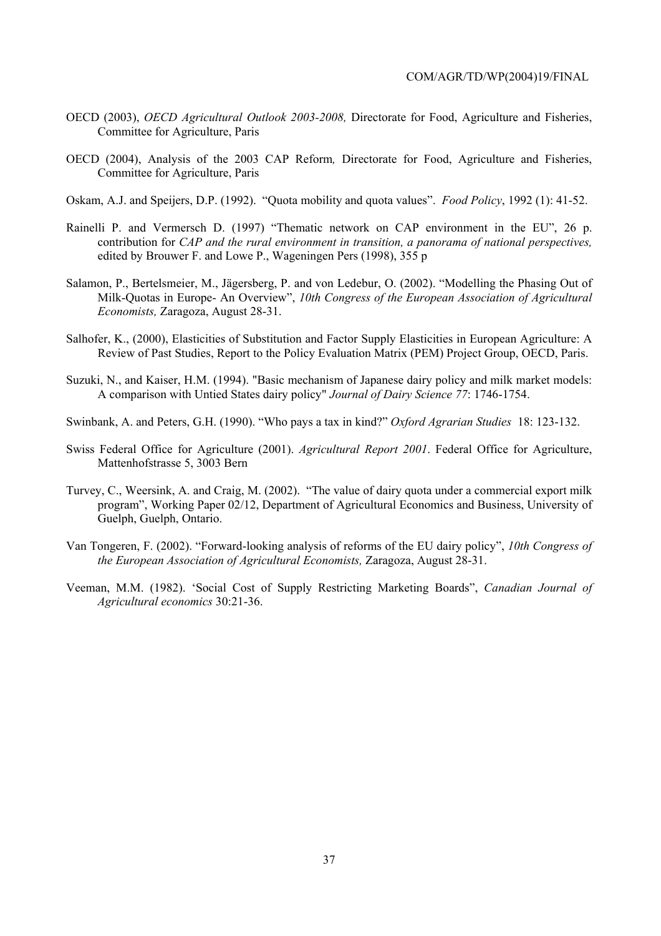- OECD (2003), *OECD Agricultural Outlook 2003-2008,* Directorate for Food, Agriculture and Fisheries, Committee for Agriculture, Paris
- OECD (2004), Analysis of the 2003 CAP Reform*,* Directorate for Food, Agriculture and Fisheries, Committee for Agriculture, Paris
- Oskam, A.J. and Speijers, D.P. (1992). "Quota mobility and quota values". *Food Policy*, 1992 (1): 41-52.
- Rainelli P. and Vermersch D. (1997) "Thematic network on CAP environment in the EU", 26 p. contribution for *CAP and the rural environment in transition, a panorama of national perspectives,*  edited by Brouwer F. and Lowe P., Wageningen Pers (1998), 355 p
- Salamon, P., Bertelsmeier, M., Jägersberg, P. and von Ledebur, O. (2002). "Modelling the Phasing Out of Milk-Quotas in Europe- An Overview", *10th Congress of the European Association of Agricultural Economists,* Zaragoza, August 28-31.
- Salhofer, K., (2000), Elasticities of Substitution and Factor Supply Elasticities in European Agriculture: A Review of Past Studies, Report to the Policy Evaluation Matrix (PEM) Project Group, OECD, Paris.
- Suzuki, N., and Kaiser, H.M. (1994). "Basic mechanism of Japanese dairy policy and milk market models: A comparison with Untied States dairy policy" *Journal of Dairy Science 77*: 1746-1754.
- Swinbank, A. and Peters, G.H. (1990). "Who pays a tax in kind?" *Oxford Agrarian Studies* 18: 123-132.
- Swiss Federal Office for Agriculture (2001). *Agricultural Report 2001*. Federal Office for Agriculture, Mattenhofstrasse 5, 3003 Bern
- Turvey, C., Weersink, A. and Craig, M. (2002). "The value of dairy quota under a commercial export milk program", Working Paper 02/12, Department of Agricultural Economics and Business, University of Guelph, Guelph, Ontario.
- Van Tongeren, F. (2002). "Forward-looking analysis of reforms of the EU dairy policy", *10th Congress of the European Association of Agricultural Economists,* Zaragoza, August 28-31.
- Veeman, M.M. (1982). 'Social Cost of Supply Restricting Marketing Boards", *Canadian Journal of Agricultural economics* 30:21-36.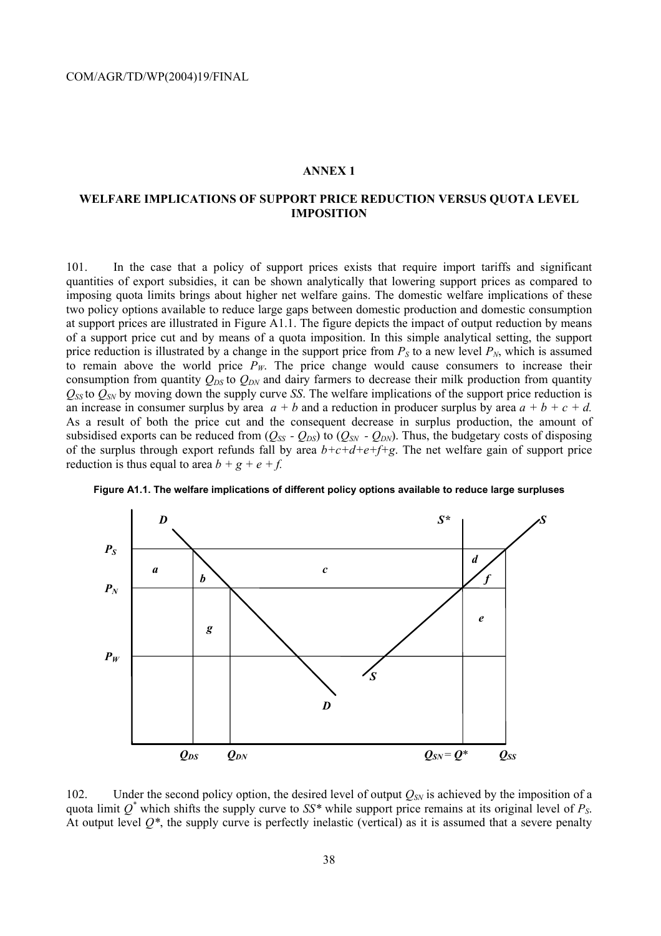#### **ANNEX 1**

#### <span id="page-37-0"></span>**WELFARE IMPLICATIONS OF SUPPORT PRICE REDUCTION VERSUS QUOTA LEVEL IMPOSITION**

101. In the case that a policy of support prices exists that require import tariffs and significant quantities of export subsidies, it can be shown analytically that lowering support prices as compared to imposing quota limits brings about higher net welfare gains. The domestic welfare implications of these two policy options available to reduce large gaps between domestic production and domestic consumption at support prices are illustrated in Figure A1.1. The figure depicts the impact of output reduction by means of a support price cut and by means of a quota imposition. In this simple analytical setting, the support price reduction is illustrated by a change in the support price from  $P_S$  to a new level  $P_N$ , which is assumed to remain above the world price  $P_W$ . The price change would cause consumers to increase their consumption from quantity  $Q_{DS}$  to  $Q_{DN}$  and dairy farmers to decrease their milk production from quantity *QSS* to *QSN* by moving down the supply curve *SS*. The welfare implications of the support price reduction is an increase in consumer surplus by area  $a + b$  and a reduction in producer surplus by area  $a + b + c + d$ . As a result of both the price cut and the consequent decrease in surplus production, the amount of subsidised exports can be reduced from  $(Q_{SS} - Q_{DS})$  to  $(Q_{SN} - Q_{DN})$ . Thus, the budgetary costs of disposing of the surplus through export refunds fall by area  $b+c+d+e+f+g$ . The net welfare gain of support price reduction is thus equal to area  $b + g + e + f$ .



**Figure A1.1. The welfare implications of different policy options available to reduce large surpluses** 

102. Under the second policy option, the desired level of output  $Q_{SN}$  is achieved by the imposition of a quota limit *Q\** which shifts the supply curve to *SS\** while support price remains at its original level of *PS*. At output level  $O^*$ , the supply curve is perfectly inelastic (vertical) as it is assumed that a severe penalty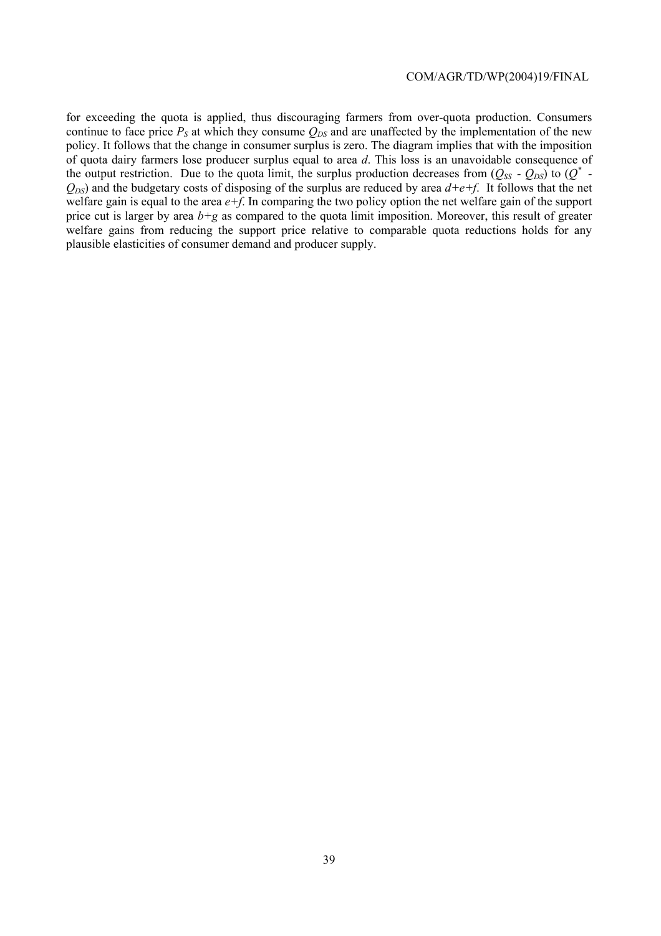for exceeding the quota is applied, thus discouraging farmers from over-quota production. Consumers continue to face price  $P_S$  at which they consume  $Q_{DS}$  and are unaffected by the implementation of the new policy. It follows that the change in consumer surplus is zero. The diagram implies that with the imposition of quota dairy farmers lose producer surplus equal to area *d*. This loss is an unavoidable consequence of the output restriction. Due to the quota limit, the surplus production decreases from  $(Q_{SS} - Q_{DS})$  to  $(Q^* Q_{DS}$ ) and the budgetary costs of disposing of the surplus are reduced by area  $d+e+f$ . It follows that the net welfare gain is equal to the area  $e+f$ . In comparing the two policy option the net welfare gain of the support price cut is larger by area *b+g* as compared to the quota limit imposition. Moreover, this result of greater welfare gains from reducing the support price relative to comparable quota reductions holds for any plausible elasticities of consumer demand and producer supply.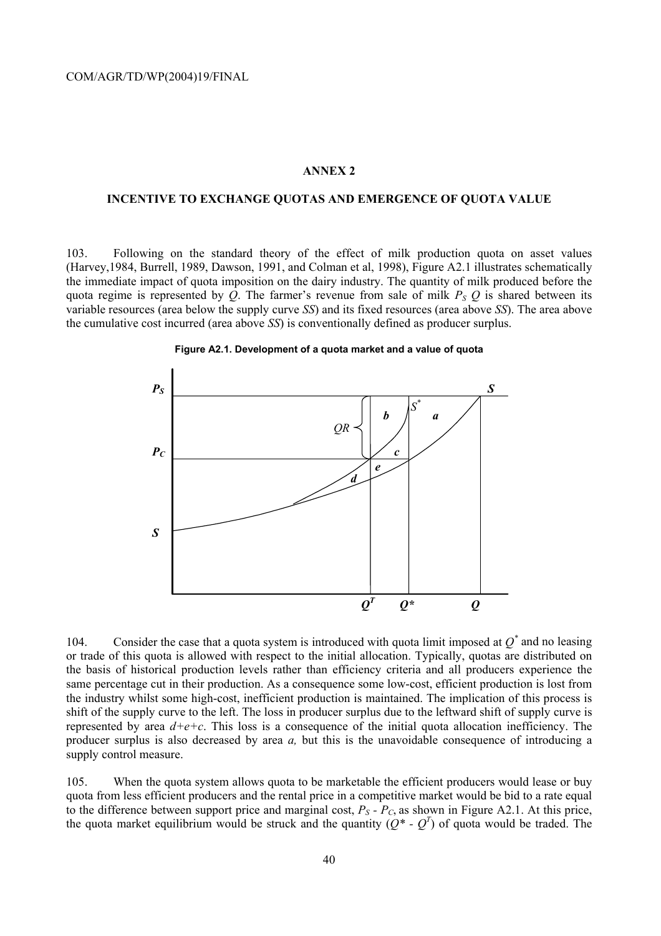#### **ANNEX 2**

#### <span id="page-39-0"></span>**INCENTIVE TO EXCHANGE QUOTAS AND EMERGENCE OF QUOTA VALUE**

103. Following on the standard theory of the effect of milk production quota on asset values (Harvey,1984, Burrell, 1989, Dawson, 1991, and Colman et al, 1998), Figure A2.1 illustrates schematically the immediate impact of quota imposition on the dairy industry. The quantity of milk produced before the quota regime is represented by  $Q$ . The farmer's revenue from sale of milk  $P_S Q$  is shared between its variable resources (area below the supply curve *SS*) and its fixed resources (area above *SS*). The area above the cumulative cost incurred (area above *SS*) is conventionally defined as producer surplus.





104. Consider the case that a quota system is introduced with quota limit imposed at  $Q^*$  and no leasing or trade of this quota is allowed with respect to the initial allocation. Typically, quotas are distributed on the basis of historical production levels rather than efficiency criteria and all producers experience the same percentage cut in their production. As a consequence some low-cost, efficient production is lost from the industry whilst some high-cost, inefficient production is maintained. The implication of this process is shift of the supply curve to the left. The loss in producer surplus due to the leftward shift of supply curve is represented by area  $d+e+c$ . This loss is a consequence of the initial quota allocation inefficiency. The producer surplus is also decreased by area *a,* but this is the unavoidable consequence of introducing a supply control measure.

105. When the quota system allows quota to be marketable the efficient producers would lease or buy quota from less efficient producers and the rental price in a competitive market would be bid to a rate equal to the difference between support price and marginal cost,  $P_S - P_C$ , as shown in Figure A2.1. At this price, the quota market equilibrium would be struck and the quantity  $(Q^* \cdot Q^T)$  of quota would be traded. The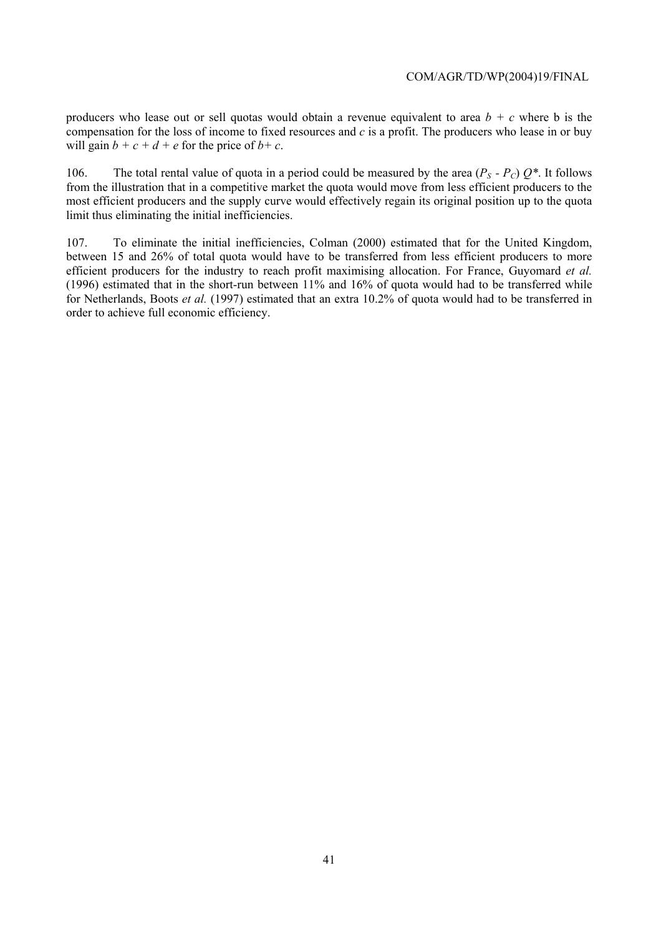producers who lease out or sell quotas would obtain a revenue equivalent to area  $b + c$  where b is the compensation for the loss of income to fixed resources and *c* is a profit. The producers who lease in or buy will gain  $b + c + d + e$  for the price of  $b + c$ .

106. The total rental value of quota in a period could be measured by the area  $(P_S - P_C) Q^*$ . It follows from the illustration that in a competitive market the quota would move from less efficient producers to the most efficient producers and the supply curve would effectively regain its original position up to the quota limit thus eliminating the initial inefficiencies.

107. To eliminate the initial inefficiencies, Colman (2000) estimated that for the United Kingdom, between 15 and 26% of total quota would have to be transferred from less efficient producers to more efficient producers for the industry to reach profit maximising allocation. For France, Guyomard *et al.* (1996) estimated that in the short-run between 11% and 16% of quota would had to be transferred while for Netherlands, Boots *et al.* (1997) estimated that an extra 10.2% of quota would had to be transferred in order to achieve full economic efficiency.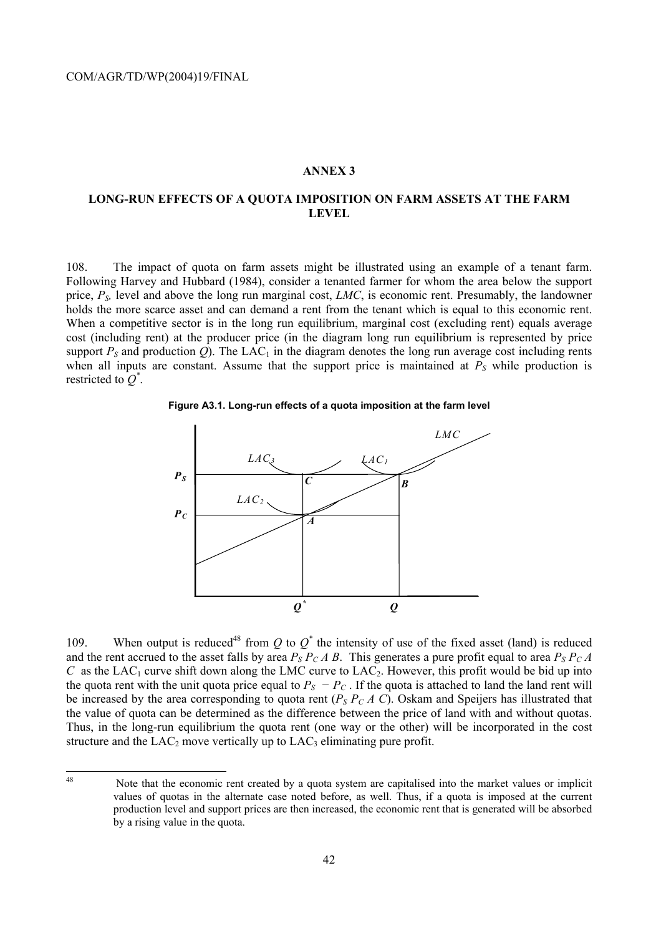#### **ANNEX 3**

#### <span id="page-41-0"></span>**LONG-RUN EFFECTS OF A QUOTA IMPOSITION ON FARM ASSETS AT THE FARM LEVEL**

108. The impact of quota on farm assets might be illustrated using an example of a tenant farm. Following Harvey and Hubbard (1984), consider a tenanted farmer for whom the area below the support price, *PS,* level and above the long run marginal cost, *LMC*, is economic rent. Presumably, the landowner holds the more scarce asset and can demand a rent from the tenant which is equal to this economic rent. When a competitive sector is in the long run equilibrium, marginal cost (excluding rent) equals average cost (including rent) at the producer price (in the diagram long run equilibrium is represented by price support  $P_s$  and production  $Q$ ). The LAC<sub>1</sub> in the diagram denotes the long run average cost including rents when all inputs are constant. Assume that the support price is maintained at  $P<sub>S</sub>$  while production is restricted to *Q\** .





109. When output is reduced<sup>48</sup> from  $Q$  to  $Q^*$  the intensity of use of the fixed asset (land) is reduced and the rent accrued to the asset falls by area  $P_S P_C A B$ . This generates a pure profit equal to area  $P_S P_C A$  $C$  as the LAC<sub>1</sub> curve shift down along the LMC curve to LAC<sub>2</sub>. However, this profit would be bid up into the quota rent with the unit quota price equal to  $P_S - P_C$ . If the quota is attached to land the land rent will be increased by the area corresponding to quota rent  $(P_S P_C A C)$ . Oskam and Speijers has illustrated that the value of quota can be determined as the difference between the price of land with and without quotas. Thus, in the long-run equilibrium the quota rent (one way or the other) will be incorporated in the cost structure and the  $LAC_2$  move vertically up to  $LAC_3$  eliminating pure profit.

<span id="page-41-1"></span><sup>48</sup> Note that the economic rent created by a quota system are capitalised into the market values or implicit values of quotas in the alternate case noted before, as well. Thus, if a quota is imposed at the current production level and support prices are then increased, the economic rent that is generated will be absorbed by a rising value in the quota.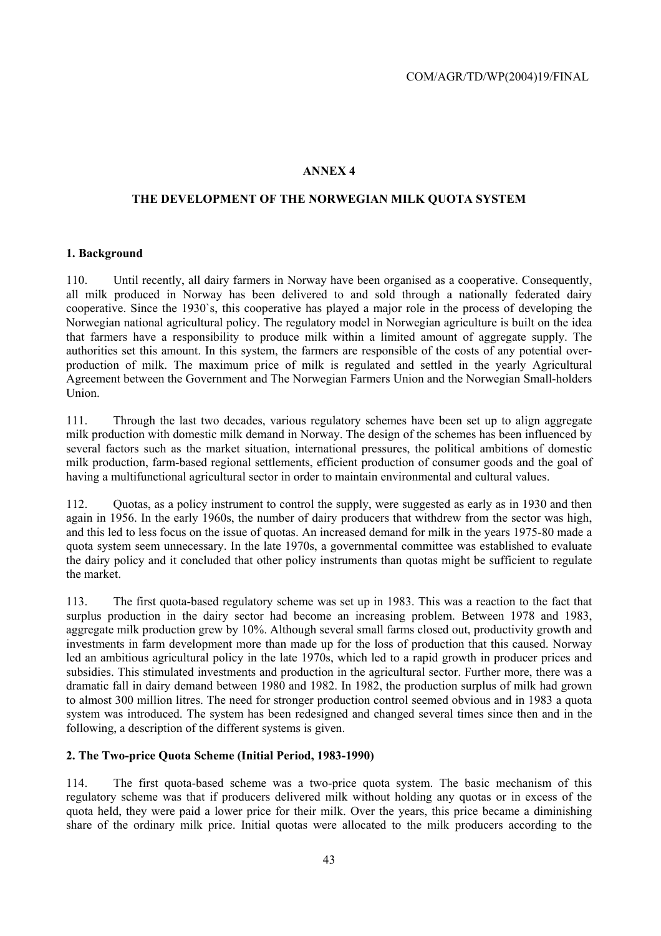#### **ANNEX 4**

#### <span id="page-42-0"></span>**THE DEVELOPMENT OF THE NORWEGIAN MILK QUOTA SYSTEM**

#### **1. Background**

110. Until recently, all dairy farmers in Norway have been organised as a cooperative. Consequently, all milk produced in Norway has been delivered to and sold through a nationally federated dairy cooperative. Since the 1930`s, this cooperative has played a major role in the process of developing the Norwegian national agricultural policy. The regulatory model in Norwegian agriculture is built on the idea that farmers have a responsibility to produce milk within a limited amount of aggregate supply. The authorities set this amount. In this system, the farmers are responsible of the costs of any potential overproduction of milk. The maximum price of milk is regulated and settled in the yearly Agricultural Agreement between the Government and The Norwegian Farmers Union and the Norwegian Small-holders Union.

111. Through the last two decades, various regulatory schemes have been set up to align aggregate milk production with domestic milk demand in Norway. The design of the schemes has been influenced by several factors such as the market situation, international pressures, the political ambitions of domestic milk production, farm-based regional settlements, efficient production of consumer goods and the goal of having a multifunctional agricultural sector in order to maintain environmental and cultural values.

112. Quotas, as a policy instrument to control the supply, were suggested as early as in 1930 and then again in 1956. In the early 1960s, the number of dairy producers that withdrew from the sector was high, and this led to less focus on the issue of quotas. An increased demand for milk in the years 1975-80 made a quota system seem unnecessary. In the late 1970s, a governmental committee was established to evaluate the dairy policy and it concluded that other policy instruments than quotas might be sufficient to regulate the market.

113. The first quota-based regulatory scheme was set up in 1983. This was a reaction to the fact that surplus production in the dairy sector had become an increasing problem. Between 1978 and 1983, aggregate milk production grew by 10%. Although several small farms closed out, productivity growth and investments in farm development more than made up for the loss of production that this caused. Norway led an ambitious agricultural policy in the late 1970s, which led to a rapid growth in producer prices and subsidies. This stimulated investments and production in the agricultural sector. Further more, there was a dramatic fall in dairy demand between 1980 and 1982. In 1982, the production surplus of milk had grown to almost 300 million litres. The need for stronger production control seemed obvious and in 1983 a quota system was introduced. The system has been redesigned and changed several times since then and in the following, a description of the different systems is given.

#### **2. The Two-price Quota Scheme (Initial Period, 1983-1990)**

114. The first quota-based scheme was a two-price quota system. The basic mechanism of this regulatory scheme was that if producers delivered milk without holding any quotas or in excess of the quota held, they were paid a lower price for their milk. Over the years, this price became a diminishing share of the ordinary milk price. Initial quotas were allocated to the milk producers according to the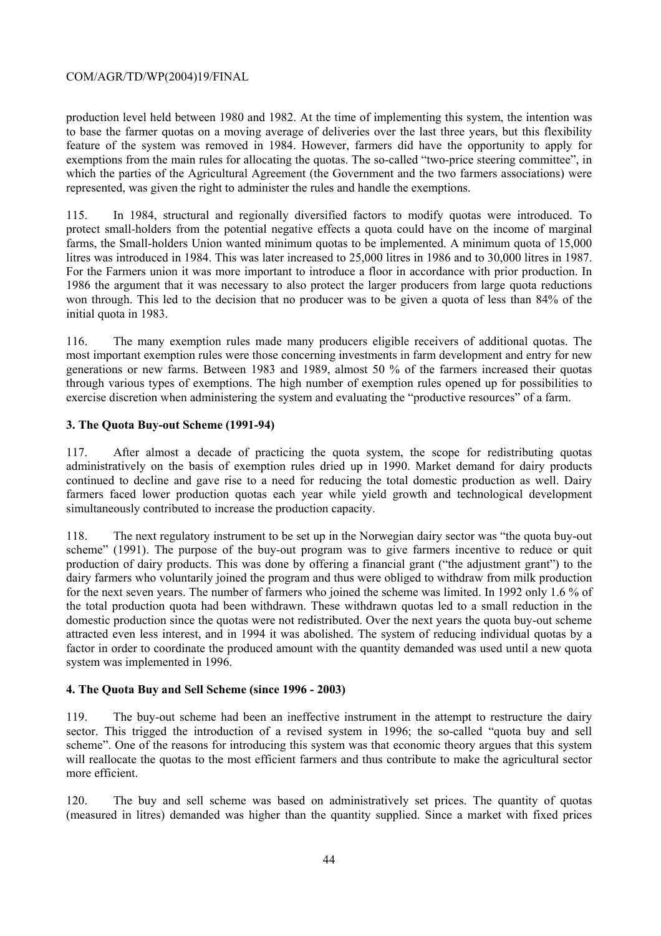production level held between 1980 and 1982. At the time of implementing this system, the intention was to base the farmer quotas on a moving average of deliveries over the last three years, but this flexibility feature of the system was removed in 1984. However, farmers did have the opportunity to apply for exemptions from the main rules for allocating the quotas. The so-called "two-price steering committee", in which the parties of the Agricultural Agreement (the Government and the two farmers associations) were represented, was given the right to administer the rules and handle the exemptions.

115. In 1984, structural and regionally diversified factors to modify quotas were introduced. To protect small-holders from the potential negative effects a quota could have on the income of marginal farms, the Small-holders Union wanted minimum quotas to be implemented. A minimum quota of 15,000 litres was introduced in 1984. This was later increased to 25,000 litres in 1986 and to 30,000 litres in 1987. For the Farmers union it was more important to introduce a floor in accordance with prior production. In 1986 the argument that it was necessary to also protect the larger producers from large quota reductions won through. This led to the decision that no producer was to be given a quota of less than 84% of the initial quota in 1983.

116. The many exemption rules made many producers eligible receivers of additional quotas. The most important exemption rules were those concerning investments in farm development and entry for new generations or new farms. Between 1983 and 1989, almost 50 % of the farmers increased their quotas through various types of exemptions. The high number of exemption rules opened up for possibilities to exercise discretion when administering the system and evaluating the "productive resources" of a farm.

#### **3. The Quota Buy-out Scheme (1991-94)**

117. After almost a decade of practicing the quota system, the scope for redistributing quotas administratively on the basis of exemption rules dried up in 1990. Market demand for dairy products continued to decline and gave rise to a need for reducing the total domestic production as well. Dairy farmers faced lower production quotas each year while yield growth and technological development simultaneously contributed to increase the production capacity.

118. The next regulatory instrument to be set up in the Norwegian dairy sector was "the quota buy-out scheme" (1991). The purpose of the buy-out program was to give farmers incentive to reduce or quit production of dairy products. This was done by offering a financial grant ("the adjustment grant") to the dairy farmers who voluntarily joined the program and thus were obliged to withdraw from milk production for the next seven years. The number of farmers who joined the scheme was limited. In 1992 only 1.6 % of the total production quota had been withdrawn. These withdrawn quotas led to a small reduction in the domestic production since the quotas were not redistributed. Over the next years the quota buy-out scheme attracted even less interest, and in 1994 it was abolished. The system of reducing individual quotas by a factor in order to coordinate the produced amount with the quantity demanded was used until a new quota system was implemented in 1996.

#### **4. The Quota Buy and Sell Scheme (since 1996 - 2003)**

119. The buy-out scheme had been an ineffective instrument in the attempt to restructure the dairy sector. This trigged the introduction of a revised system in 1996; the so-called "quota buy and sell scheme". One of the reasons for introducing this system was that economic theory argues that this system will reallocate the quotas to the most efficient farmers and thus contribute to make the agricultural sector more efficient.

120. The buy and sell scheme was based on administratively set prices. The quantity of quotas (measured in litres) demanded was higher than the quantity supplied. Since a market with fixed prices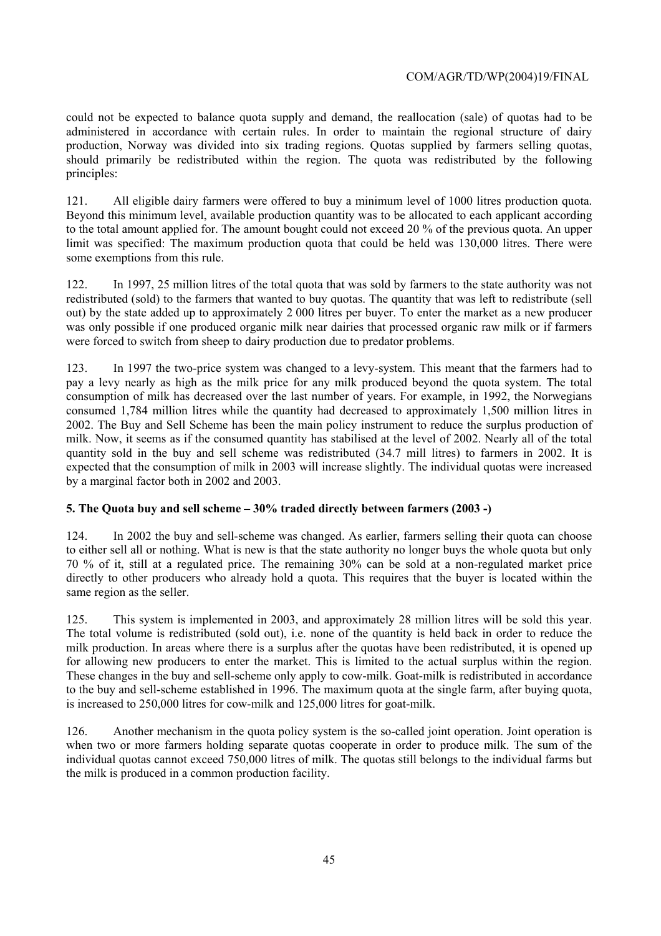could not be expected to balance quota supply and demand, the reallocation (sale) of quotas had to be administered in accordance with certain rules. In order to maintain the regional structure of dairy production, Norway was divided into six trading regions. Quotas supplied by farmers selling quotas, should primarily be redistributed within the region. The quota was redistributed by the following principles:

121. All eligible dairy farmers were offered to buy a minimum level of 1000 litres production quota. Beyond this minimum level, available production quantity was to be allocated to each applicant according to the total amount applied for. The amount bought could not exceed 20 % of the previous quota. An upper limit was specified: The maximum production quota that could be held was 130,000 litres. There were some exemptions from this rule.

122. In 1997, 25 million litres of the total quota that was sold by farmers to the state authority was not redistributed (sold) to the farmers that wanted to buy quotas. The quantity that was left to redistribute (sell out) by the state added up to approximately 2 000 litres per buyer. To enter the market as a new producer was only possible if one produced organic milk near dairies that processed organic raw milk or if farmers were forced to switch from sheep to dairy production due to predator problems.

123. In 1997 the two-price system was changed to a levy-system. This meant that the farmers had to pay a levy nearly as high as the milk price for any milk produced beyond the quota system. The total consumption of milk has decreased over the last number of years. For example, in 1992, the Norwegians consumed 1,784 million litres while the quantity had decreased to approximately 1,500 million litres in 2002. The Buy and Sell Scheme has been the main policy instrument to reduce the surplus production of milk. Now, it seems as if the consumed quantity has stabilised at the level of 2002. Nearly all of the total quantity sold in the buy and sell scheme was redistributed (34.7 mill litres) to farmers in 2002. It is expected that the consumption of milk in 2003 will increase slightly. The individual quotas were increased by a marginal factor both in 2002 and 2003.

#### **5. The Quota buy and sell scheme – 30% traded directly between farmers (2003 -)**

124. In 2002 the buy and sell-scheme was changed. As earlier, farmers selling their quota can choose to either sell all or nothing. What is new is that the state authority no longer buys the whole quota but only 70 % of it, still at a regulated price. The remaining 30% can be sold at a non-regulated market price directly to other producers who already hold a quota. This requires that the buyer is located within the same region as the seller.

125. This system is implemented in 2003, and approximately 28 million litres will be sold this year. The total volume is redistributed (sold out), i.e. none of the quantity is held back in order to reduce the milk production. In areas where there is a surplus after the quotas have been redistributed, it is opened up for allowing new producers to enter the market. This is limited to the actual surplus within the region. These changes in the buy and sell-scheme only apply to cow-milk. Goat-milk is redistributed in accordance to the buy and sell-scheme established in 1996. The maximum quota at the single farm, after buying quota, is increased to 250,000 litres for cow-milk and 125,000 litres for goat-milk.

126. Another mechanism in the quota policy system is the so-called joint operation. Joint operation is when two or more farmers holding separate quotas cooperate in order to produce milk. The sum of the individual quotas cannot exceed 750,000 litres of milk. The quotas still belongs to the individual farms but the milk is produced in a common production facility.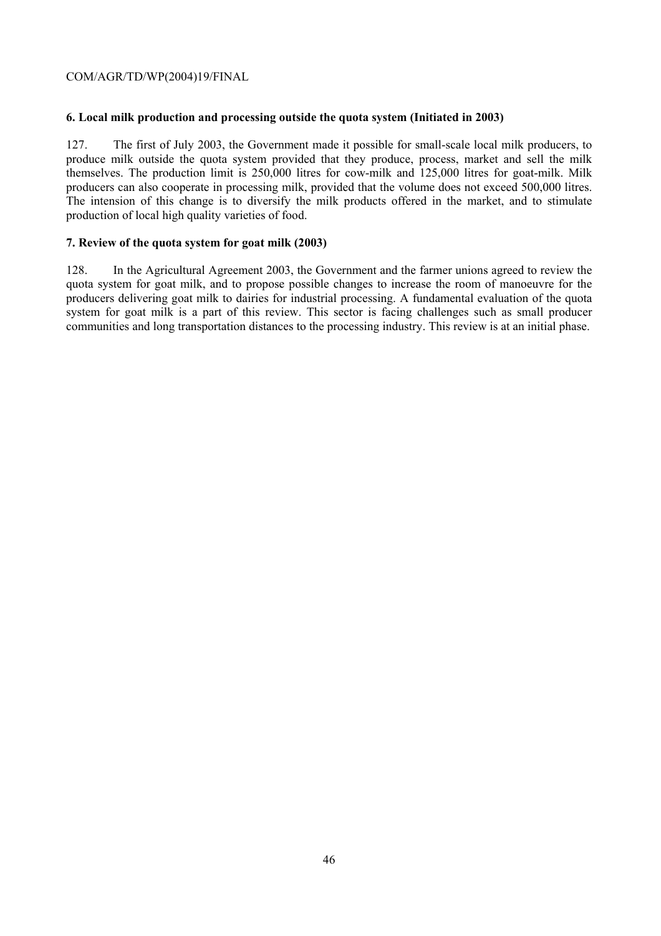#### **6. Local milk production and processing outside the quota system (Initiated in 2003)**

127. The first of July 2003, the Government made it possible for small-scale local milk producers, to produce milk outside the quota system provided that they produce, process, market and sell the milk themselves. The production limit is 250,000 litres for cow-milk and 125,000 litres for goat-milk. Milk producers can also cooperate in processing milk, provided that the volume does not exceed 500,000 litres. The intension of this change is to diversify the milk products offered in the market, and to stimulate production of local high quality varieties of food.

#### **7. Review of the quota system for goat milk (2003)**

128. In the Agricultural Agreement 2003, the Government and the farmer unions agreed to review the quota system for goat milk, and to propose possible changes to increase the room of manoeuvre for the producers delivering goat milk to dairies for industrial processing. A fundamental evaluation of the quota system for goat milk is a part of this review. This sector is facing challenges such as small producer communities and long transportation distances to the processing industry. This review is at an initial phase.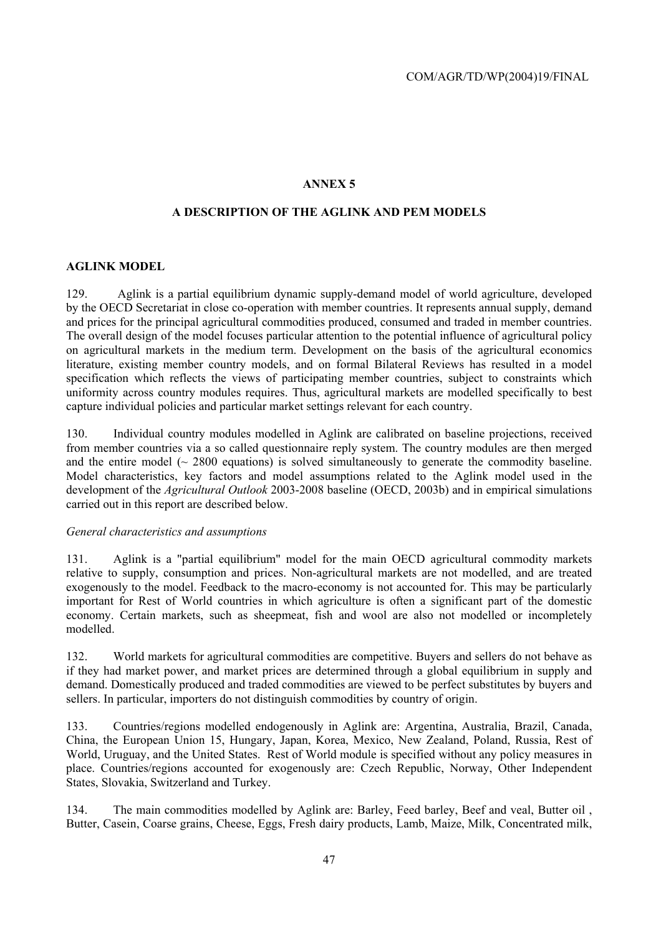#### **ANNEX 5**

#### <span id="page-46-0"></span>**A DESCRIPTION OF THE AGLINK AND PEM MODELS**

#### **AGLINK MODEL**

129. Aglink is a partial equilibrium dynamic supply-demand model of world agriculture, developed by the OECD Secretariat in close co-operation with member countries. It represents annual supply, demand and prices for the principal agricultural commodities produced, consumed and traded in member countries. The overall design of the model focuses particular attention to the potential influence of agricultural policy on agricultural markets in the medium term. Development on the basis of the agricultural economics literature, existing member country models, and on formal Bilateral Reviews has resulted in a model specification which reflects the views of participating member countries, subject to constraints which uniformity across country modules requires. Thus, agricultural markets are modelled specifically to best capture individual policies and particular market settings relevant for each country.

130. Individual country modules modelled in Aglink are calibrated on baseline projections, received from member countries via a so called questionnaire reply system. The country modules are then merged and the entire model  $\sim 2800$  equations) is solved simultaneously to generate the commodity baseline. Model characteristics, key factors and model assumptions related to the Aglink model used in the development of the *Agricultural Outlook* 2003-2008 baseline (OECD, 2003b) and in empirical simulations carried out in this report are described below.

#### *General characteristics and assumptions*

131. Aglink is a "partial equilibrium" model for the main OECD agricultural commodity markets relative to supply, consumption and prices. Non-agricultural markets are not modelled, and are treated exogenously to the model. Feedback to the macro-economy is not accounted for. This may be particularly important for Rest of World countries in which agriculture is often a significant part of the domestic economy. Certain markets, such as sheepmeat, fish and wool are also not modelled or incompletely modelled.

132. World markets for agricultural commodities are competitive. Buyers and sellers do not behave as if they had market power, and market prices are determined through a global equilibrium in supply and demand. Domestically produced and traded commodities are viewed to be perfect substitutes by buyers and sellers. In particular, importers do not distinguish commodities by country of origin.

133. Countries/regions modelled endogenously in Aglink are: Argentina, Australia, Brazil, Canada, China, the European Union 15, Hungary, Japan, Korea, Mexico, New Zealand, Poland, Russia, Rest of World, Uruguay, and the United States. Rest of World module is specified without any policy measures in place. Countries/regions accounted for exogenously are: Czech Republic, Norway, Other Independent States, Slovakia, Switzerland and Turkey.

134. The main commodities modelled by Aglink are: Barley, Feed barley, Beef and veal, Butter oil , Butter, Casein, Coarse grains, Cheese, Eggs, Fresh dairy products, Lamb, Maize, Milk, Concentrated milk,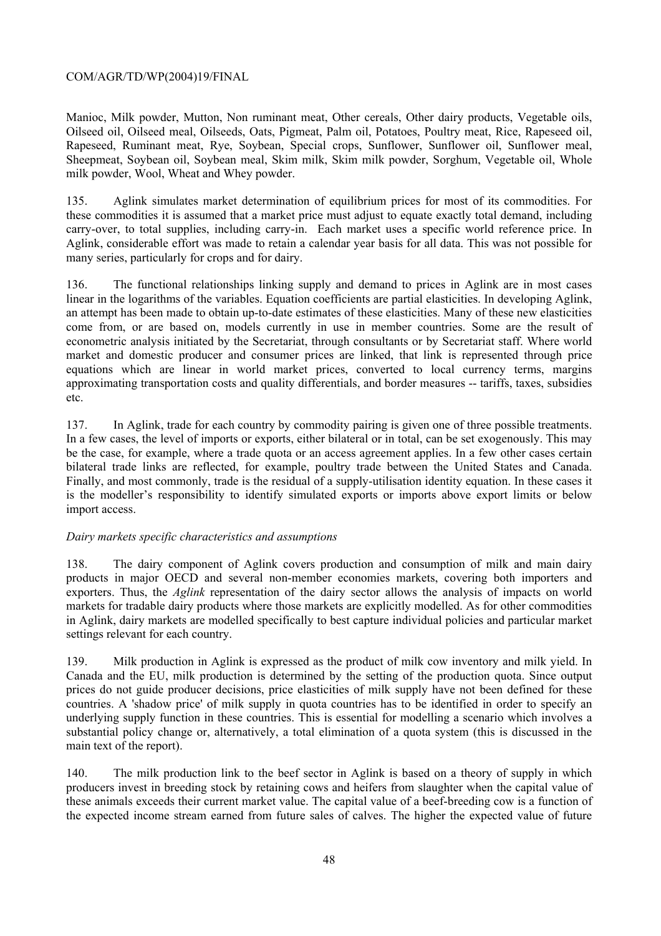Manioc, Milk powder, Mutton, Non ruminant meat, Other cereals, Other dairy products, Vegetable oils, Oilseed oil, Oilseed meal, Oilseeds, Oats, Pigmeat, Palm oil, Potatoes, Poultry meat, Rice, Rapeseed oil, Rapeseed, Ruminant meat, Rye, Soybean, Special crops, Sunflower, Sunflower oil, Sunflower meal, Sheepmeat, Soybean oil, Soybean meal, Skim milk, Skim milk powder, Sorghum, Vegetable oil, Whole milk powder, Wool, Wheat and Whey powder.

135. Aglink simulates market determination of equilibrium prices for most of its commodities. For these commodities it is assumed that a market price must adjust to equate exactly total demand, including carry-over, to total supplies, including carry-in. Each market uses a specific world reference price. In Aglink, considerable effort was made to retain a calendar year basis for all data. This was not possible for many series, particularly for crops and for dairy.

136. The functional relationships linking supply and demand to prices in Aglink are in most cases linear in the logarithms of the variables. Equation coefficients are partial elasticities. In developing Aglink, an attempt has been made to obtain up-to-date estimates of these elasticities. Many of these new elasticities come from, or are based on, models currently in use in member countries. Some are the result of econometric analysis initiated by the Secretariat, through consultants or by Secretariat staff. Where world market and domestic producer and consumer prices are linked, that link is represented through price equations which are linear in world market prices, converted to local currency terms, margins approximating transportation costs and quality differentials, and border measures -- tariffs, taxes, subsidies etc.

137. In Aglink, trade for each country by commodity pairing is given one of three possible treatments. In a few cases, the level of imports or exports, either bilateral or in total, can be set exogenously. This may be the case, for example, where a trade quota or an access agreement applies. In a few other cases certain bilateral trade links are reflected, for example, poultry trade between the United States and Canada. Finally, and most commonly, trade is the residual of a supply-utilisation identity equation. In these cases it is the modeller's responsibility to identify simulated exports or imports above export limits or below import access.

#### *Dairy markets specific characteristics and assumptions*

138. The dairy component of Aglink covers production and consumption of milk and main dairy products in major OECD and several non-member economies markets, covering both importers and exporters. Thus, the *Aglink* representation of the dairy sector allows the analysis of impacts on world markets for tradable dairy products where those markets are explicitly modelled. As for other commodities in Aglink, dairy markets are modelled specifically to best capture individual policies and particular market settings relevant for each country.

139. Milk production in Aglink is expressed as the product of milk cow inventory and milk yield. In Canada and the EU, milk production is determined by the setting of the production quota. Since output prices do not guide producer decisions, price elasticities of milk supply have not been defined for these countries. A 'shadow price' of milk supply in quota countries has to be identified in order to specify an underlying supply function in these countries. This is essential for modelling a scenario which involves a substantial policy change or, alternatively, a total elimination of a quota system (this is discussed in the main text of the report).

140. The milk production link to the beef sector in Aglink is based on a theory of supply in which producers invest in breeding stock by retaining cows and heifers from slaughter when the capital value of these animals exceeds their current market value. The capital value of a beef-breeding cow is a function of the expected income stream earned from future sales of calves. The higher the expected value of future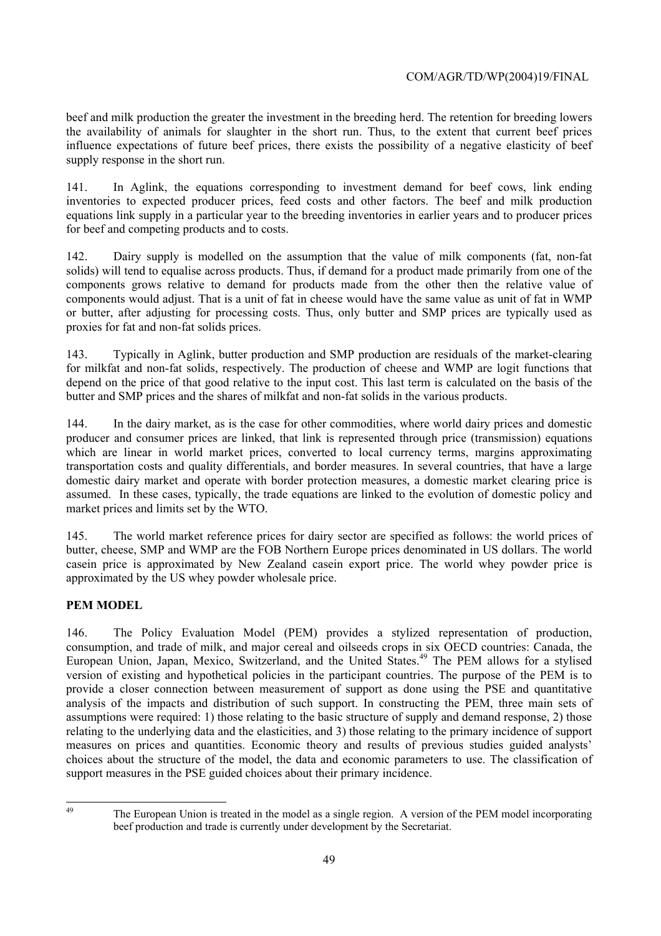beef and milk production the greater the investment in the breeding herd. The retention for breeding lowers the availability of animals for slaughter in the short run. Thus, to the extent that current beef prices influence expectations of future beef prices, there exists the possibility of a negative elasticity of beef supply response in the short run.

141. In Aglink, the equations corresponding to investment demand for beef cows, link ending inventories to expected producer prices, feed costs and other factors. The beef and milk production equations link supply in a particular year to the breeding inventories in earlier years and to producer prices for beef and competing products and to costs.

142. Dairy supply is modelled on the assumption that the value of milk components (fat, non-fat solids) will tend to equalise across products. Thus, if demand for a product made primarily from one of the components grows relative to demand for products made from the other then the relative value of components would adjust. That is a unit of fat in cheese would have the same value as unit of fat in WMP or butter, after adjusting for processing costs. Thus, only butter and SMP prices are typically used as proxies for fat and non-fat solids prices.

143. Typically in Aglink, butter production and SMP production are residuals of the market-clearing for milkfat and non-fat solids, respectively. The production of cheese and WMP are logit functions that depend on the price of that good relative to the input cost. This last term is calculated on the basis of the butter and SMP prices and the shares of milkfat and non-fat solids in the various products.

144. In the dairy market, as is the case for other commodities, where world dairy prices and domestic producer and consumer prices are linked, that link is represented through price (transmission) equations which are linear in world market prices, converted to local currency terms, margins approximating transportation costs and quality differentials, and border measures. In several countries, that have a large domestic dairy market and operate with border protection measures, a domestic market clearing price is assumed. In these cases, typically, the trade equations are linked to the evolution of domestic policy and market prices and limits set by the WTO.

145. The world market reference prices for dairy sector are specified as follows: the world prices of butter, cheese, SMP and WMP are the FOB Northern Europe prices denominated in US dollars. The world casein price is approximated by New Zealand casein export price. The world whey powder price is approximated by the US whey powder wholesale price.

### **PEM MODEL**

146. The Policy Evaluation Model (PEM) provides a stylized representation of production, consumption, and trade of milk, and major cereal and oilseeds crops in six OECD countries: Canada, the European Union, Japan, Mexico, Switzerland, and the United States.[49](#page-48-0) The PEM allows for a stylised version of existing and hypothetical policies in the participant countries. The purpose of the PEM is to provide a closer connection between measurement of support as done using the PSE and quantitative analysis of the impacts and distribution of such support. In constructing the PEM, three main sets of assumptions were required: 1) those relating to the basic structure of supply and demand response, 2) those relating to the underlying data and the elasticities, and 3) those relating to the primary incidence of support measures on prices and quantities. Economic theory and results of previous studies guided analysts' choices about the structure of the model, the data and economic parameters to use. The classification of support measures in the PSE guided choices about their primary incidence.

<span id="page-48-0"></span><sup>&</sup>lt;sup>49</sup> The European Union is treated in the model as a single region. A version of the PEM model incorporating beef production and trade is currently under development by the Secretariat.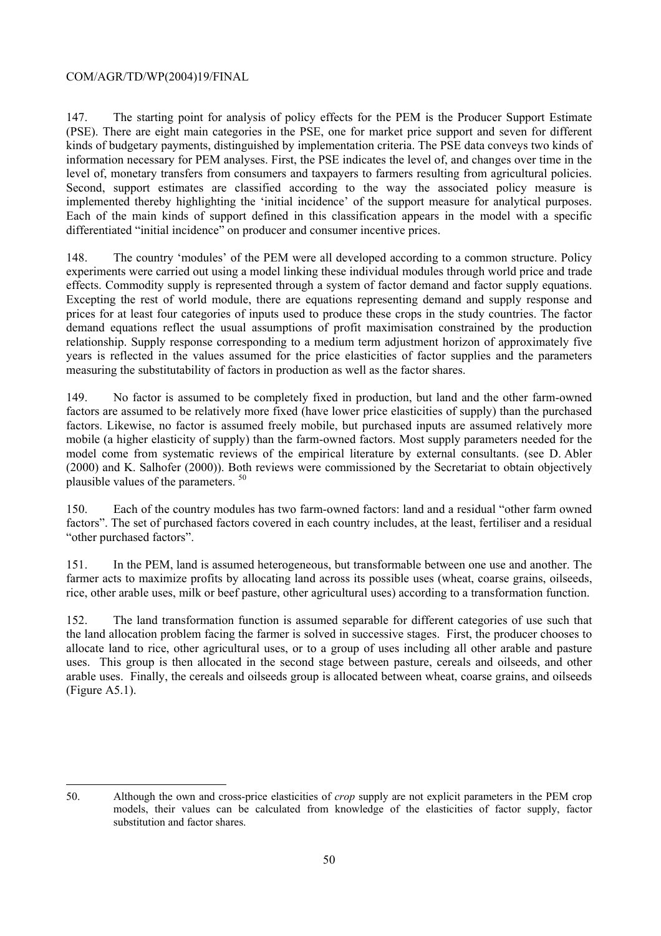147. The starting point for analysis of policy effects for the PEM is the Producer Support Estimate (PSE). There are eight main categories in the PSE, one for market price support and seven for different kinds of budgetary payments, distinguished by implementation criteria. The PSE data conveys two kinds of information necessary for PEM analyses. First, the PSE indicates the level of, and changes over time in the level of, monetary transfers from consumers and taxpayers to farmers resulting from agricultural policies. Second, support estimates are classified according to the way the associated policy measure is implemented thereby highlighting the 'initial incidence' of the support measure for analytical purposes. Each of the main kinds of support defined in this classification appears in the model with a specific differentiated "initial incidence" on producer and consumer incentive prices.

148. The country 'modules' of the PEM were all developed according to a common structure. Policy experiments were carried out using a model linking these individual modules through world price and trade effects. Commodity supply is represented through a system of factor demand and factor supply equations. Excepting the rest of world module, there are equations representing demand and supply response and prices for at least four categories of inputs used to produce these crops in the study countries. The factor demand equations reflect the usual assumptions of profit maximisation constrained by the production relationship. Supply response corresponding to a medium term adjustment horizon of approximately five years is reflected in the values assumed for the price elasticities of factor supplies and the parameters measuring the substitutability of factors in production as well as the factor shares.

149. No factor is assumed to be completely fixed in production, but land and the other farm-owned factors are assumed to be relatively more fixed (have lower price elasticities of supply) than the purchased factors. Likewise, no factor is assumed freely mobile, but purchased inputs are assumed relatively more mobile (a higher elasticity of supply) than the farm-owned factors. Most supply parameters needed for the model come from systematic reviews of the empirical literature by external consultants. (see D. Abler (2000) and K. Salhofer (2000)). Both reviews were commissioned by the Secretariat to obtain objectively plausible values of the parameters. [50](#page-49-0)

150. Each of the country modules has two farm-owned factors: land and a residual "other farm owned factors". The set of purchased factors covered in each country includes, at the least, fertiliser and a residual "other purchased factors".

151. In the PEM, land is assumed heterogeneous, but transformable between one use and another. The farmer acts to maximize profits by allocating land across its possible uses (wheat, coarse grains, oilseeds, rice, other arable uses, milk or beef pasture, other agricultural uses) according to a transformation function.

152. The land transformation function is assumed separable for different categories of use such that the land allocation problem facing the farmer is solved in successive stages. First, the producer chooses to allocate land to rice, other agricultural uses, or to a group of uses including all other arable and pasture uses. This group is then allocated in the second stage between pasture, cereals and oilseeds, and other arable uses. Finally, the cereals and oilseeds group is allocated between wheat, coarse grains, and oilseeds (Figure A5.1).

<span id="page-49-0"></span> 50. Although the own and cross-price elasticities of *crop* supply are not explicit parameters in the PEM crop models, their values can be calculated from knowledge of the elasticities of factor supply, factor substitution and factor shares.